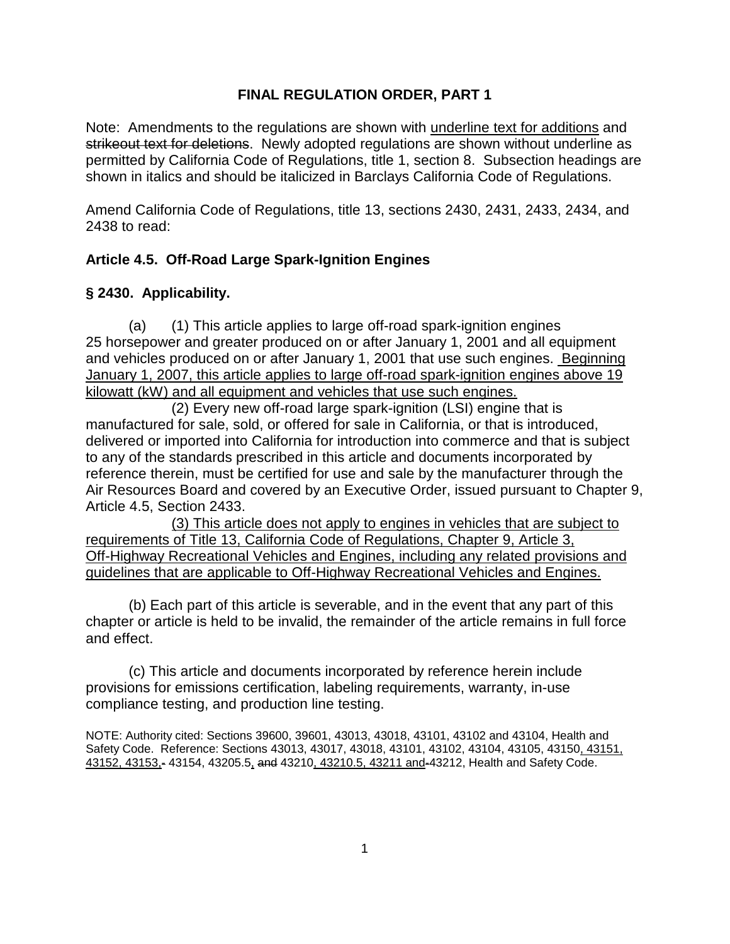# **FINAL REGULATION ORDER, PART 1**

Note: Amendments to the regulations are shown with underline text for additions and strikeout text for deletions. Newly adopted regulations are shown without underline as permitted by California Code of Regulations, title 1, section 8. Subsection headings are shown in italics and should be italicized in Barclays California Code of Regulations.

Amend California Code of Regulations, title 13, sections 2430, 2431, 2433, 2434, and 2438 to read:

# **Article 4.5. Off-Road Large Spark-Ignition Engines**

# **§ 2430. Applicability.**

(a) (1) This article applies to large off-road spark-ignition engines 25 horsepower and greater produced on or after January 1, 2001 and all equipment and vehicles produced on or after January 1, 2001 that use such engines. Beginning January 1, 2007, this article applies to large off-road spark-ignition engines above 19 kilowatt (kW) and all equipment and vehicles that use such engines.

(2) Every new off-road large spark-ignition (LSI) engine that is manufactured for sale, sold, or offered for sale in California, or that is introduced, delivered or imported into California for introduction into commerce and that is subject to any of the standards prescribed in this article and documents incorporated by reference therein, must be certified for use and sale by the manufacturer through the Air Resources Board and covered by an Executive Order, issued pursuant to Chapter 9, Article 4.5, Section 2433.

(3) This article does not apply to engines in vehicles that are subject to requirements of Title 13, California Code of Regulations, Chapter 9, Article 3, Off-Highway Recreational Vehicles and Engines, including any related provisions and guidelines that are applicable to Off-Highway Recreational Vehicles and Engines.

(b) Each part of this article is severable, and in the event that any part of this chapter or article is held to be invalid, the remainder of the article remains in full force and effect.

(c) This article and documents incorporated by reference herein include provisions for emissions certification, labeling requirements, warranty, in-use compliance testing, and production line testing.

NOTE: Authority cited: Sections 39600, 39601, 43013, 43018, 43101, 43102 and 43104, Health and Safety Code. Reference: Sections 43013, 43017, 43018, 43101, 43102, 43104, 43105, 43150, 43151, 43152, 43153,- 43154, 43205.5, and 43210, 43210.5, 43211 and-43212, Health and Safety Code.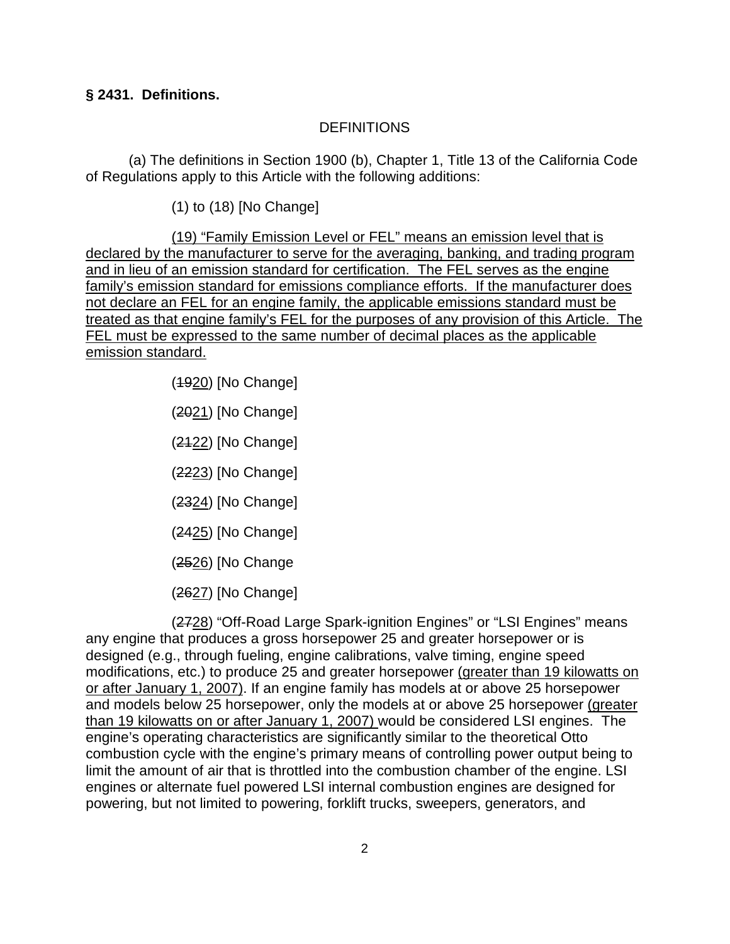## **§ 2431. Definitions.**

### DEFINITIONS

(a) The definitions in Section 1900 (b), Chapter 1, Title 13 of the California Code of Regulations apply to this Article with the following additions:

(1) to (18) [No Change]

(19) "Family Emission Level or FEL" means an emission level that is declared by the manufacturer to serve for the averaging, banking, and trading program and in lieu of an emission standard for certification. The FEL serves as the engine family's emission standard for emissions compliance efforts. If the manufacturer does not declare an FEL for an engine family, the applicable emissions standard must be treated as that engine family's FEL for the purposes of any provision of this Article. The FEL must be expressed to the same number of decimal places as the applicable emission standard.

- (1920) [No Change]
- (2021) [No Change]
- (2122) [No Change]
- (2223) [No Change]
- (2324) [No Change]
- (2425) [No Change]
- (2526) [No Change
- (2627) [No Change]

(2728) "Off-Road Large Spark-ignition Engines" or "LSI Engines" means any engine that produces a gross horsepower 25 and greater horsepower or is designed (e.g., through fueling, engine calibrations, valve timing, engine speed modifications, etc.) to produce 25 and greater horsepower (greater than 19 kilowatts on or after January 1, 2007). If an engine family has models at or above 25 horsepower and models below 25 horsepower, only the models at or above 25 horsepower (greater than 19 kilowatts on or after January 1, 2007) would be considered LSI engines. The engine's operating characteristics are significantly similar to the theoretical Otto combustion cycle with the engine's primary means of controlling power output being to limit the amount of air that is throttled into the combustion chamber of the engine. LSI engines or alternate fuel powered LSI internal combustion engines are designed for powering, but not limited to powering, forklift trucks, sweepers, generators, and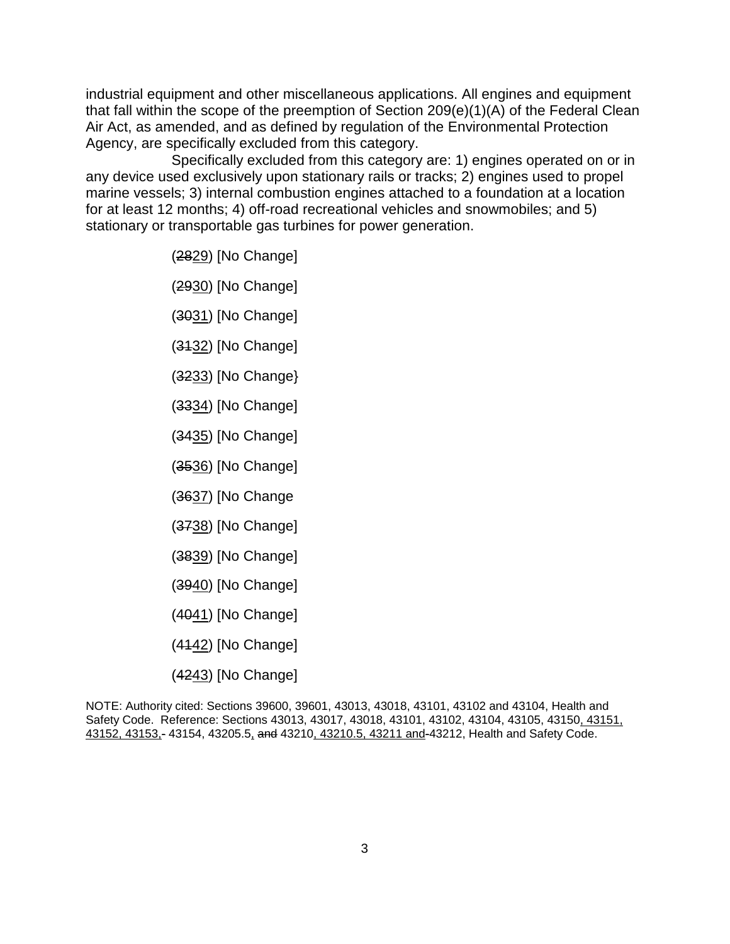industrial equipment and other miscellaneous applications. All engines and equipment that fall within the scope of the preemption of Section 209(e)(1)(A) of the Federal Clean Air Act, as amended, and as defined by regulation of the Environmental Protection Agency, are specifically excluded from this category.

Specifically excluded from this category are: 1) engines operated on or in any device used exclusively upon stationary rails or tracks; 2) engines used to propel marine vessels; 3) internal combustion engines attached to a foundation at a location for at least 12 months; 4) off-road recreational vehicles and snowmobiles; and 5) stationary or transportable gas turbines for power generation.

- (2829) [No Change]
- (2930) [No Change]
- (3031) [No Change]
- (3132) [No Change]
- (3233) [No Change}
- (3334) [No Change]
- (3435) [No Change]
- (3536) [No Change]
- (3637) [No Change
- (3738) [No Change]
- (3839) [No Change]
- (3940) [No Change]
- (4041) [No Change]
- (4142) [No Change]
- (4243) [No Change]

NOTE: Authority cited: Sections 39600, 39601, 43013, 43018, 43101, 43102 and 43104, Health and Safety Code. Reference: Sections 43013, 43017, 43018, 43101, 43102, 43104, 43105, 43150, 43151, 43152, 43153,- 43154, 43205.5, and 43210, 43210.5, 43211 and-43212, Health and Safety Code.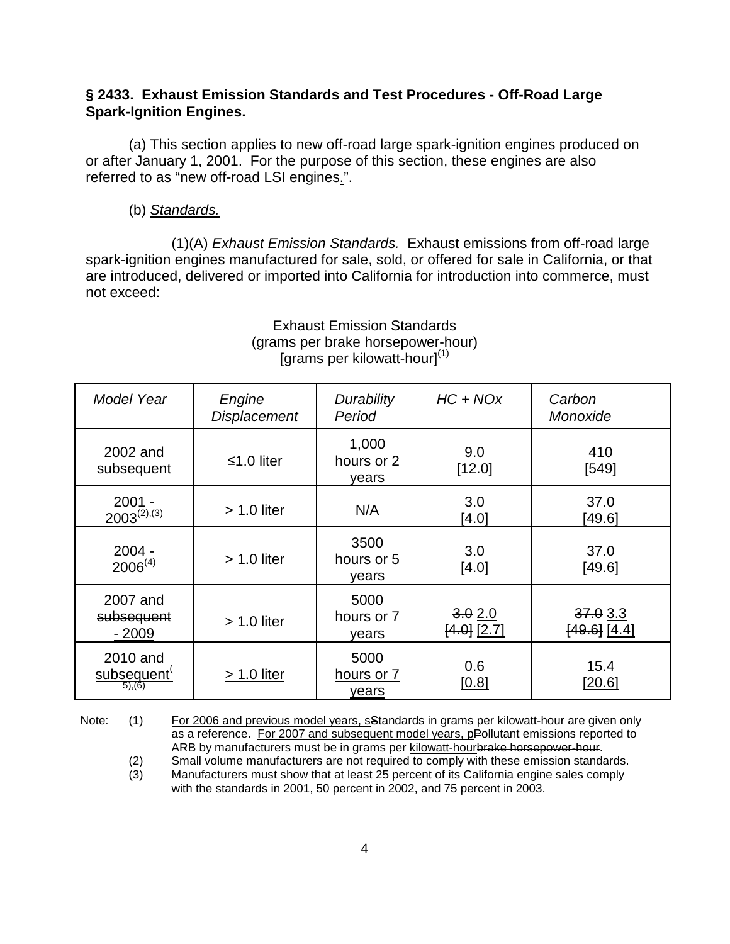### **§ 2433. Exhaust Emission Standards and Test Procedures - Off-Road Large Spark-Ignition Engines.**

(a) This section applies to new off-road large spark-ignition engines produced on or after January 1, 2001. For the purpose of this section, these engines are also referred to as "new off-road LSI engines.".

#### (b) Standards.

 (1)(A) Exhaust Emission Standards. Exhaust emissions from off-road large spark-ignition engines manufactured for sale, sold, or offered for sale in California, or that are introduced, delivered or imported into California for introduction into commerce, must not exceed:

| Model Year<br>Engine<br><b>Displacement</b> |               | Durability<br>Period         | $HC + NOx$                | Carbon<br>Monoxide        |
|---------------------------------------------|---------------|------------------------------|---------------------------|---------------------------|
| 2002 and<br>subsequent                      | ≤1.0 liter    | 1,000<br>hours or 2<br>vears | 9.0<br>[12.0]             | 410<br>[549]              |
| $2001 -$<br>$2003^{(2),(3)}$                | $> 1.0$ liter | N/A                          | 3.0<br>[4.0]              | 37.0<br>[49.6]            |
| $2004 -$<br>$2006^{(4)}$                    | $> 1.0$ liter | 3500<br>hours or 5<br>years  | 3.0<br>[4.0]              | 37.0<br>[49.6]            |
| 2007 and<br>subsequent<br>$-2009$           | $> 1.0$ liter | 5000<br>hours or 7<br>years  | 3.02.0<br>$[4.0]$ $[2.7]$ | 37.03.3<br>$[49.6]$ [4.4] |
| 2010 and<br>subsequent<br>(5), (6)          | $> 1.0$ liter | 5000<br>hours or 7<br>years  | 0.6<br>[0.8]              | 15.4<br>[20.6]            |

Exhaust Emission Standards (grams per brake horsepower-hour) [grams per kilowatt-hour] $<sup>(1)</sup>$ </sup>

Note: (1) For 2006 and previous model years, sStandards in grams per kilowatt-hour are given only as a reference. For 2007 and subsequent model years, pPollutant emissions reported to ARB by manufacturers must be in grams per kilowatt-hourbrake horsepower-hour.

<sup>(2)</sup> Small volume manufacturers are not required to comply with these emission standards.<br>(3) Manufacturers must show that at least 25 percent of its California engine sales comply Manufacturers must show that at least 25 percent of its California engine sales comply with the standards in 2001, 50 percent in 2002, and 75 percent in 2003.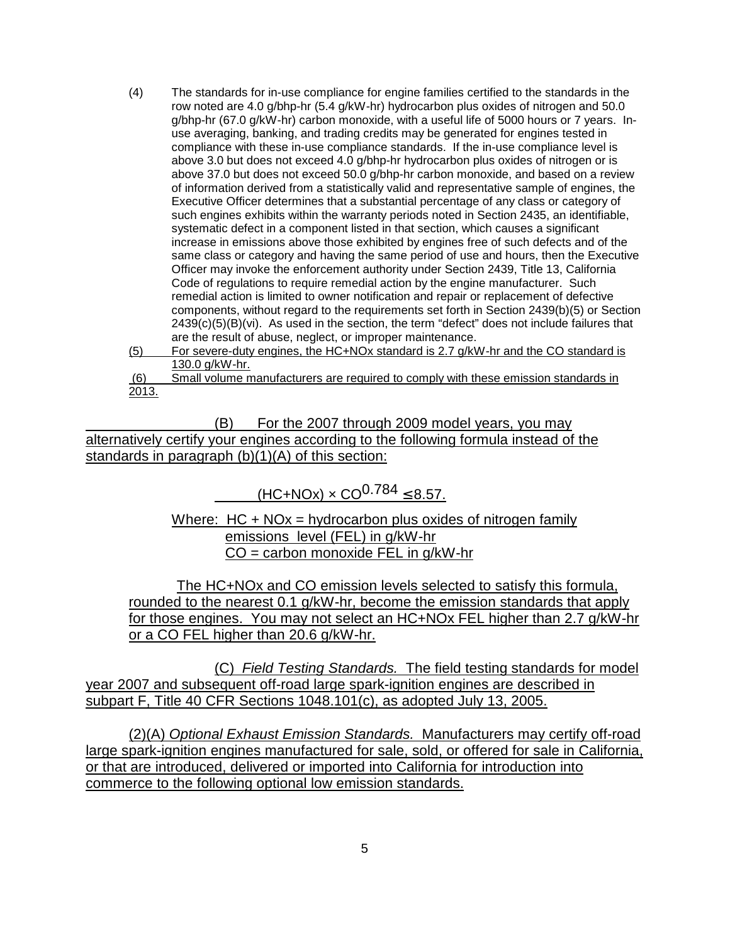- (4) The standards for in-use compliance for engine families certified to the standards in the row noted are 4.0 g/bhp-hr (5.4 g/kW-hr) hydrocarbon plus oxides of nitrogen and 50.0 g/bhp-hr (67.0 g/kW-hr) carbon monoxide, with a useful life of 5000 hours or 7 years. Inuse averaging, banking, and trading credits may be generated for engines tested in compliance with these in-use compliance standards. If the in-use compliance level is above 3.0 but does not exceed 4.0 g/bhp-hr hydrocarbon plus oxides of nitrogen or is above 37.0 but does not exceed 50.0 g/bhp-hr carbon monoxide, and based on a review of information derived from a statistically valid and representative sample of engines, the Executive Officer determines that a substantial percentage of any class or category of such engines exhibits within the warranty periods noted in Section 2435, an identifiable, systematic defect in a component listed in that section, which causes a significant increase in emissions above those exhibited by engines free of such defects and of the same class or category and having the same period of use and hours, then the Executive Officer may invoke the enforcement authority under Section 2439, Title 13, California Code of regulations to require remedial action by the engine manufacturer. Such remedial action is limited to owner notification and repair or replacement of defective components, without regard to the requirements set forth in Section 2439(b)(5) or Section 2439(c)(5)(B)(vi). As used in the section, the term "defect" does not include failures that are the result of abuse, neglect, or improper maintenance.
- (5) For severe-duty engines, the HC+NOx standard is 2.7 g/kW-hr and the CO standard is 130.0 g/kW-hr.
- (6) Small volume manufacturers are required to comply with these emission standards in 2013.

(B) For the 2007 through 2009 model years, you may alternatively certify your engines according to the following formula instead of the standards in paragraph (b)(1)(A) of this section:

 $(HC+NOx) \times CO^{0.784}$  < 8.57.

Where:  $HC + NOx = hydrocarbon plus oxides of nitrogen family$ emissions level (FEL) in g/kW-hr  $CO =$  carbon monoxide FEL in g/kW-hr

The HC+NOx and CO emission levels selected to satisfy this formula, rounded to the nearest 0.1 g/kW-hr, become the emission standards that apply for those engines. You may not select an HC+NOx FEL higher than 2.7 g/kW-hr or a CO FEL higher than 20.6 g/kW-hr.

(C) Field Testing Standards. The field testing standards for model year 2007 and subsequent off-road large spark-ignition engines are described in subpart F, Title 40 CFR Sections 1048.101(c), as adopted July 13, 2005.

(2)(A) Optional Exhaust Emission Standards. Manufacturers may certify off-road large spark-ignition engines manufactured for sale, sold, or offered for sale in California, or that are introduced, delivered or imported into California for introduction into commerce to the following optional low emission standards.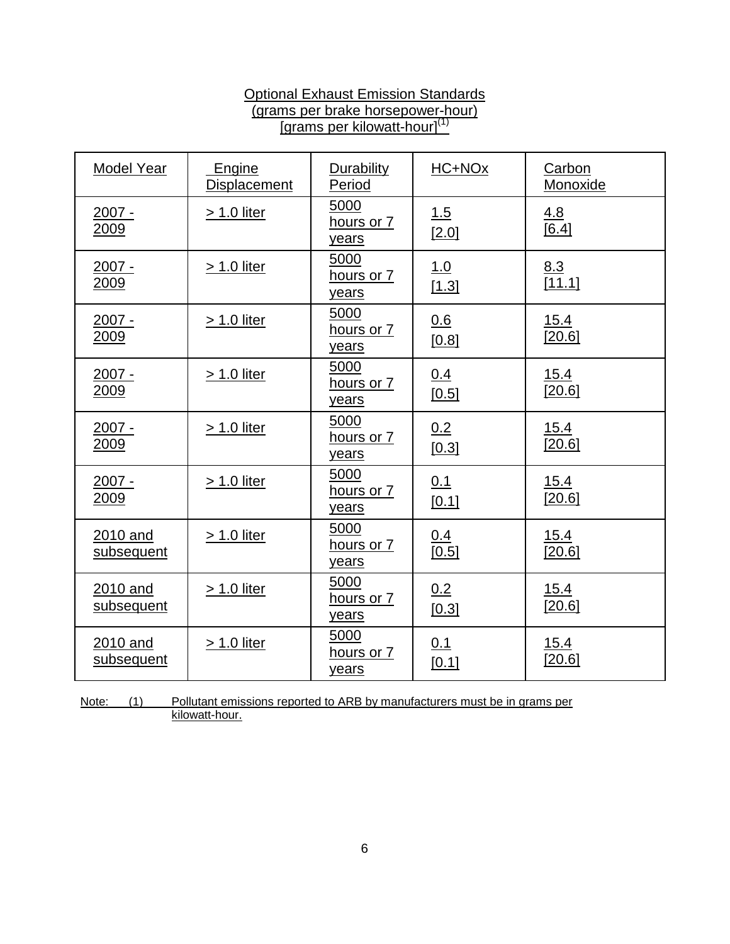# **Optional Exhaust Emission Standards** (grams per brake horsepower-hour) [grams per kilowatt-hour]<sup>(1)</sup>

| Model Year              | Engine<br><b>Displacement</b> | Durability<br>Period        | HC+NOx              | Carbon<br>Monoxide    |
|-------------------------|-------------------------------|-----------------------------|---------------------|-----------------------|
| $2007 -$<br>2009        | <u>&gt; 1.0 liter</u>         | 5000<br>hours or 7<br>years | 1.5<br>[2.0]        | <u>4.8</u><br>[6.4]   |
| $2007 -$<br>2009        | $> 1.0$ liter                 | 5000<br>hours or 7<br>years | 1.0<br>[1.3]        | 8.3<br>[11.1]         |
| <u> 2007 -</u><br>2009  | > 1.0 liter                   | 5000<br>hours or 7<br>years | 0.6<br>[0.8]        | <u>15.4</u><br>[20.6] |
| <u> 2007 -</u><br>2009  | <u>&gt; 1.0 liter</u>         | 5000<br>hours or 7<br>years | <u>0.4</u><br>[0.5] | 15.4<br>[20.6]        |
| $2007 -$<br><u>2009</u> | <u>&gt; 1.0 liter</u>         | 5000<br>hours or 7<br>years | 0.2<br>[0.3]        | 15.4<br>[20.6]        |
| $2007 -$<br>2009        | $> 1.0$ liter                 | 5000<br>hours or 7<br>years | 0.1<br>[0.1]        | 15.4<br>[20.6]        |
| 2010 and<br>subsequent  | > 1.0 liter                   | 5000<br>hours or 7<br>years | <u>0.4</u><br>[0.5] | 15.4<br>[20.6]        |
| 2010 and<br>subsequent  | > 1.0 liter                   | 5000<br>hours or 7<br>years | 0.2<br>[0.3]        | 15.4<br>[20.6]        |
| 2010 and<br>subsequent  | <u>&gt; 1.0 liter</u>         | 5000<br>hours or 7<br>years | 0.1<br>[0.1]        | 15.4<br>[20.6]        |

Note: (1) Pollutant emissions reported to ARB by manufacturers must be in grams per kilowatt-hour.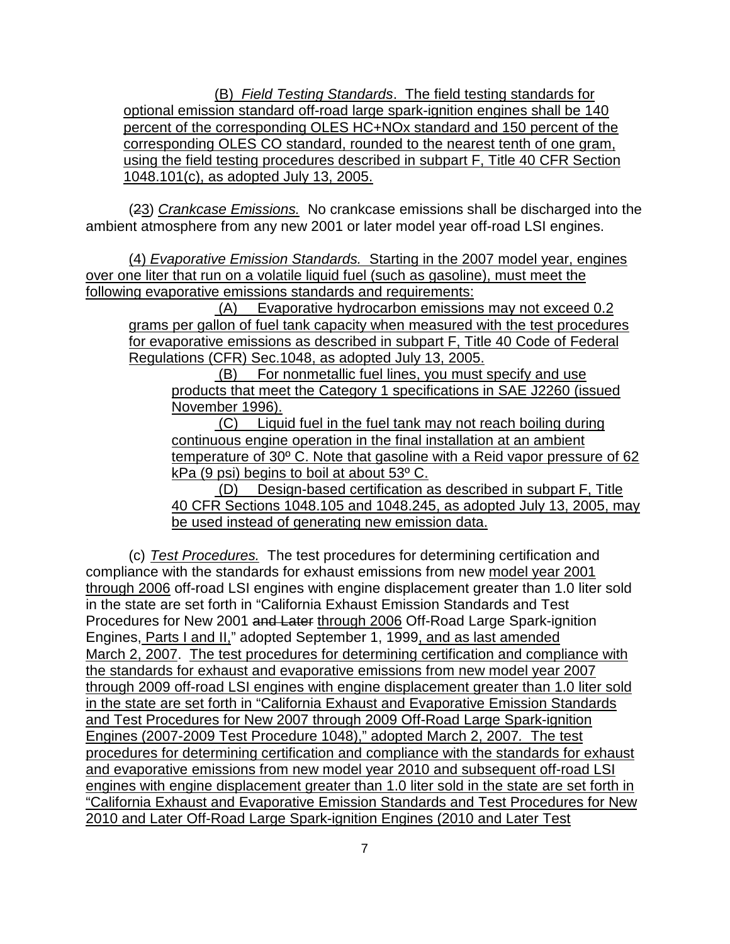(B) Field Testing Standards. The field testing standards for optional emission standard off-road large spark-ignition engines shall be 140 percent of the corresponding OLES HC+NOx standard and 150 percent of the corresponding OLES CO standard, rounded to the nearest tenth of one gram, using the field testing procedures described in subpart F, Title 40 CFR Section 1048.101(c), as adopted July 13, 2005.

(23) Crankcase Emissions. No crankcase emissions shall be discharged into the ambient atmosphere from any new 2001 or later model year off-road LSI engines.

(4) Evaporative Emission Standards. Starting in the 2007 model year, engines over one liter that run on a volatile liquid fuel (such as gasoline), must meet the following evaporative emissions standards and requirements:

 (A) Evaporative hydrocarbon emissions may not exceed 0.2 grams per gallon of fuel tank capacity when measured with the test procedures for evaporative emissions as described in subpart F, Title 40 Code of Federal Regulations (CFR) Sec.1048, as adopted July 13, 2005.

 (B) For nonmetallic fuel lines, you must specify and use products that meet the Category 1 specifications in SAE J2260 (issued November 1996).

 (C) Liquid fuel in the fuel tank may not reach boiling during continuous engine operation in the final installation at an ambient temperature of 30º C. Note that gasoline with a Reid vapor pressure of 62 kPa (9 psi) begins to boil at about 53º C.

 (D) Design-based certification as described in subpart F, Title 40 CFR Sections 1048.105 and 1048.245, as adopted July 13, 2005, may be used instead of generating new emission data.

(c) Test Procedures. The test procedures for determining certification and compliance with the standards for exhaust emissions from new model year 2001 through 2006 off-road LSI engines with engine displacement greater than 1.0 liter sold in the state are set forth in "California Exhaust Emission Standards and Test Procedures for New 2001 and Later through 2006 Off-Road Large Spark-ignition Engines, Parts I and II," adopted September 1, 1999, and as last amended March 2, 2007. The test procedures for determining certification and compliance with the standards for exhaust and evaporative emissions from new model year 2007 through 2009 off-road LSI engines with engine displacement greater than 1.0 liter sold in the state are set forth in "California Exhaust and Evaporative Emission Standards and Test Procedures for New 2007 through 2009 Off-Road Large Spark-ignition Engines (2007-2009 Test Procedure 1048)," adopted March 2, 2007. The test procedures for determining certification and compliance with the standards for exhaust and evaporative emissions from new model year 2010 and subsequent off-road LSI engines with engine displacement greater than 1.0 liter sold in the state are set forth in "California Exhaust and Evaporative Emission Standards and Test Procedures for New 2010 and Later Off-Road Large Spark-ignition Engines (2010 and Later Test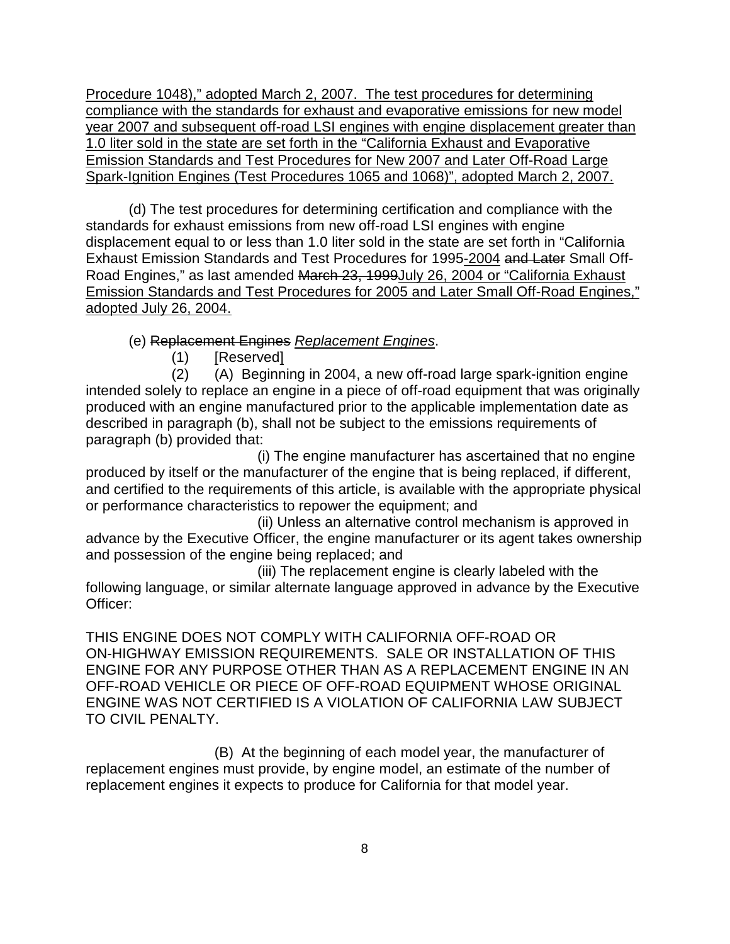Procedure 1048)," adopted March 2, 2007. The test procedures for determining compliance with the standards for exhaust and evaporative emissions for new model year 2007 and subsequent off-road LSI engines with engine displacement greater than 1.0 liter sold in the state are set forth in the "California Exhaust and Evaporative Emission Standards and Test Procedures for New 2007 and Later Off-Road Large Spark-Ignition Engines (Test Procedures 1065 and 1068)", adopted March 2, 2007.

(d) The test procedures for determining certification and compliance with the standards for exhaust emissions from new off-road LSI engines with engine displacement equal to or less than 1.0 liter sold in the state are set forth in "California Exhaust Emission Standards and Test Procedures for 1995-2004 and Later Small Off-Road Engines," as last amended March 23, 1999July 26, 2004 or "California Exhaust Emission Standards and Test Procedures for 2005 and Later Small Off-Road Engines," adopted July 26, 2004.

(e) Replacement Engines Replacement Engines.

(1) [Reserved]

(2) (A) Beginning in 2004, a new off-road large spark-ignition engine intended solely to replace an engine in a piece of off-road equipment that was originally produced with an engine manufactured prior to the applicable implementation date as described in paragraph (b), shall not be subject to the emissions requirements of paragraph (b) provided that:

(i) The engine manufacturer has ascertained that no engine produced by itself or the manufacturer of the engine that is being replaced, if different, and certified to the requirements of this article, is available with the appropriate physical or performance characteristics to repower the equipment; and

(ii) Unless an alternative control mechanism is approved in advance by the Executive Officer, the engine manufacturer or its agent takes ownership and possession of the engine being replaced; and

(iii) The replacement engine is clearly labeled with the following language, or similar alternate language approved in advance by the Executive Officer:

THIS ENGINE DOES NOT COMPLY WITH CALIFORNIA OFF-ROAD OR ON-HIGHWAY EMISSION REQUIREMENTS. SALE OR INSTALLATION OF THIS ENGINE FOR ANY PURPOSE OTHER THAN AS A REPLACEMENT ENGINE IN AN OFF-ROAD VEHICLE OR PIECE OF OFF-ROAD EQUIPMENT WHOSE ORIGINAL ENGINE WAS NOT CERTIFIED IS A VIOLATION OF CALIFORNIA LAW SUBJECT TO CIVIL PENALTY.

(B) At the beginning of each model year, the manufacturer of replacement engines must provide, by engine model, an estimate of the number of replacement engines it expects to produce for California for that model year.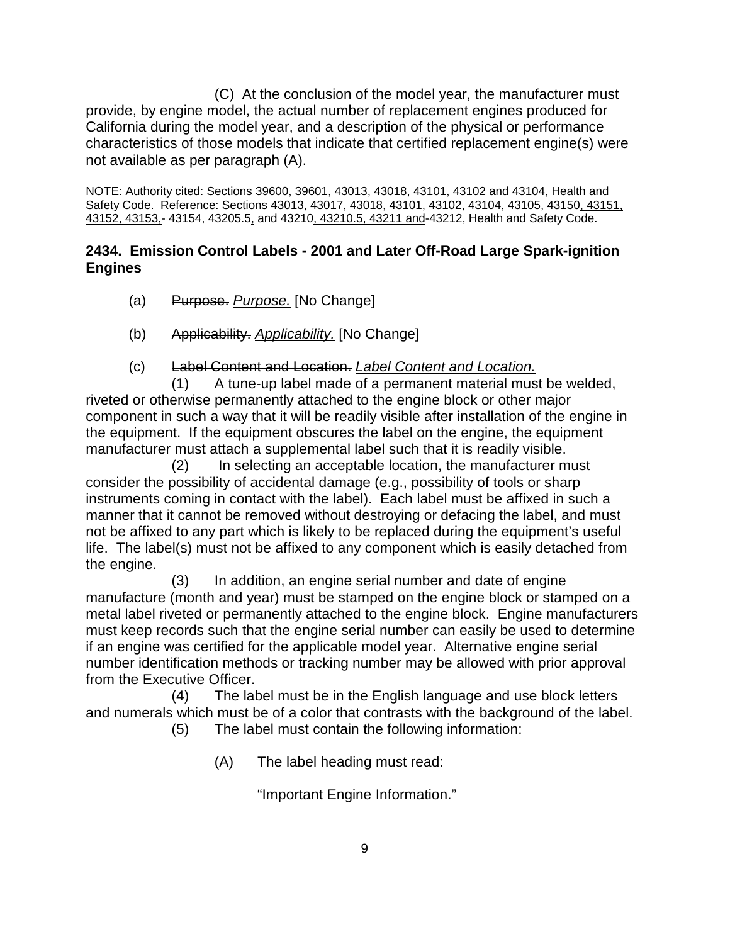(C) At the conclusion of the model year, the manufacturer must provide, by engine model, the actual number of replacement engines produced for California during the model year, and a description of the physical or performance characteristics of those models that indicate that certified replacement engine(s) were not available as per paragraph (A).

NOTE: Authority cited: Sections 39600, 39601, 43013, 43018, 43101, 43102 and 43104, Health and Safety Code. Reference: Sections 43013, 43017, 43018, 43101, 43102, 43104, 43105, 43150, 43151, 43152, 43153,- 43154, 43205.5, and 43210, 43210.5, 43211 and-43212, Health and Safety Code.

# **2434. Emission Control Labels - 2001 and Later Off-Road Large Spark-ignition Engines**

- (a) Purpose. Purpose. [No Change]
- (b) Applicability. Applicability. [No Change]
- (c) Label Content and Location. Label Content and Location.

(1) A tune-up label made of a permanent material must be welded, riveted or otherwise permanently attached to the engine block or other major component in such a way that it will be readily visible after installation of the engine in the equipment. If the equipment obscures the label on the engine, the equipment manufacturer must attach a supplemental label such that it is readily visible.

(2) In selecting an acceptable location, the manufacturer must consider the possibility of accidental damage (e.g., possibility of tools or sharp instruments coming in contact with the label). Each label must be affixed in such a manner that it cannot be removed without destroying or defacing the label, and must not be affixed to any part which is likely to be replaced during the equipment's useful life. The label(s) must not be affixed to any component which is easily detached from the engine.

(3) In addition, an engine serial number and date of engine manufacture (month and year) must be stamped on the engine block or stamped on a metal label riveted or permanently attached to the engine block. Engine manufacturers must keep records such that the engine serial number can easily be used to determine if an engine was certified for the applicable model year. Alternative engine serial number identification methods or tracking number may be allowed with prior approval from the Executive Officer.

(4) The label must be in the English language and use block letters and numerals which must be of a color that contrasts with the background of the label.

(5) The label must contain the following information:

(A) The label heading must read:

"Important Engine Information."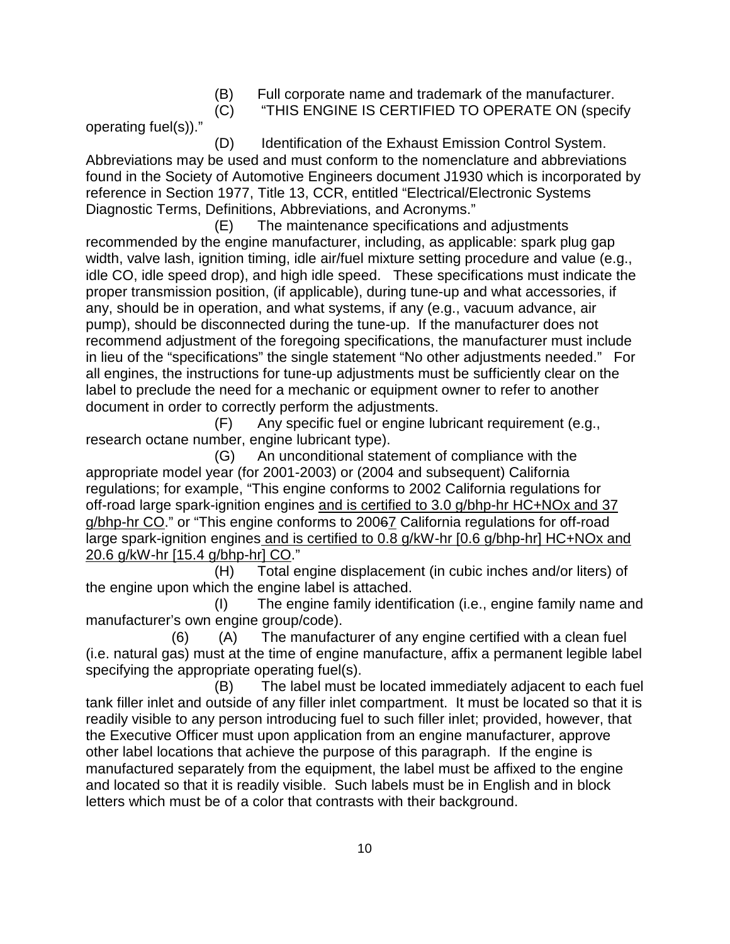(B) Full corporate name and trademark of the manufacturer.

(C) "THIS ENGINE IS CERTIFIED TO OPERATE ON (specify

operating fuel(s))."

(D) Identification of the Exhaust Emission Control System. Abbreviations may be used and must conform to the nomenclature and abbreviations found in the Society of Automotive Engineers document J1930 which is incorporated by reference in Section 1977, Title 13, CCR, entitled "Electrical/Electronic Systems Diagnostic Terms, Definitions, Abbreviations, and Acronyms."

(E) The maintenance specifications and adjustments recommended by the engine manufacturer, including, as applicable: spark plug gap width, valve lash, ignition timing, idle air/fuel mixture setting procedure and value (e.g., idle CO, idle speed drop), and high idle speed. These specifications must indicate the proper transmission position, (if applicable), during tune-up and what accessories, if any, should be in operation, and what systems, if any (e.g., vacuum advance, air pump), should be disconnected during the tune-up. If the manufacturer does not recommend adjustment of the foregoing specifications, the manufacturer must include in lieu of the "specifications" the single statement "No other adjustments needed." For all engines, the instructions for tune-up adjustments must be sufficiently clear on the label to preclude the need for a mechanic or equipment owner to refer to another document in order to correctly perform the adjustments.

(F) Any specific fuel or engine lubricant requirement (e.g., research octane number, engine lubricant type).

(G) An unconditional statement of compliance with the appropriate model year (for 2001-2003) or (2004 and subsequent) California regulations; for example, "This engine conforms to 2002 California regulations for off-road large spark-ignition engines and is certified to 3.0 g/bhp-hr HC+NOx and 37 g/bhp-hr CO." or "This engine conforms to 20067 California regulations for off-road large spark-ignition engines and is certified to 0.8 g/kW-hr [0.6 g/bhp-hr] HC+NOx and 20.6 g/kW-hr [15.4 g/bhp-hr] CO."

(H) Total engine displacement (in cubic inches and/or liters) of the engine upon which the engine label is attached.

(I) The engine family identification (i.e., engine family name and manufacturer's own engine group/code).

 (6) (A) The manufacturer of any engine certified with a clean fuel (i.e. natural gas) must at the time of engine manufacture, affix a permanent legible label specifying the appropriate operating fuel(s).

(B) The label must be located immediately adjacent to each fuel tank filler inlet and outside of any filler inlet compartment. It must be located so that it is readily visible to any person introducing fuel to such filler inlet; provided, however, that the Executive Officer must upon application from an engine manufacturer, approve other label locations that achieve the purpose of this paragraph. If the engine is manufactured separately from the equipment, the label must be affixed to the engine and located so that it is readily visible. Such labels must be in English and in block letters which must be of a color that contrasts with their background.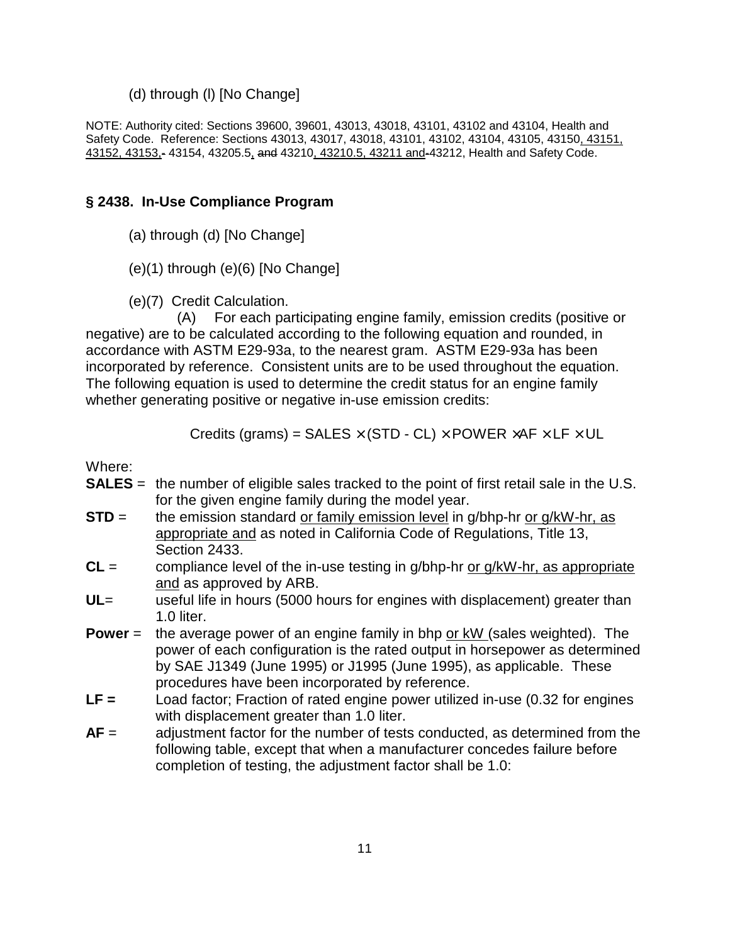#### (d) through (l) [No Change]

NOTE: Authority cited: Sections 39600, 39601, 43013, 43018, 43101, 43102 and 43104, Health and Safety Code. Reference: Sections 43013, 43017, 43018, 43101, 43102, 43104, 43105, 43150, 43151, 43152, 43153,- 43154, 43205.5, and 43210, 43210.5, 43211 and-43212, Health and Safety Code.

#### **§ 2438. In-Use Compliance Program**

(a) through (d) [No Change]

(e)(1) through (e)(6) [No Change]

(e)(7) Credit Calculation.

(A) For each participating engine family, emission credits (positive or negative) are to be calculated according to the following equation and rounded, in accordance with ASTM E29-93a, to the nearest gram. ASTM E29-93a has been incorporated by reference. Consistent units are to be used throughout the equation. The following equation is used to determine the credit status for an engine family whether generating positive or negative in-use emission credits:

Credits (grams) = SALES  $\times$  (STD - CL)  $\times$  POWER  $\times$ AF  $\times$  LF  $\times$  UL

Where:

- **SALES** = the number of eligible sales tracked to the point of first retail sale in the U.S. for the given engine family during the model year.
- **STD** = the emission standard or family emission level in g/bhp-hr or g/kW-hr, as appropriate and as noted in California Code of Regulations, Title 13, Section 2433.
- **CL** = compliance level of the in-use testing in g/bhp-hr or g/kW-hr, as appropriate and as approved by ARB.
- **UL**= useful life in hours (5000 hours for engines with displacement) greater than 1.0 liter.
- **Power** = the average power of an engine family in bhp or kW (sales weighted). The power of each configuration is the rated output in horsepower as determined by SAE J1349 (June 1995) or J1995 (June 1995), as applicable. These procedures have been incorporated by reference.
- **LF =** Load factor; Fraction of rated engine power utilized in-use (0.32 for engines with displacement greater than 1.0 liter.
- **AF** = adjustment factor for the number of tests conducted, as determined from the following table, except that when a manufacturer concedes failure before completion of testing, the adjustment factor shall be 1.0: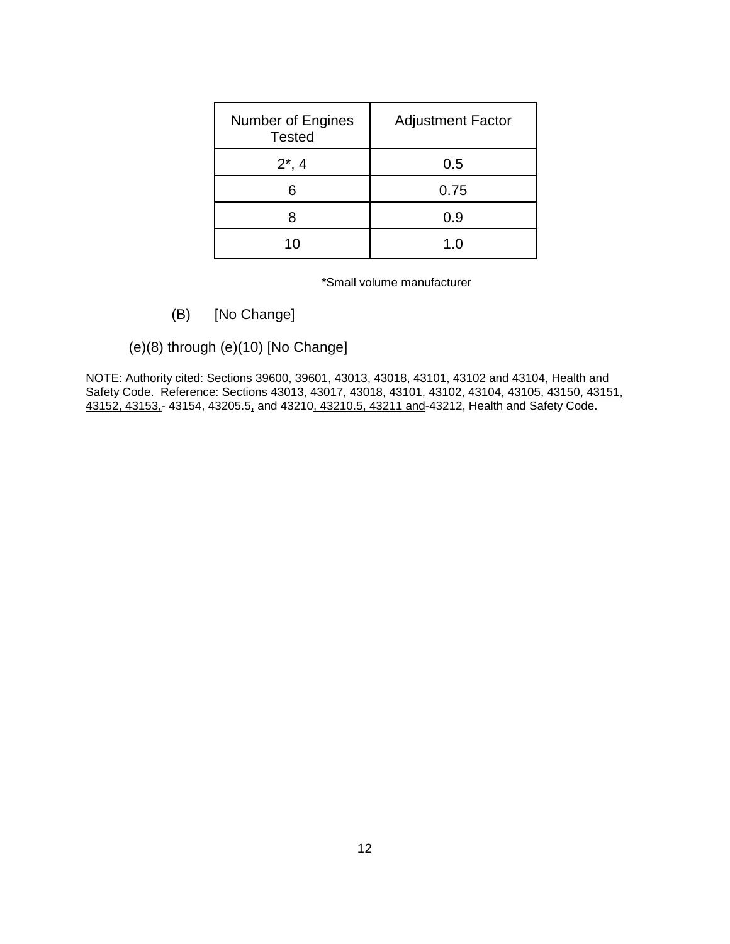| <b>Number of Engines</b><br><b>Tested</b> | <b>Adjustment Factor</b> |
|-------------------------------------------|--------------------------|
| $2^*$ , 4                                 | 0.5                      |
| հ                                         | 0.75                     |
|                                           | 0.9                      |
| 10                                        | 1.0                      |

\*Small volume manufacturer

## (B) [No Change]

(e)(8) through (e)(10) [No Change]

NOTE: Authority cited: Sections 39600, 39601, 43013, 43018, 43101, 43102 and 43104, Health and Safety Code. Reference: Sections 43013, 43017, 43018, 43101, 43102, 43104, 43105, 43150, 43151, 43152, 43153,- 43154, 43205.5, and 43210, 43210.5, 43211 and-43212, Health and Safety Code.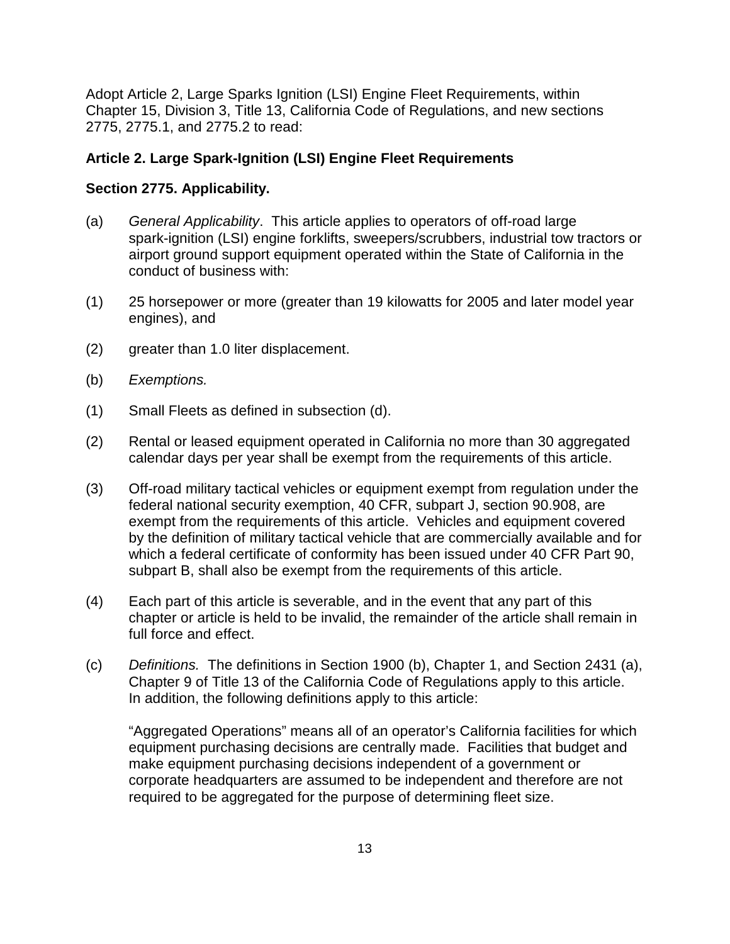Adopt Article 2, Large Sparks Ignition (LSI) Engine Fleet Requirements, within Chapter 15, Division 3, Title 13, California Code of Regulations, and new sections 2775, 2775.1, and 2775.2 to read:

# **Article 2. Large Spark-Ignition (LSI) Engine Fleet Requirements**

## **Section 2775. Applicability.**

- (a) General Applicability. This article applies to operators of off-road large spark-ignition (LSI) engine forklifts, sweepers/scrubbers, industrial tow tractors or airport ground support equipment operated within the State of California in the conduct of business with:
- (1) 25 horsepower or more (greater than 19 kilowatts for 2005 and later model year engines), and
- (2) greater than 1.0 liter displacement.
- (b) Exemptions.
- (1) Small Fleets as defined in subsection (d).
- (2) Rental or leased equipment operated in California no more than 30 aggregated calendar days per year shall be exempt from the requirements of this article.
- (3) Off-road military tactical vehicles or equipment exempt from regulation under the federal national security exemption, 40 CFR, subpart J, section 90.908, are exempt from the requirements of this article. Vehicles and equipment covered by the definition of military tactical vehicle that are commercially available and for which a federal certificate of conformity has been issued under 40 CFR Part 90, subpart B, shall also be exempt from the requirements of this article.
- (4) Each part of this article is severable, and in the event that any part of this chapter or article is held to be invalid, the remainder of the article shall remain in full force and effect.
- (c) Definitions. The definitions in Section 1900 (b), Chapter 1, and Section 2431 (a), Chapter 9 of Title 13 of the California Code of Regulations apply to this article. In addition, the following definitions apply to this article:

"Aggregated Operations" means all of an operator's California facilities for which equipment purchasing decisions are centrally made. Facilities that budget and make equipment purchasing decisions independent of a government or corporate headquarters are assumed to be independent and therefore are not required to be aggregated for the purpose of determining fleet size.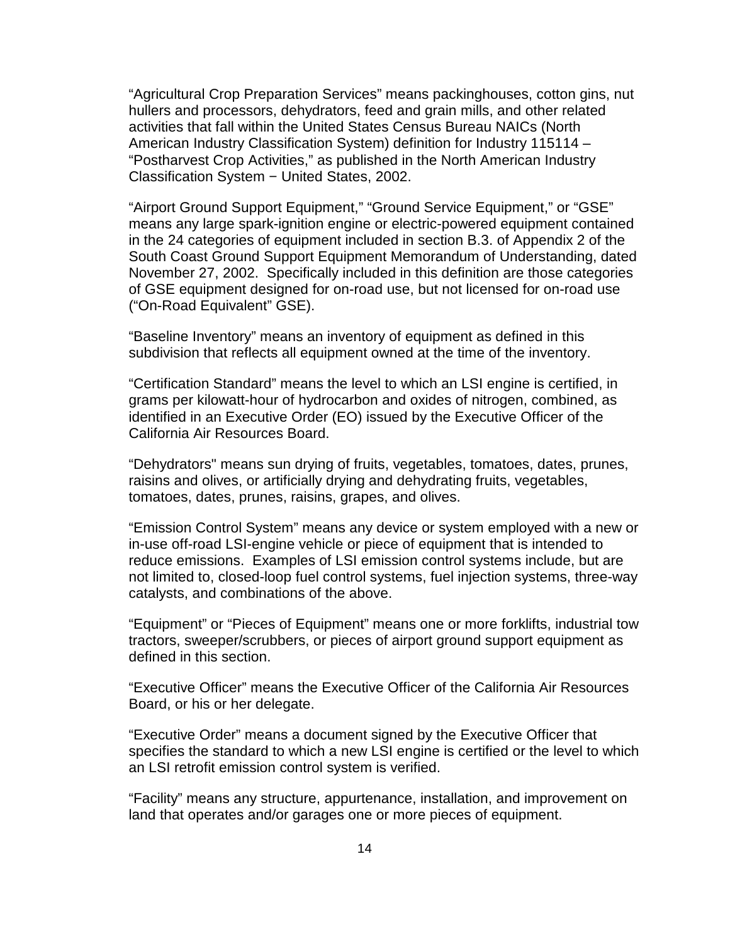"Agricultural Crop Preparation Services" means packinghouses, cotton gins, nut hullers and processors, dehydrators, feed and grain mills, and other related activities that fall within the United States Census Bureau NAICs (North American Industry Classification System) definition for Industry 115114 – "Postharvest Crop Activities," as published in the North American Industry Classification System − United States, 2002.

"Airport Ground Support Equipment," "Ground Service Equipment," or "GSE" means any large spark-ignition engine or electric-powered equipment contained in the 24 categories of equipment included in section B.3. of Appendix 2 of the South Coast Ground Support Equipment Memorandum of Understanding, dated November 27, 2002. Specifically included in this definition are those categories of GSE equipment designed for on-road use, but not licensed for on-road use ("On-Road Equivalent" GSE).

"Baseline Inventory" means an inventory of equipment as defined in this subdivision that reflects all equipment owned at the time of the inventory.

"Certification Standard" means the level to which an LSI engine is certified, in grams per kilowatt-hour of hydrocarbon and oxides of nitrogen, combined, as identified in an Executive Order (EO) issued by the Executive Officer of the California Air Resources Board.

"Dehydrators" means sun drying of fruits, vegetables, tomatoes, dates, prunes, raisins and olives, or artificially drying and dehydrating fruits, vegetables, tomatoes, dates, prunes, raisins, grapes, and olives.

"Emission Control System" means any device or system employed with a new or in-use off-road LSI-engine vehicle or piece of equipment that is intended to reduce emissions. Examples of LSI emission control systems include, but are not limited to, closed-loop fuel control systems, fuel injection systems, three-way catalysts, and combinations of the above.

"Equipment" or "Pieces of Equipment" means one or more forklifts, industrial tow tractors, sweeper/scrubbers, or pieces of airport ground support equipment as defined in this section.

"Executive Officer" means the Executive Officer of the California Air Resources Board, or his or her delegate.

"Executive Order" means a document signed by the Executive Officer that specifies the standard to which a new LSI engine is certified or the level to which an LSI retrofit emission control system is verified.

"Facility" means any structure, appurtenance, installation, and improvement on land that operates and/or garages one or more pieces of equipment.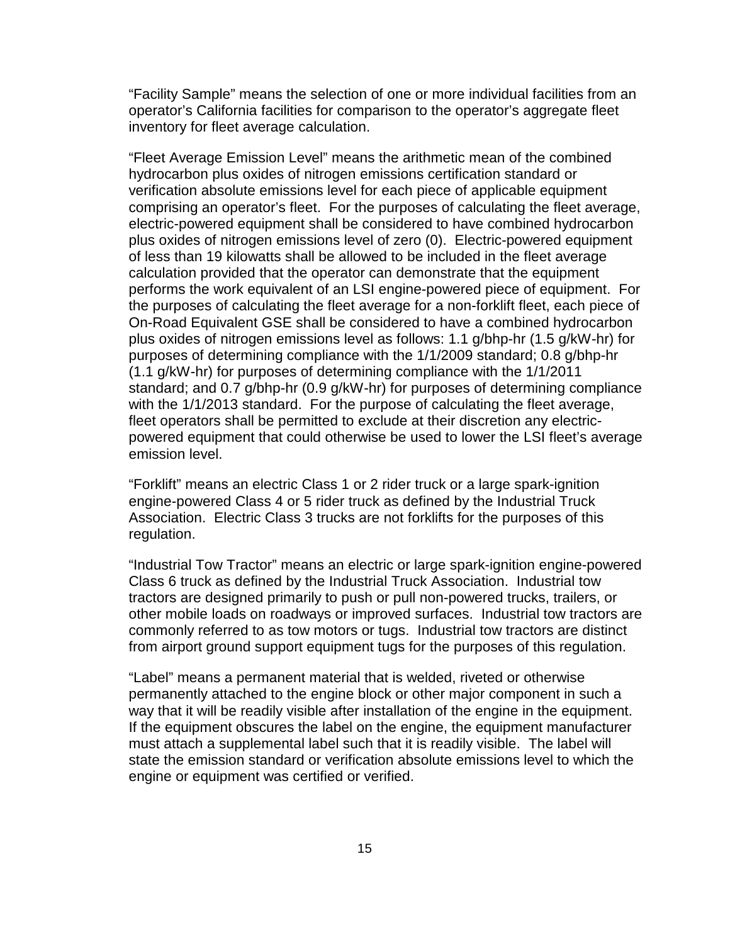"Facility Sample" means the selection of one or more individual facilities from an operator's California facilities for comparison to the operator's aggregate fleet inventory for fleet average calculation.

"Fleet Average Emission Level" means the arithmetic mean of the combined hydrocarbon plus oxides of nitrogen emissions certification standard or verification absolute emissions level for each piece of applicable equipment comprising an operator's fleet. For the purposes of calculating the fleet average, electric-powered equipment shall be considered to have combined hydrocarbon plus oxides of nitrogen emissions level of zero (0). Electric-powered equipment of less than 19 kilowatts shall be allowed to be included in the fleet average calculation provided that the operator can demonstrate that the equipment performs the work equivalent of an LSI engine-powered piece of equipment. For the purposes of calculating the fleet average for a non-forklift fleet, each piece of On-Road Equivalent GSE shall be considered to have a combined hydrocarbon plus oxides of nitrogen emissions level as follows: 1.1 g/bhp-hr (1.5 g/kW-hr) for purposes of determining compliance with the 1/1/2009 standard; 0.8 g/bhp-hr (1.1 g/kW-hr) for purposes of determining compliance with the 1/1/2011 standard; and 0.7 g/bhp-hr (0.9 g/kW-hr) for purposes of determining compliance with the 1/1/2013 standard. For the purpose of calculating the fleet average, fleet operators shall be permitted to exclude at their discretion any electricpowered equipment that could otherwise be used to lower the LSI fleet's average emission level.

"Forklift" means an electric Class 1 or 2 rider truck or a large spark-ignition engine-powered Class 4 or 5 rider truck as defined by the Industrial Truck Association. Electric Class 3 trucks are not forklifts for the purposes of this regulation.

"Industrial Tow Tractor" means an electric or large spark-ignition engine-powered Class 6 truck as defined by the Industrial Truck Association. Industrial tow tractors are designed primarily to push or pull non-powered trucks, trailers, or other mobile loads on roadways or improved surfaces. Industrial tow tractors are commonly referred to as tow motors or tugs. Industrial tow tractors are distinct from airport ground support equipment tugs for the purposes of this regulation.

"Label" means a permanent material that is welded, riveted or otherwise permanently attached to the engine block or other major component in such a way that it will be readily visible after installation of the engine in the equipment. If the equipment obscures the label on the engine, the equipment manufacturer must attach a supplemental label such that it is readily visible. The label will state the emission standard or verification absolute emissions level to which the engine or equipment was certified or verified.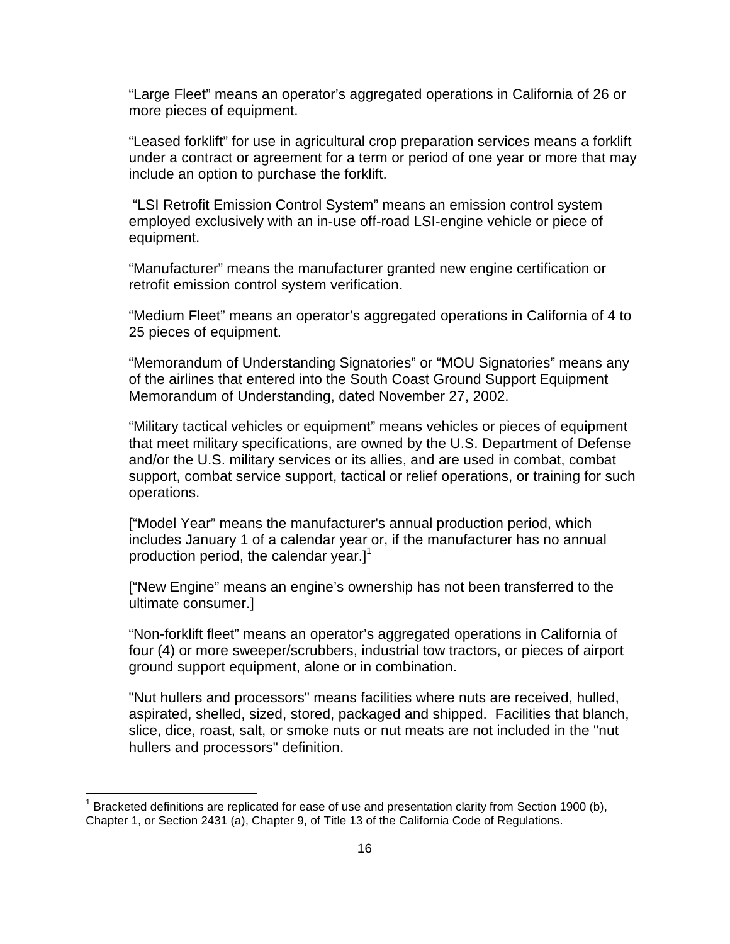"Large Fleet" means an operator's aggregated operations in California of 26 or more pieces of equipment.

"Leased forklift" for use in agricultural crop preparation services means a forklift under a contract or agreement for a term or period of one year or more that may include an option to purchase the forklift.

 "LSI Retrofit Emission Control System" means an emission control system employed exclusively with an in-use off-road LSI-engine vehicle or piece of equipment.

"Manufacturer" means the manufacturer granted new engine certification or retrofit emission control system verification.

"Medium Fleet" means an operator's aggregated operations in California of 4 to 25 pieces of equipment.

"Memorandum of Understanding Signatories" or "MOU Signatories" means any of the airlines that entered into the South Coast Ground Support Equipment Memorandum of Understanding, dated November 27, 2002.

"Military tactical vehicles or equipment" means vehicles or pieces of equipment that meet military specifications, are owned by the U.S. Department of Defense and/or the U.S. military services or its allies, and are used in combat, combat support, combat service support, tactical or relief operations, or training for such operations.

["Model Year" means the manufacturer's annual production period, which includes January 1 of a calendar year or, if the manufacturer has no annual production period, the calendar year.] $\overline{1}$ 

["New Engine" means an engine's ownership has not been transferred to the ultimate consumer.]

"Non-forklift fleet" means an operator's aggregated operations in California of four (4) or more sweeper/scrubbers, industrial tow tractors, or pieces of airport ground support equipment, alone or in combination.

"Nut hullers and processors" means facilities where nuts are received, hulled, aspirated, shelled, sized, stored, packaged and shipped. Facilities that blanch, slice, dice, roast, salt, or smoke nuts or nut meats are not included in the "nut hullers and processors" definition.

 $\overline{a}$ 

<sup>1</sup> Bracketed definitions are replicated for ease of use and presentation clarity from Section 1900 (b), Chapter 1, or Section 2431 (a), Chapter 9, of Title 13 of the California Code of Regulations.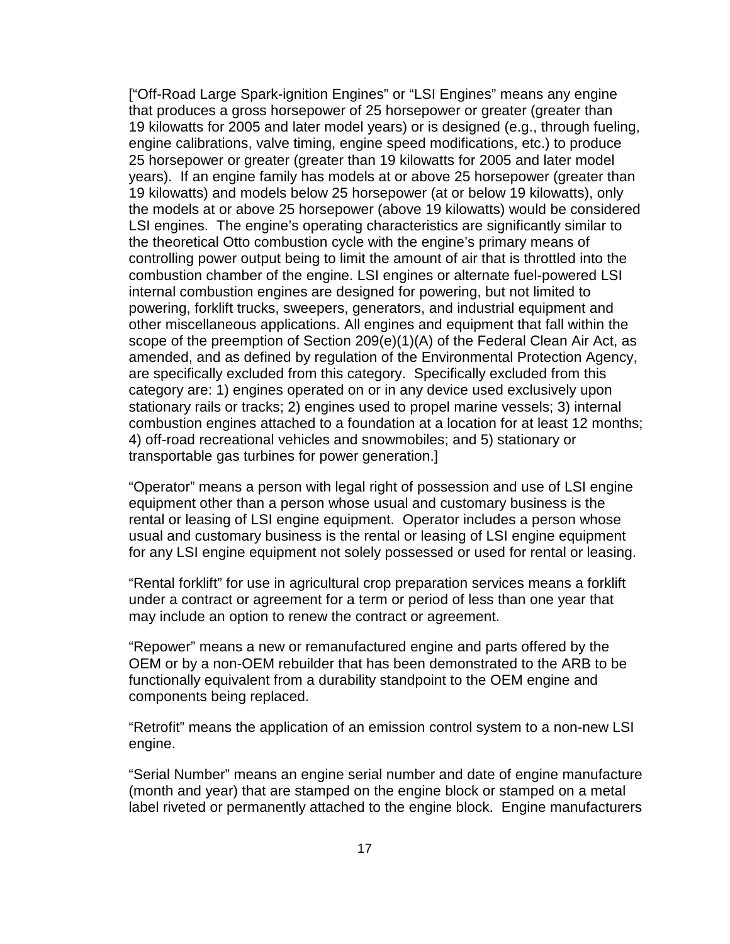["Off-Road Large Spark-ignition Engines" or "LSI Engines" means any engine that produces a gross horsepower of 25 horsepower or greater (greater than 19 kilowatts for 2005 and later model years) or is designed (e.g., through fueling, engine calibrations, valve timing, engine speed modifications, etc.) to produce 25 horsepower or greater (greater than 19 kilowatts for 2005 and later model years). If an engine family has models at or above 25 horsepower (greater than 19 kilowatts) and models below 25 horsepower (at or below 19 kilowatts), only the models at or above 25 horsepower (above 19 kilowatts) would be considered LSI engines. The engine's operating characteristics are significantly similar to the theoretical Otto combustion cycle with the engine's primary means of controlling power output being to limit the amount of air that is throttled into the combustion chamber of the engine. LSI engines or alternate fuel-powered LSI internal combustion engines are designed for powering, but not limited to powering, forklift trucks, sweepers, generators, and industrial equipment and other miscellaneous applications. All engines and equipment that fall within the scope of the preemption of Section 209(e)(1)(A) of the Federal Clean Air Act, as amended, and as defined by regulation of the Environmental Protection Agency, are specifically excluded from this category. Specifically excluded from this category are: 1) engines operated on or in any device used exclusively upon stationary rails or tracks; 2) engines used to propel marine vessels; 3) internal combustion engines attached to a foundation at a location for at least 12 months; 4) off-road recreational vehicles and snowmobiles; and 5) stationary or transportable gas turbines for power generation.]

"Operator" means a person with legal right of possession and use of LSI engine equipment other than a person whose usual and customary business is the rental or leasing of LSI engine equipment. Operator includes a person whose usual and customary business is the rental or leasing of LSI engine equipment for any LSI engine equipment not solely possessed or used for rental or leasing.

"Rental forklift" for use in agricultural crop preparation services means a forklift under a contract or agreement for a term or period of less than one year that may include an option to renew the contract or agreement.

"Repower" means a new or remanufactured engine and parts offered by the OEM or by a non-OEM rebuilder that has been demonstrated to the ARB to be functionally equivalent from a durability standpoint to the OEM engine and components being replaced.

"Retrofit" means the application of an emission control system to a non-new LSI engine.

"Serial Number" means an engine serial number and date of engine manufacture (month and year) that are stamped on the engine block or stamped on a metal label riveted or permanently attached to the engine block. Engine manufacturers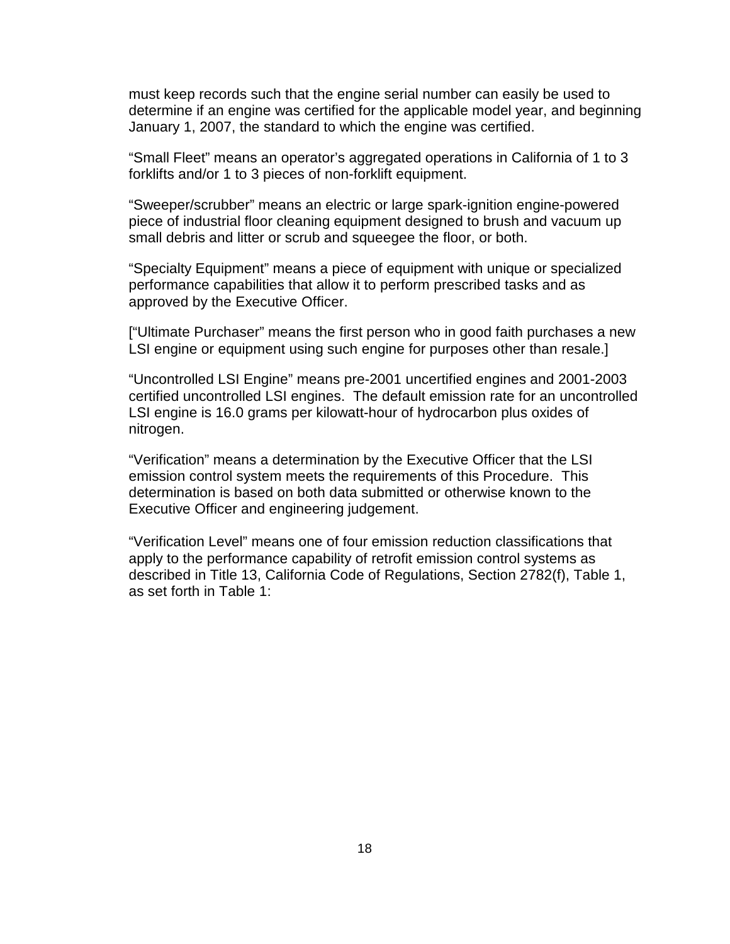must keep records such that the engine serial number can easily be used to determine if an engine was certified for the applicable model year, and beginning January 1, 2007, the standard to which the engine was certified.

"Small Fleet" means an operator's aggregated operations in California of 1 to 3 forklifts and/or 1 to 3 pieces of non-forklift equipment.

"Sweeper/scrubber" means an electric or large spark-ignition engine-powered piece of industrial floor cleaning equipment designed to brush and vacuum up small debris and litter or scrub and squeegee the floor, or both.

"Specialty Equipment" means a piece of equipment with unique or specialized performance capabilities that allow it to perform prescribed tasks and as approved by the Executive Officer.

["Ultimate Purchaser" means the first person who in good faith purchases a new LSI engine or equipment using such engine for purposes other than resale.]

"Uncontrolled LSI Engine" means pre-2001 uncertified engines and 2001-2003 certified uncontrolled LSI engines. The default emission rate for an uncontrolled LSI engine is 16.0 grams per kilowatt-hour of hydrocarbon plus oxides of nitrogen.

"Verification" means a determination by the Executive Officer that the LSI emission control system meets the requirements of this Procedure. This determination is based on both data submitted or otherwise known to the Executive Officer and engineering judgement.

"Verification Level" means one of four emission reduction classifications that apply to the performance capability of retrofit emission control systems as described in Title 13, California Code of Regulations, Section 2782(f), Table 1, as set forth in Table 1: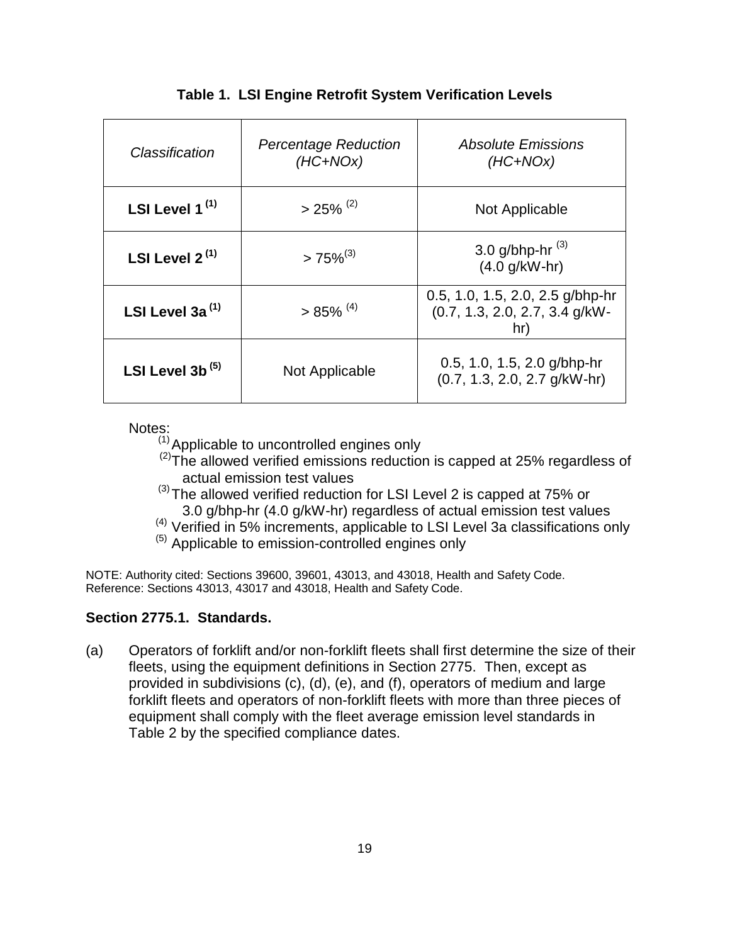| Classification      | <b>Percentage Reduction</b><br>$(HC+NOx)$ | <i><b>Absolute Emissions</b></i><br>$(HC+NOx)$                              |
|---------------------|-------------------------------------------|-----------------------------------------------------------------------------|
| LSI Level $1^{(1)}$ | $>25\%$ <sup>(2)</sup>                    | Not Applicable                                                              |
| LSI Level $2^{(1)}$ | $>75\%^{(3)}$                             | 3.0 g/bhp-hr $^{(3)}$<br>$(4.0 g/kW-hr)$                                    |
| LSI Level 3a $(1)$  | $> 85\%$ <sup>(4)</sup>                   | 0.5, 1.0, 1.5, 2.0, 2.5 g/bhp-hr<br>$(0.7, 1.3, 2.0, 2.7, 3.4$ g/kW-<br>hr) |
| LSI Level 3b $(5)$  | Not Applicable                            | 0.5, 1.0, 1.5, 2.0 $q/b$ hp-hr<br>$(0.7, 1.3, 2.0, 2.7$ g/kW-hr)            |

# **Table 1. LSI Engine Retrofit System Verification Levels**

Notes:

 $<sup>(1)</sup>$  Applicable to uncontrolled engines only</sup>

 $(2)$ The allowed verified emissions reduction is capped at 25% regardless of actual emission test values

- $(3)$  The allowed verified reduction for LSI Level 2 is capped at 75% or 3.0 g/bhp-hr (4.0 g/kW-hr) regardless of actual emission test values
- (4) Verified in 5% increments, applicable to LSI Level 3a classifications only

 $<sup>(5)</sup>$  Applicable to emission-controlled engines only</sup>

NOTE: Authority cited: Sections 39600, 39601, 43013, and 43018, Health and Safety Code. Reference: Sections 43013, 43017 and 43018, Health and Safety Code.

# **Section 2775.1. Standards.**

(a) Operators of forklift and/or non-forklift fleets shall first determine the size of their fleets, using the equipment definitions in Section 2775. Then, except as provided in subdivisions (c), (d), (e), and (f), operators of medium and large forklift fleets and operators of non-forklift fleets with more than three pieces of equipment shall comply with the fleet average emission level standards in Table 2 by the specified compliance dates.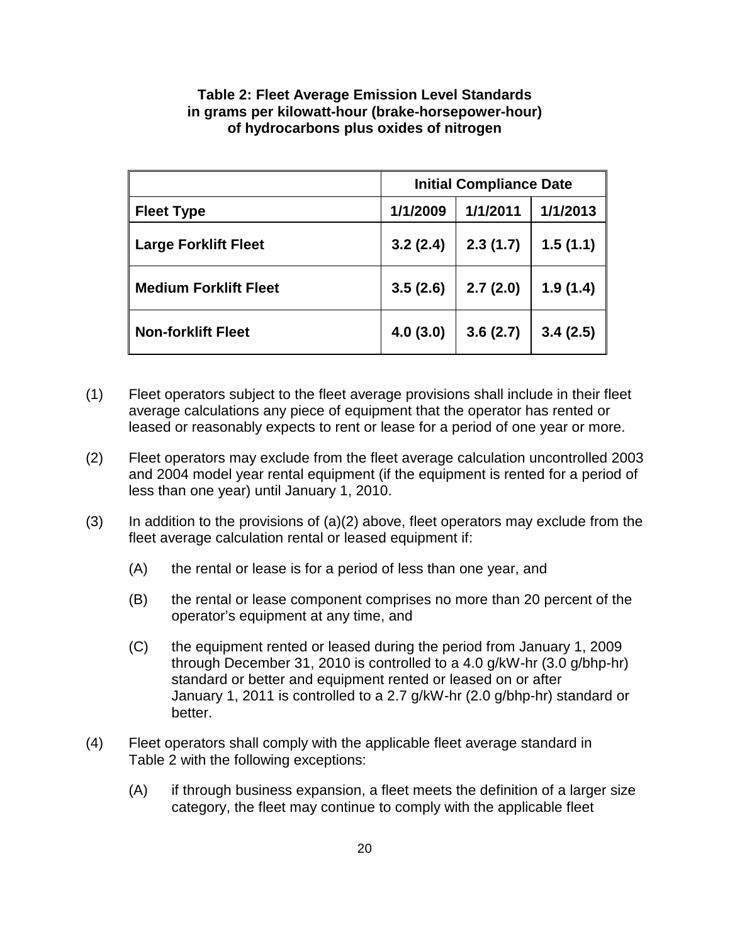|                              | <b>Initial Compliance Date</b> |          |          |
|------------------------------|--------------------------------|----------|----------|
| <b>Fleet Type</b>            | 1/1/2009                       | 1/1/2011 | 1/1/2013 |
| <b>Large Forklift Fleet</b>  | 3.2(2.4)                       | 2.3(1.7) | 1.5(1.1) |
| <b>Medium Forklift Fleet</b> | 3.5(2.6)                       | 2.7(2.0) | 1.9(1.4) |
| <b>Non-forklift Fleet</b>    | 4.0(3.0)                       | 3.6(2.7) | 3.4(2.5) |

## **Table 2: Fleet Average Emission Level Standards in grams per kilowatt-hour (brake-horsepower-hour) of hydrocarbons plus oxides of nitrogen**

- (1) Fleet operators subject to the fleet average provisions shall include in their fleet average calculations any piece of equipment that the operator has rented or leased or reasonably expects to rent or lease for a period of one year or more.
- (2) Fleet operators may exclude from the fleet average calculation uncontrolled 2003 and 2004 model year rental equipment (if the equipment is rented for a period of less than one year) until January 1, 2010.
- $(3)$  In addition to the provisions of  $(a)(2)$  above, fleet operators may exclude from the fleet average calculation rental or leased equipment if:
	- (A) the rental or lease is for a period of less than one year, and
	- (B) the rental or lease component comprises no more than 20 percent of the operator's equipment at any time, and
	- (C) the equipment rented or leased during the period from January 1, 2009 through December 31, 2010 is controlled to a 4.0 g/kW-hr (3.0 g/bhp-hr) standard or better and equipment rented or leased on or after January 1, 2011 is controlled to a 2.7 g/kW-hr (2.0 g/bhp-hr) standard or better.
- (4) Fleet operators shall comply with the applicable fleet average standard in Table 2 with the following exceptions:
	- (A) if through business expansion, a fleet meets the definition of a larger size category, the fleet may continue to comply with the applicable fleet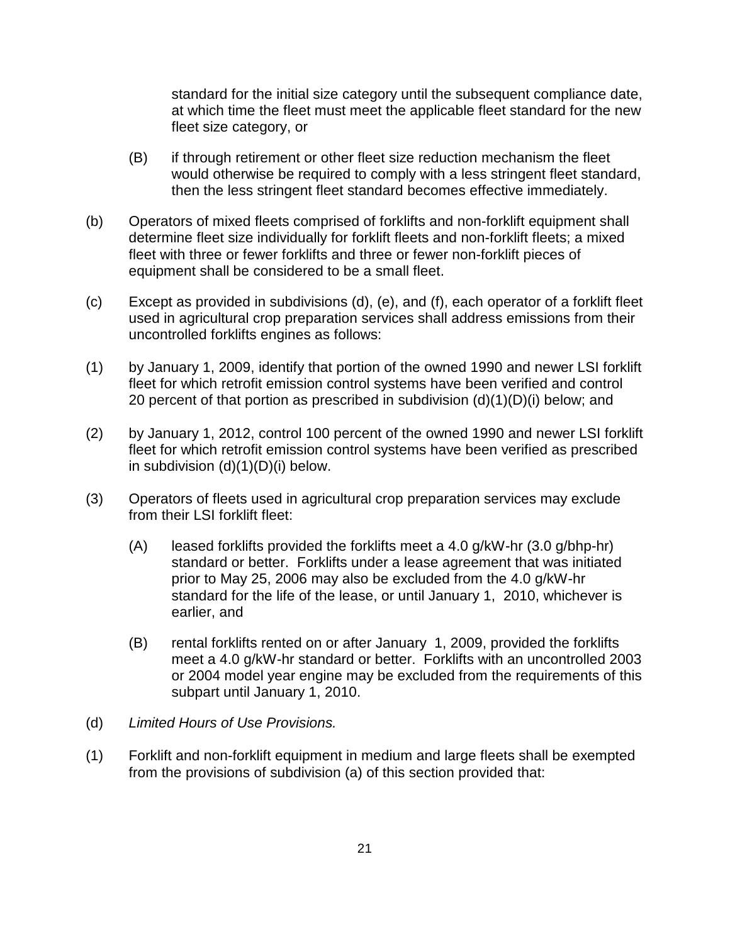standard for the initial size category until the subsequent compliance date, at which time the fleet must meet the applicable fleet standard for the new fleet size category, or

- (B) if through retirement or other fleet size reduction mechanism the fleet would otherwise be required to comply with a less stringent fleet standard, then the less stringent fleet standard becomes effective immediately.
- (b) Operators of mixed fleets comprised of forklifts and non-forklift equipment shall determine fleet size individually for forklift fleets and non-forklift fleets; a mixed fleet with three or fewer forklifts and three or fewer non-forklift pieces of equipment shall be considered to be a small fleet.
- (c) Except as provided in subdivisions (d), (e), and (f), each operator of a forklift fleet used in agricultural crop preparation services shall address emissions from their uncontrolled forklifts engines as follows:
- (1) by January 1, 2009, identify that portion of the owned 1990 and newer LSI forklift fleet for which retrofit emission control systems have been verified and control 20 percent of that portion as prescribed in subdivision (d)(1)(D)(i) below; and
- (2) by January 1, 2012, control 100 percent of the owned 1990 and newer LSI forklift fleet for which retrofit emission control systems have been verified as prescribed in subdivision (d)(1)(D)(i) below.
- (3) Operators of fleets used in agricultural crop preparation services may exclude from their LSI forklift fleet:
	- (A) leased forklifts provided the forklifts meet a 4.0 g/kW-hr (3.0 g/bhp-hr) standard or better. Forklifts under a lease agreement that was initiated prior to May 25, 2006 may also be excluded from the 4.0 g/kW-hr standard for the life of the lease, or until January 1, 2010, whichever is earlier, and
	- (B) rental forklifts rented on or after January 1, 2009, provided the forklifts meet a 4.0 g/kW-hr standard or better. Forklifts with an uncontrolled 2003 or 2004 model year engine may be excluded from the requirements of this subpart until January 1, 2010.
- (d) Limited Hours of Use Provisions.
- (1) Forklift and non-forklift equipment in medium and large fleets shall be exempted from the provisions of subdivision (a) of this section provided that: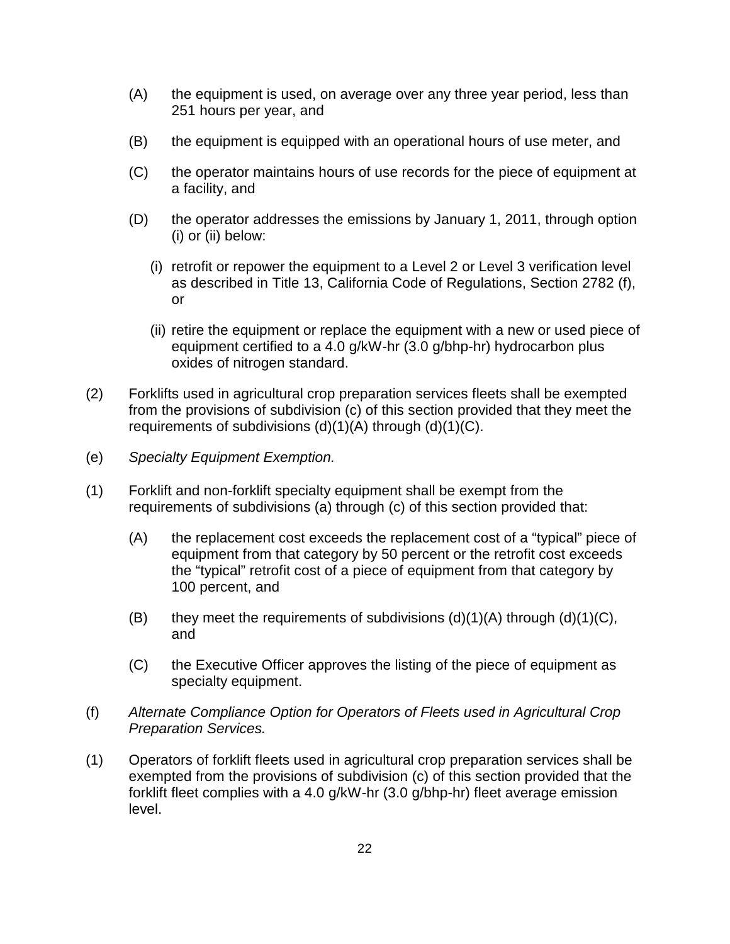- (A) the equipment is used, on average over any three year period, less than 251 hours per year, and
- (B) the equipment is equipped with an operational hours of use meter, and
- (C) the operator maintains hours of use records for the piece of equipment at a facility, and
- (D) the operator addresses the emissions by January 1, 2011, through option (i) or (ii) below:
	- (i) retrofit or repower the equipment to a Level 2 or Level 3 verification level as described in Title 13, California Code of Regulations, Section 2782 (f), or
	- (ii) retire the equipment or replace the equipment with a new or used piece of equipment certified to a 4.0 g/kW-hr (3.0 g/bhp-hr) hydrocarbon plus oxides of nitrogen standard.
- (2) Forklifts used in agricultural crop preparation services fleets shall be exempted from the provisions of subdivision (c) of this section provided that they meet the requirements of subdivisions (d)(1)(A) through (d)(1)(C).
- (e) Specialty Equipment Exemption.
- (1) Forklift and non-forklift specialty equipment shall be exempt from the requirements of subdivisions (a) through (c) of this section provided that:
	- (A) the replacement cost exceeds the replacement cost of a "typical" piece of equipment from that category by 50 percent or the retrofit cost exceeds the "typical" retrofit cost of a piece of equipment from that category by 100 percent, and
	- (B) they meet the requirements of subdivisions  $(d)(1)(A)$  through  $(d)(1)(C)$ , and
	- (C) the Executive Officer approves the listing of the piece of equipment as specialty equipment.
- (f) Alternate Compliance Option for Operators of Fleets used in Agricultural Crop Preparation Services.
- (1) Operators of forklift fleets used in agricultural crop preparation services shall be exempted from the provisions of subdivision (c) of this section provided that the forklift fleet complies with a 4.0 g/kW-hr (3.0 g/bhp-hr) fleet average emission level.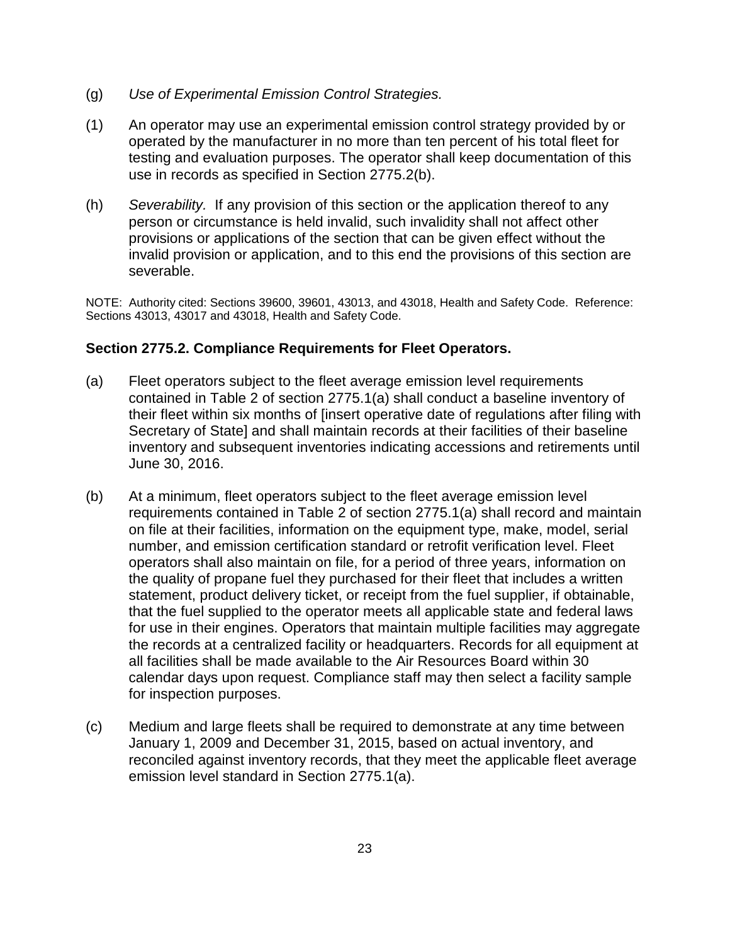- (g) Use of Experimental Emission Control Strategies.
- (1) An operator may use an experimental emission control strategy provided by or operated by the manufacturer in no more than ten percent of his total fleet for testing and evaluation purposes. The operator shall keep documentation of this use in records as specified in Section 2775.2(b).
- (h) Severability. If any provision of this section or the application thereof to any person or circumstance is held invalid, such invalidity shall not affect other provisions or applications of the section that can be given effect without the invalid provision or application, and to this end the provisions of this section are severable.

NOTE: Authority cited: Sections 39600, 39601, 43013, and 43018, Health and Safety Code. Reference: Sections 43013, 43017 and 43018, Health and Safety Code.

## **Section 2775.2. Compliance Requirements for Fleet Operators.**

- (a) Fleet operators subject to the fleet average emission level requirements contained in Table 2 of section 2775.1(a) shall conduct a baseline inventory of their fleet within six months of [insert operative date of regulations after filing with Secretary of State] and shall maintain records at their facilities of their baseline inventory and subsequent inventories indicating accessions and retirements until June 30, 2016.
- (b) At a minimum, fleet operators subject to the fleet average emission level requirements contained in Table 2 of section 2775.1(a) shall record and maintain on file at their facilities, information on the equipment type, make, model, serial number, and emission certification standard or retrofit verification level. Fleet operators shall also maintain on file, for a period of three years, information on the quality of propane fuel they purchased for their fleet that includes a written statement, product delivery ticket, or receipt from the fuel supplier, if obtainable, that the fuel supplied to the operator meets all applicable state and federal laws for use in their engines. Operators that maintain multiple facilities may aggregate the records at a centralized facility or headquarters. Records for all equipment at all facilities shall be made available to the Air Resources Board within 30 calendar days upon request. Compliance staff may then select a facility sample for inspection purposes.
- (c) Medium and large fleets shall be required to demonstrate at any time between January 1, 2009 and December 31, 2015, based on actual inventory, and reconciled against inventory records, that they meet the applicable fleet average emission level standard in Section 2775.1(a).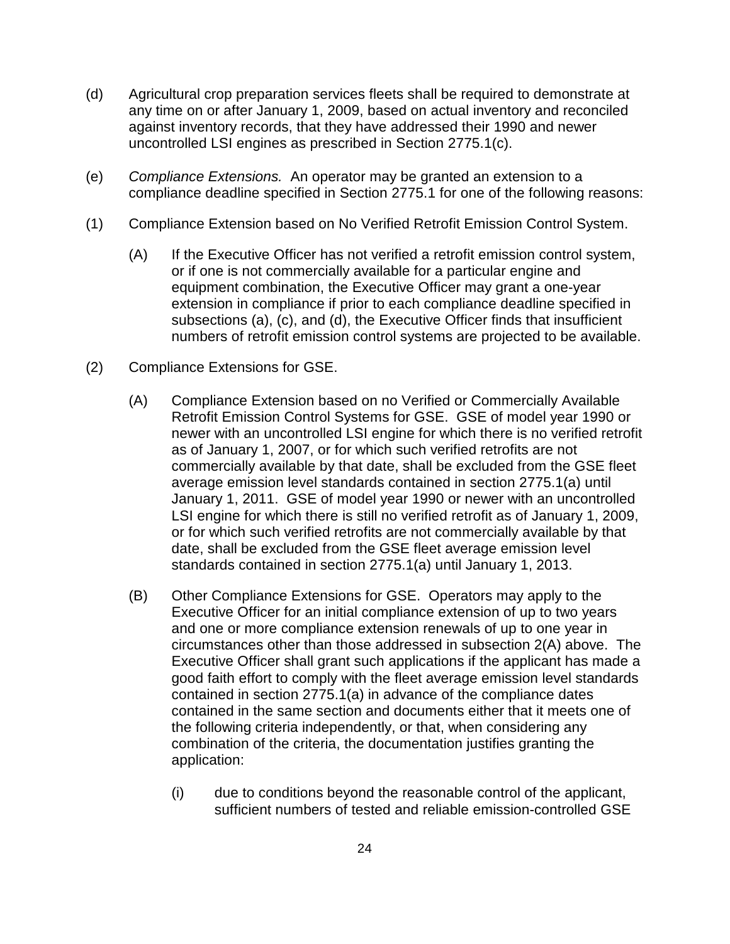- (d) Agricultural crop preparation services fleets shall be required to demonstrate at any time on or after January 1, 2009, based on actual inventory and reconciled against inventory records, that they have addressed their 1990 and newer uncontrolled LSI engines as prescribed in Section 2775.1(c).
- (e) Compliance Extensions. An operator may be granted an extension to a compliance deadline specified in Section 2775.1 for one of the following reasons:
- (1) Compliance Extension based on No Verified Retrofit Emission Control System.
	- (A) If the Executive Officer has not verified a retrofit emission control system, or if one is not commercially available for a particular engine and equipment combination, the Executive Officer may grant a one-year extension in compliance if prior to each compliance deadline specified in subsections (a), (c), and (d), the Executive Officer finds that insufficient numbers of retrofit emission control systems are projected to be available.
- (2) Compliance Extensions for GSE.
	- (A) Compliance Extension based on no Verified or Commercially Available Retrofit Emission Control Systems for GSE. GSE of model year 1990 or newer with an uncontrolled LSI engine for which there is no verified retrofit as of January 1, 2007, or for which such verified retrofits are not commercially available by that date, shall be excluded from the GSE fleet average emission level standards contained in section 2775.1(a) until January 1, 2011. GSE of model year 1990 or newer with an uncontrolled LSI engine for which there is still no verified retrofit as of January 1, 2009, or for which such verified retrofits are not commercially available by that date, shall be excluded from the GSE fleet average emission level standards contained in section 2775.1(a) until January 1, 2013.
	- (B) Other Compliance Extensions for GSE. Operators may apply to the Executive Officer for an initial compliance extension of up to two years and one or more compliance extension renewals of up to one year in circumstances other than those addressed in subsection 2(A) above. The Executive Officer shall grant such applications if the applicant has made a good faith effort to comply with the fleet average emission level standards contained in section 2775.1(a) in advance of the compliance dates contained in the same section and documents either that it meets one of the following criteria independently, or that, when considering any combination of the criteria, the documentation justifies granting the application:
		- (i) due to conditions beyond the reasonable control of the applicant, sufficient numbers of tested and reliable emission-controlled GSE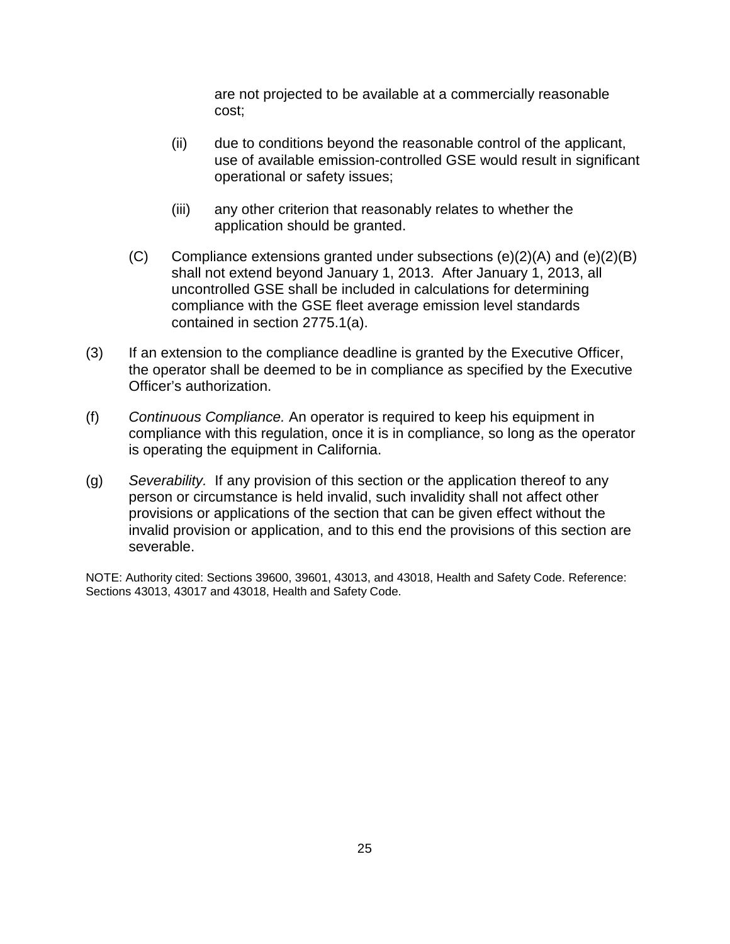are not projected to be available at a commercially reasonable cost;

- (ii) due to conditions beyond the reasonable control of the applicant, use of available emission-controlled GSE would result in significant operational or safety issues;
- (iii) any other criterion that reasonably relates to whether the application should be granted.
- $(C)$  Compliance extensions granted under subsections  $(e)(2)(A)$  and  $(e)(2)(B)$ shall not extend beyond January 1, 2013. After January 1, 2013, all uncontrolled GSE shall be included in calculations for determining compliance with the GSE fleet average emission level standards contained in section 2775.1(a).
- (3) If an extension to the compliance deadline is granted by the Executive Officer, the operator shall be deemed to be in compliance as specified by the Executive Officer's authorization.
- (f) Continuous Compliance. An operator is required to keep his equipment in compliance with this regulation, once it is in compliance, so long as the operator is operating the equipment in California.
- (g) Severability. If any provision of this section or the application thereof to any person or circumstance is held invalid, such invalidity shall not affect other provisions or applications of the section that can be given effect without the invalid provision or application, and to this end the provisions of this section are severable.

NOTE: Authority cited: Sections 39600, 39601, 43013, and 43018, Health and Safety Code. Reference: Sections 43013, 43017 and 43018, Health and Safety Code.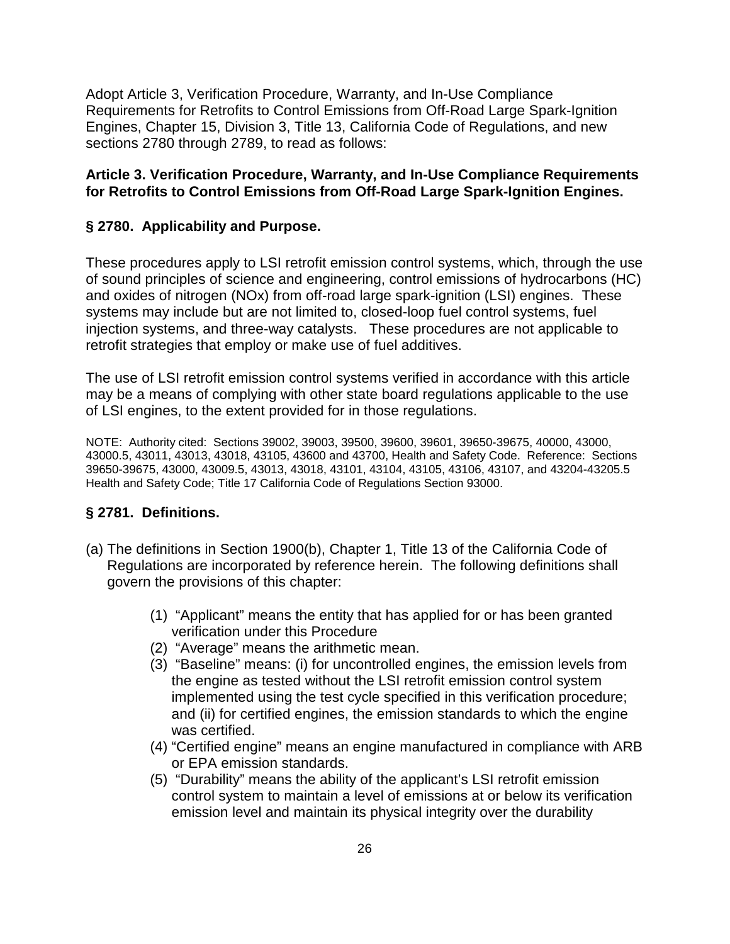Adopt Article 3, Verification Procedure, Warranty, and In-Use Compliance Requirements for Retrofits to Control Emissions from Off-Road Large Spark-Ignition Engines, Chapter 15, Division 3, Title 13, California Code of Regulations, and new sections 2780 through 2789, to read as follows:

# **Article 3. Verification Procedure, Warranty, and In-Use Compliance Requirements for Retrofits to Control Emissions from Off-Road Large Spark-Ignition Engines.**

# **§ 2780. Applicability and Purpose.**

These procedures apply to LSI retrofit emission control systems, which, through the use of sound principles of science and engineering, control emissions of hydrocarbons (HC) and oxides of nitrogen (NOx) from off-road large spark-ignition (LSI) engines. These systems may include but are not limited to, closed-loop fuel control systems, fuel injection systems, and three-way catalysts. These procedures are not applicable to retrofit strategies that employ or make use of fuel additives.

The use of LSI retrofit emission control systems verified in accordance with this article may be a means of complying with other state board regulations applicable to the use of LSI engines, to the extent provided for in those regulations.

NOTE: Authority cited: Sections 39002, 39003, 39500, 39600, 39601, 39650-39675, 40000, 43000, 43000.5, 43011, 43013, 43018, 43105, 43600 and 43700, Health and Safety Code. Reference: Sections 39650-39675, 43000, 43009.5, 43013, 43018, 43101, 43104, 43105, 43106, 43107, and 43204-43205.5 Health and Safety Code; Title 17 California Code of Regulations Section 93000.

# **§ 2781. Definitions.**

- (a) The definitions in Section 1900(b), Chapter 1, Title 13 of the California Code of Regulations are incorporated by reference herein. The following definitions shall govern the provisions of this chapter:
	- (1) "Applicant" means the entity that has applied for or has been granted verification under this Procedure
	- (2) "Average" means the arithmetic mean.
	- (3) "Baseline" means: (i) for uncontrolled engines, the emission levels from the engine as tested without the LSI retrofit emission control system implemented using the test cycle specified in this verification procedure; and (ii) for certified engines, the emission standards to which the engine was certified.
	- (4) "Certified engine" means an engine manufactured in compliance with ARB or EPA emission standards.
	- (5) "Durability" means the ability of the applicant's LSI retrofit emission control system to maintain a level of emissions at or below its verification emission level and maintain its physical integrity over the durability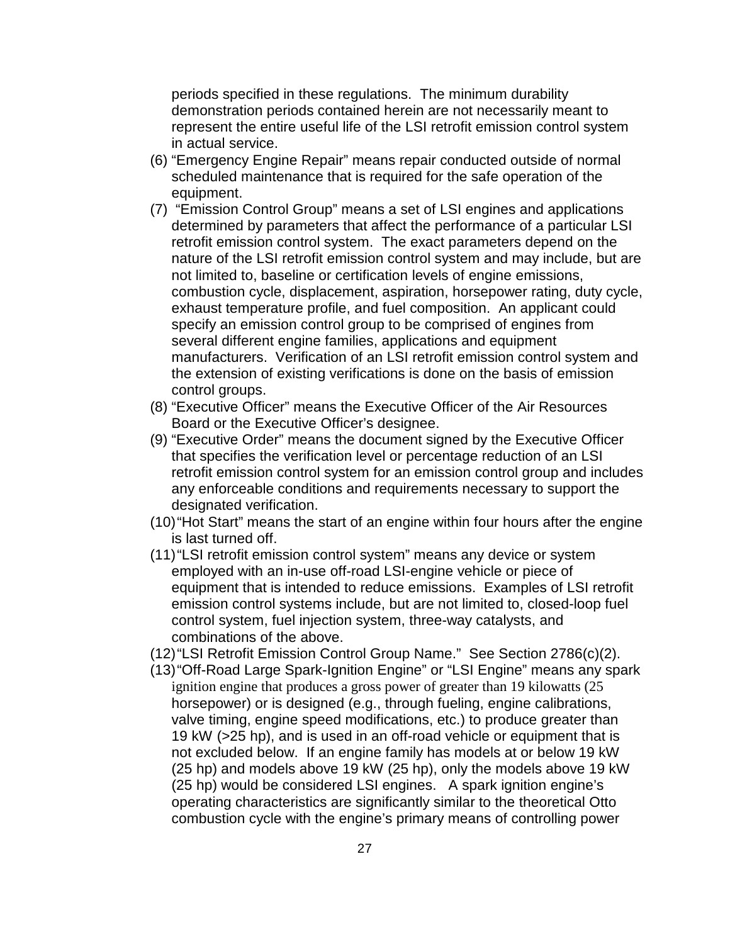periods specified in these regulations. The minimum durability demonstration periods contained herein are not necessarily meant to represent the entire useful life of the LSI retrofit emission control system in actual service.

- (6) "Emergency Engine Repair" means repair conducted outside of normal scheduled maintenance that is required for the safe operation of the equipment.
- (7) "Emission Control Group" means a set of LSI engines and applications determined by parameters that affect the performance of a particular LSI retrofit emission control system. The exact parameters depend on the nature of the LSI retrofit emission control system and may include, but are not limited to, baseline or certification levels of engine emissions, combustion cycle, displacement, aspiration, horsepower rating, duty cycle, exhaust temperature profile, and fuel composition. An applicant could specify an emission control group to be comprised of engines from several different engine families, applications and equipment manufacturers. Verification of an LSI retrofit emission control system and the extension of existing verifications is done on the basis of emission control groups.
- (8) "Executive Officer" means the Executive Officer of the Air Resources Board or the Executive Officer's designee.
- (9) "Executive Order" means the document signed by the Executive Officer that specifies the verification level or percentage reduction of an LSI retrofit emission control system for an emission control group and includes any enforceable conditions and requirements necessary to support the designated verification.
- (10) "Hot Start" means the start of an engine within four hours after the engine is last turned off.
- (11) "LSI retrofit emission control system" means any device or system employed with an in-use off-road LSI-engine vehicle or piece of equipment that is intended to reduce emissions. Examples of LSI retrofit emission control systems include, but are not limited to, closed-loop fuel control system, fuel injection system, three-way catalysts, and combinations of the above.
- (12) "LSI Retrofit Emission Control Group Name." See Section 2786(c)(2).
- (13) "Off-Road Large Spark-Ignition Engine" or "LSI Engine" means any spark ignition engine that produces a gross power of greater than 19 kilowatts (25 horsepower) or is designed (e.g., through fueling, engine calibrations, valve timing, engine speed modifications, etc.) to produce greater than 19 kW (>25 hp), and is used in an off-road vehicle or equipment that is not excluded below. If an engine family has models at or below 19 kW (25 hp) and models above 19 kW (25 hp), only the models above 19 kW (25 hp) would be considered LSI engines. A spark ignition engine's operating characteristics are significantly similar to the theoretical Otto combustion cycle with the engine's primary means of controlling power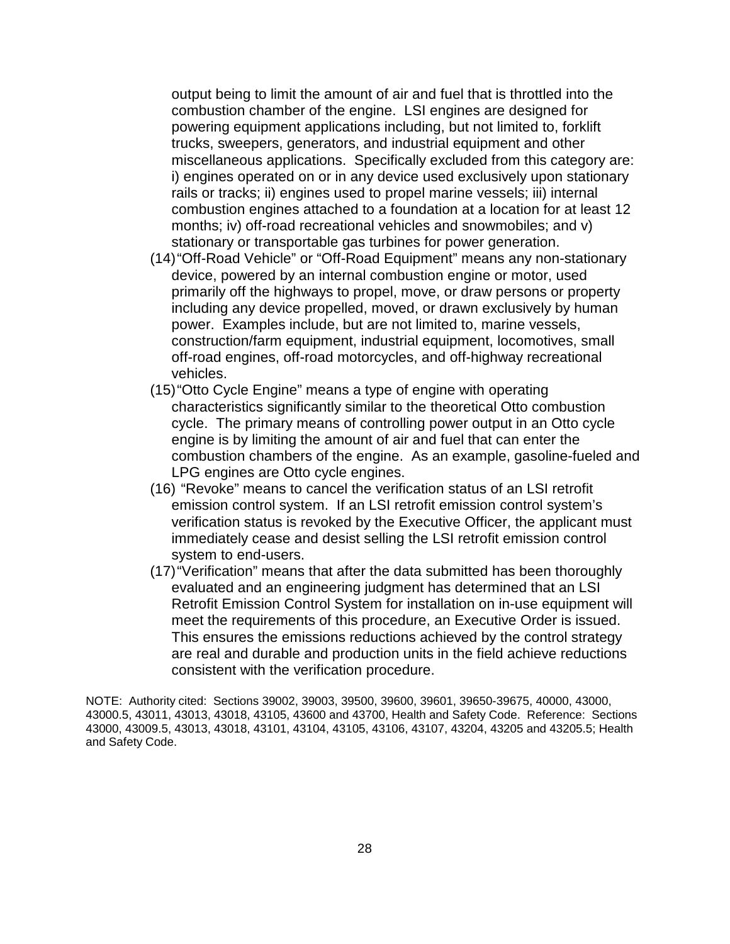output being to limit the amount of air and fuel that is throttled into the combustion chamber of the engine. LSI engines are designed for powering equipment applications including, but not limited to, forklift trucks, sweepers, generators, and industrial equipment and other miscellaneous applications. Specifically excluded from this category are: i) engines operated on or in any device used exclusively upon stationary rails or tracks; ii) engines used to propel marine vessels; iii) internal combustion engines attached to a foundation at a location for at least 12 months; iv) off-road recreational vehicles and snowmobiles; and v) stationary or transportable gas turbines for power generation.

- (14) "Off-Road Vehicle" or "Off-Road Equipment" means any non-stationary device, powered by an internal combustion engine or motor, used primarily off the highways to propel, move, or draw persons or property including any device propelled, moved, or drawn exclusively by human power. Examples include, but are not limited to, marine vessels, construction/farm equipment, industrial equipment, locomotives, small off-road engines, off-road motorcycles, and off-highway recreational vehicles.
- (15) "Otto Cycle Engine" means a type of engine with operating characteristics significantly similar to the theoretical Otto combustion cycle. The primary means of controlling power output in an Otto cycle engine is by limiting the amount of air and fuel that can enter the combustion chambers of the engine. As an example, gasoline-fueled and LPG engines are Otto cycle engines.
- (16) "Revoke" means to cancel the verification status of an LSI retrofit emission control system. If an LSI retrofit emission control system's verification status is revoked by the Executive Officer, the applicant must immediately cease and desist selling the LSI retrofit emission control system to end-users.
- (17) "Verification" means that after the data submitted has been thoroughly evaluated and an engineering judgment has determined that an LSI Retrofit Emission Control System for installation on in-use equipment will meet the requirements of this procedure, an Executive Order is issued. This ensures the emissions reductions achieved by the control strategy are real and durable and production units in the field achieve reductions consistent with the verification procedure.

NOTE: Authority cited: Sections 39002, 39003, 39500, 39600, 39601, 39650-39675, 40000, 43000, 43000.5, 43011, 43013, 43018, 43105, 43600 and 43700, Health and Safety Code. Reference: Sections 43000, 43009.5, 43013, 43018, 43101, 43104, 43105, 43106, 43107, 43204, 43205 and 43205.5; Health and Safety Code.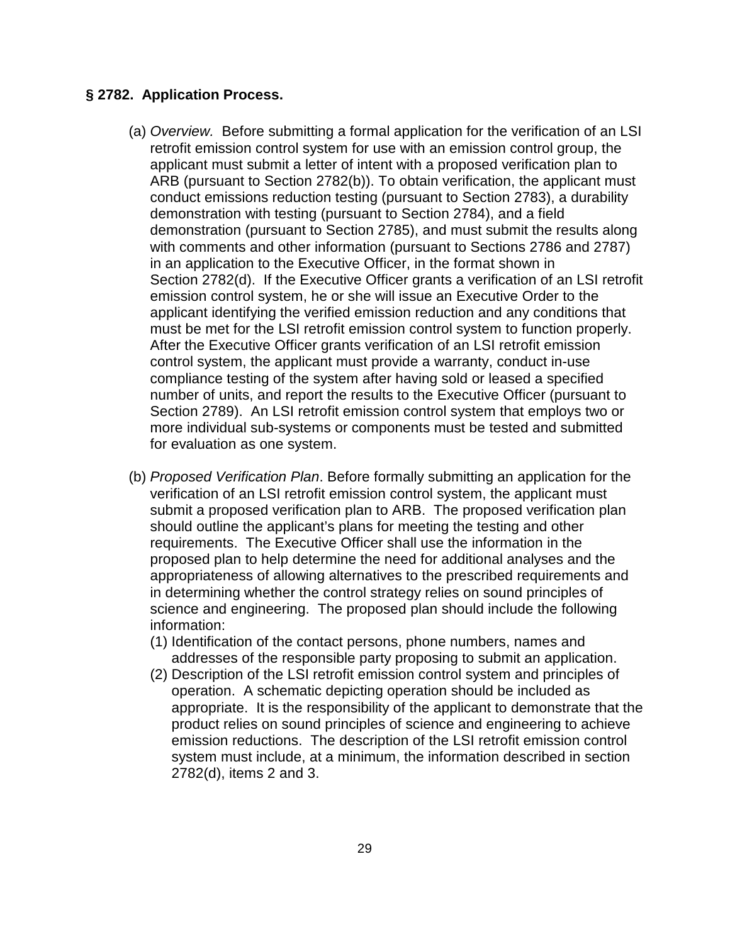#### **§ 2782. Application Process.**

- (a) Overview. Before submitting a formal application for the verification of an LSI retrofit emission control system for use with an emission control group, the applicant must submit a letter of intent with a proposed verification plan to ARB (pursuant to Section 2782(b)). To obtain verification, the applicant must conduct emissions reduction testing (pursuant to Section 2783), a durability demonstration with testing (pursuant to Section 2784), and a field demonstration (pursuant to Section 2785), and must submit the results along with comments and other information (pursuant to Sections 2786 and 2787) in an application to the Executive Officer, in the format shown in Section 2782(d). If the Executive Officer grants a verification of an LSI retrofit emission control system, he or she will issue an Executive Order to the applicant identifying the verified emission reduction and any conditions that must be met for the LSI retrofit emission control system to function properly. After the Executive Officer grants verification of an LSI retrofit emission control system, the applicant must provide a warranty, conduct in-use compliance testing of the system after having sold or leased a specified number of units, and report the results to the Executive Officer (pursuant to Section 2789). An LSI retrofit emission control system that employs two or more individual sub-systems or components must be tested and submitted for evaluation as one system.
- (b) Proposed Verification Plan. Before formally submitting an application for the verification of an LSI retrofit emission control system, the applicant must submit a proposed verification plan to ARB. The proposed verification plan should outline the applicant's plans for meeting the testing and other requirements. The Executive Officer shall use the information in the proposed plan to help determine the need for additional analyses and the appropriateness of allowing alternatives to the prescribed requirements and in determining whether the control strategy relies on sound principles of science and engineering. The proposed plan should include the following information:
	- (1) Identification of the contact persons, phone numbers, names and addresses of the responsible party proposing to submit an application.
	- (2) Description of the LSI retrofit emission control system and principles of operation. A schematic depicting operation should be included as appropriate. It is the responsibility of the applicant to demonstrate that the product relies on sound principles of science and engineering to achieve emission reductions. The description of the LSI retrofit emission control system must include, at a minimum, the information described in section 2782(d), items 2 and 3.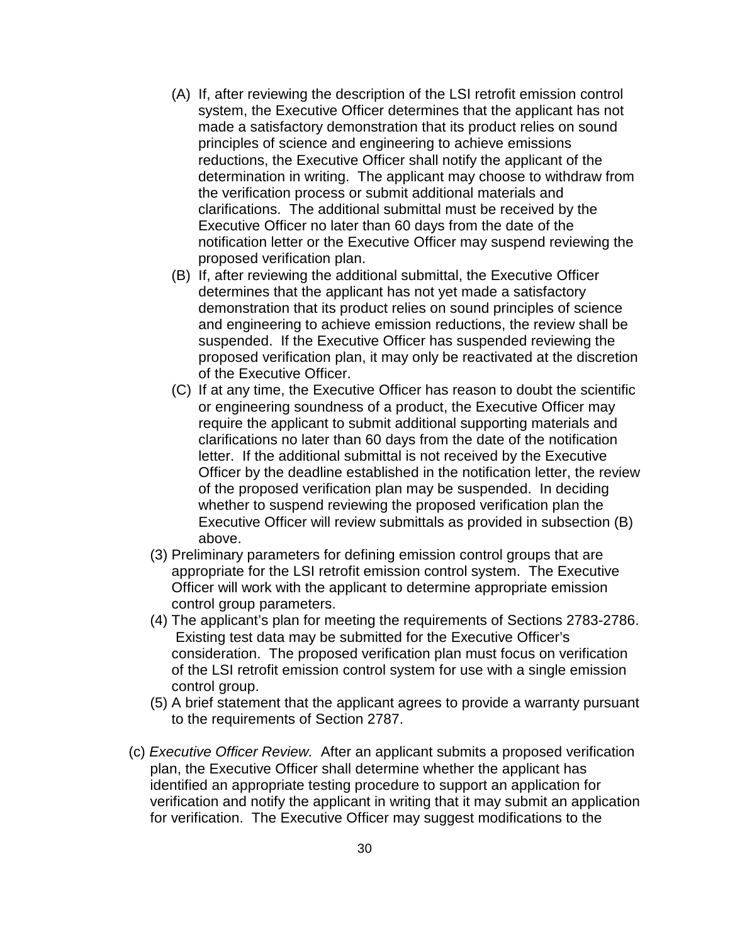- (A) If, after reviewing the description of the LSI retrofit emission control system, the Executive Officer determines that the applicant has not made a satisfactory demonstration that its product relies on sound principles of science and engineering to achieve emissions reductions, the Executive Officer shall notify the applicant of the determination in writing. The applicant may choose to withdraw from the verification process or submit additional materials and clarifications. The additional submittal must be received by the Executive Officer no later than 60 days from the date of the notification letter or the Executive Officer may suspend reviewing the proposed verification plan.
- (B) If, after reviewing the additional submittal, the Executive Officer determines that the applicant has not yet made a satisfactory demonstration that its product relies on sound principles of science and engineering to achieve emission reductions, the review shall be suspended. If the Executive Officer has suspended reviewing the proposed verification plan, it may only be reactivated at the discretion of the Executive Officer.
- (C) If at any time, the Executive Officer has reason to doubt the scientific or engineering soundness of a product, the Executive Officer may require the applicant to submit additional supporting materials and clarifications no later than 60 days from the date of the notification letter. If the additional submittal is not received by the Executive Officer by the deadline established in the notification letter, the review of the proposed verification plan may be suspended. In deciding whether to suspend reviewing the proposed verification plan the Executive Officer will review submittals as provided in subsection (B) above.
- (3) Preliminary parameters for defining emission control groups that are appropriate for the LSI retrofit emission control system. The Executive Officer will work with the applicant to determine appropriate emission control group parameters.
- (4) The applicant's plan for meeting the requirements of Sections 2783-2786. Existing test data may be submitted for the Executive Officer's consideration. The proposed verification plan must focus on verification of the LSI retrofit emission control system for use with a single emission control group.
- (5) A brief statement that the applicant agrees to provide a warranty pursuant to the requirements of Section 2787.
- (c) Executive Officer Review. After an applicant submits a proposed verification plan, the Executive Officer shall determine whether the applicant has identified an appropriate testing procedure to support an application for verification and notify the applicant in writing that it may submit an application for verification. The Executive Officer may suggest modifications to the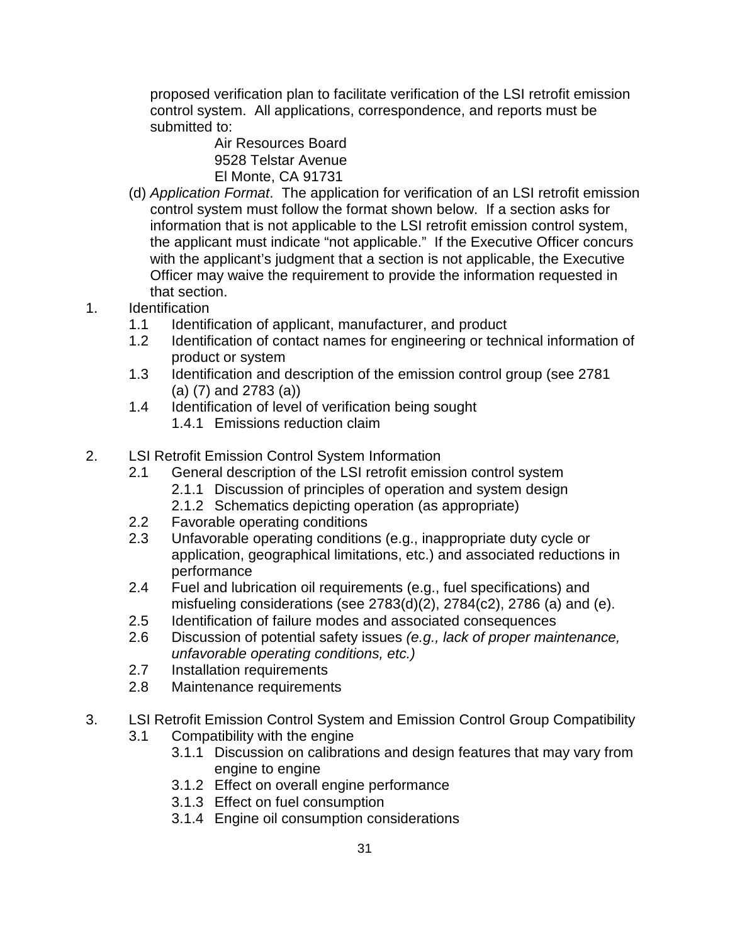proposed verification plan to facilitate verification of the LSI retrofit emission control system. All applications, correspondence, and reports must be submitted to:

Air Resources Board 9528 Telstar Avenue El Monte, CA 91731

- (d) Application Format. The application for verification of an LSI retrofit emission control system must follow the format shown below. If a section asks for information that is not applicable to the LSI retrofit emission control system, the applicant must indicate "not applicable." If the Executive Officer concurs with the applicant's judgment that a section is not applicable, the Executive Officer may waive the requirement to provide the information requested in that section.
- 1. Identification
	- 1.1 Identification of applicant, manufacturer, and product
	- 1.2 Identification of contact names for engineering or technical information of product or system
	- 1.3 Identification and description of the emission control group (see 2781 (a) (7) and 2783 (a))
	- 1.4 Identification of level of verification being sought
		- 1.4.1 Emissions reduction claim
- 2. LSI Retrofit Emission Control System Information
	- 2.1 General description of the LSI retrofit emission control system
		- 2.1.1 Discussion of principles of operation and system design
		- 2.1.2 Schematics depicting operation (as appropriate)
	- 2.2 Favorable operating conditions
	- 2.3 Unfavorable operating conditions (e.g., inappropriate duty cycle or application, geographical limitations, etc.) and associated reductions in performance
	- 2.4 Fuel and lubrication oil requirements (e.g., fuel specifications) and misfueling considerations (see  $2783(d)(2)$ ,  $2784(c2)$ ,  $2786$  (a) and (e).
	- 2.5 Identification of failure modes and associated consequences
	- 2.6 Discussion of potential safety issues (e.g., lack of proper maintenance, unfavorable operating conditions, etc.)
	- 2.7 Installation requirements
	- 2.8 Maintenance requirements
- 3. LSI Retrofit Emission Control System and Emission Control Group Compatibility
	- 3.1 Compatibility with the engine
		- 3.1.1 Discussion on calibrations and design features that may vary from engine to engine
		- 3.1.2 Effect on overall engine performance
		- 3.1.3 Effect on fuel consumption
		- 3.1.4 Engine oil consumption considerations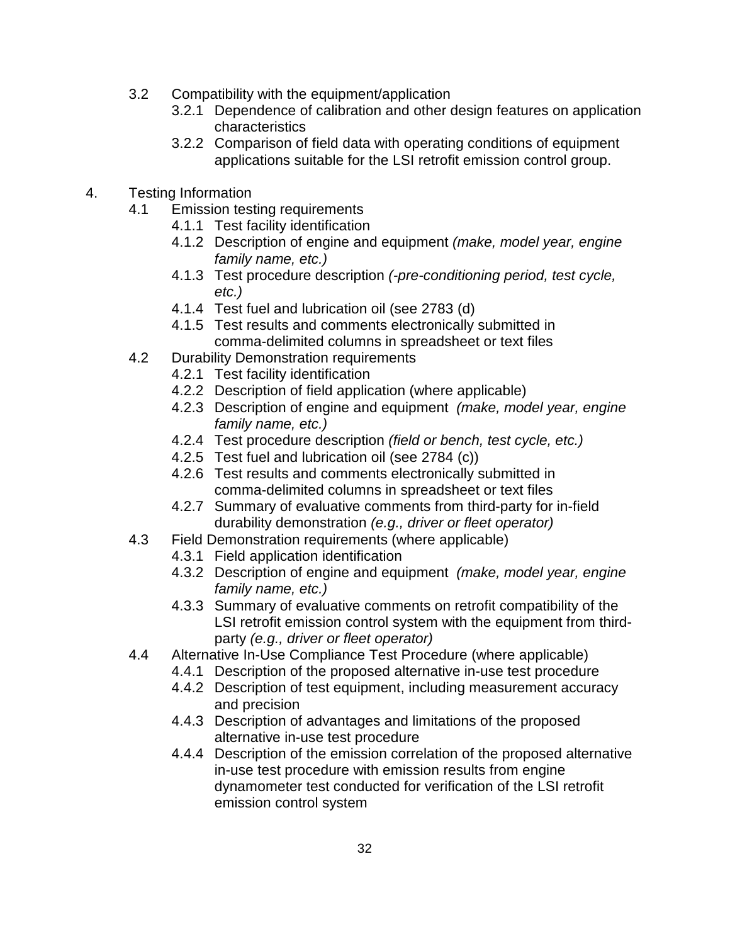- 3.2 Compatibility with the equipment/application
	- 3.2.1 Dependence of calibration and other design features on application characteristics
	- 3.2.2 Comparison of field data with operating conditions of equipment applications suitable for the LSI retrofit emission control group.
- 4. Testing Information
	- 4.1 Emission testing requirements
		- 4.1.1 Test facility identification
		- 4.1.2 Description of engine and equipment (make, model year, engine family name, etc.)
		- 4.1.3 Test procedure description (-pre-conditioning period, test cycle, etc.)
		- 4.1.4 Test fuel and lubrication oil (see 2783 (d)
		- 4.1.5 Test results and comments electronically submitted in comma-delimited columns in spreadsheet or text files
	- 4.2 Durability Demonstration requirements
		- 4.2.1 Test facility identification
		- 4.2.2 Description of field application (where applicable)
		- 4.2.3 Description of engine and equipment (make, model year, engine family name, etc.)
		- 4.2.4 Test procedure description (field or bench, test cycle, etc.)
		- 4.2.5 Test fuel and lubrication oil (see 2784 (c))
		- 4.2.6 Test results and comments electronically submitted in comma-delimited columns in spreadsheet or text files
		- 4.2.7 Summary of evaluative comments from third-party for in-field durability demonstration (e.g., driver or fleet operator)
	- 4.3 Field Demonstration requirements (where applicable)
		- 4.3.1 Field application identification
		- 4.3.2 Description of engine and equipment (make, model year, engine family name, etc.)
		- 4.3.3 Summary of evaluative comments on retrofit compatibility of the LSI retrofit emission control system with the equipment from thirdparty (e.g., driver or fleet operator)
	- 4.4 Alternative In-Use Compliance Test Procedure (where applicable)
		- 4.4.1 Description of the proposed alternative in-use test procedure
		- 4.4.2 Description of test equipment, including measurement accuracy and precision
		- 4.4.3 Description of advantages and limitations of the proposed alternative in-use test procedure
		- 4.4.4 Description of the emission correlation of the proposed alternative in-use test procedure with emission results from engine dynamometer test conducted for verification of the LSI retrofit emission control system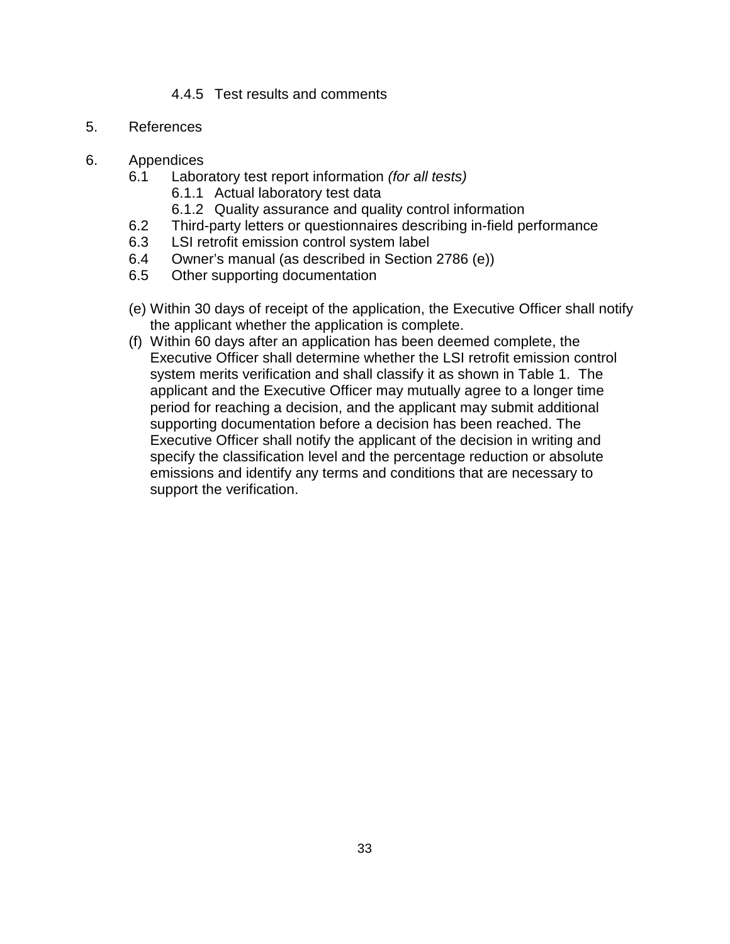# 4.4.5 Test results and comments

- 5. References
- 6. Appendices
	- 6.1 Laboratory test report information (for all tests)
		- 6.1.1 Actual laboratory test data
		- 6.1.2 Quality assurance and quality control information
	- 6.2 Third-party letters or questionnaires describing in-field performance
	- 6.3 LSI retrofit emission control system label
	- 6.4 Owner's manual (as described in Section 2786 (e))
	- 6.5 Other supporting documentation
	- (e) Within 30 days of receipt of the application, the Executive Officer shall notify the applicant whether the application is complete.
	- (f) Within 60 days after an application has been deemed complete, the Executive Officer shall determine whether the LSI retrofit emission control system merits verification and shall classify it as shown in Table 1. The applicant and the Executive Officer may mutually agree to a longer time period for reaching a decision, and the applicant may submit additional supporting documentation before a decision has been reached. The Executive Officer shall notify the applicant of the decision in writing and specify the classification level and the percentage reduction or absolute emissions and identify any terms and conditions that are necessary to support the verification.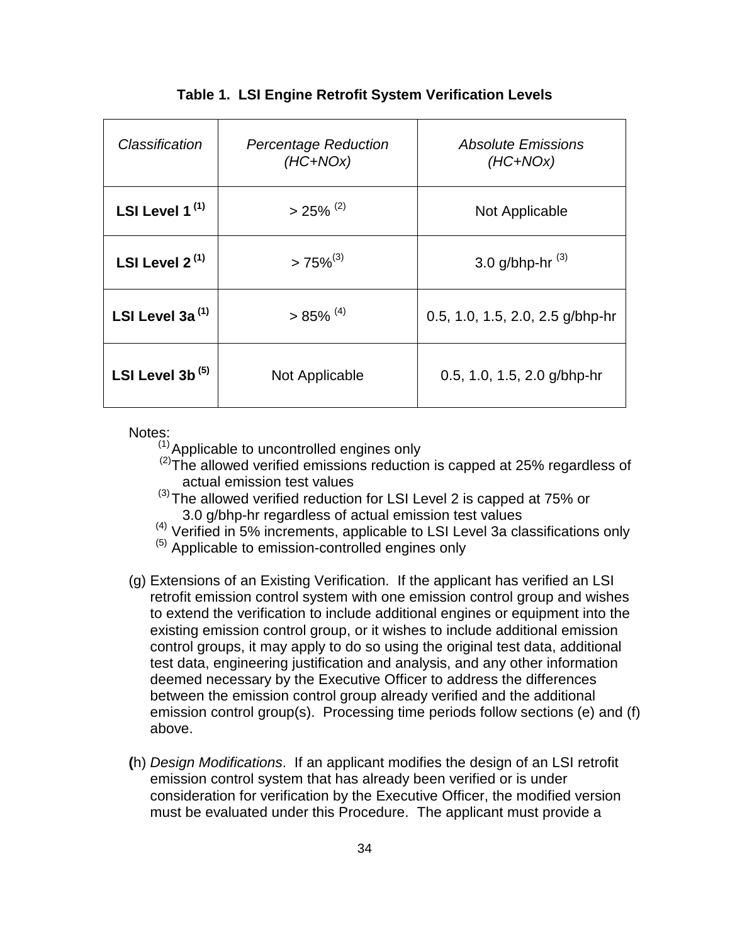| Classification      | <b>Percentage Reduction</b><br>$(HC+NOx)$ | <b>Absolute Emissions</b><br>$(HC+NOx)$ |
|---------------------|-------------------------------------------|-----------------------------------------|
| LSI Level $1^{(1)}$ | $>25\%$ <sup>(2)</sup>                    | Not Applicable                          |
| LSI Level $2^{(1)}$ | $>75\%^{(3)}$                             | 3.0 g/bhp-hr $^{(3)}$                   |
| LSI Level 3a $(1)$  | $>85\%$ <sup>(4)</sup>                    | 0.5, 1.0, 1.5, 2.0, 2.5 g/bhp-hr        |
| LSI Level 3b $(5)$  | Not Applicable                            | 0.5, 1.0, 1.5, 2.0 g/bhp-hr             |

#### **Table 1. LSI Engine Retrofit System Verification Levels**

Notes:

 $(1)$  Applicable to uncontrolled engines only

- $(2)$ The allowed verified emissions reduction is capped at 25% regardless of actual emission test values
- (3) The allowed verified reduction for LSI Level 2 is capped at 75% or 3.0 g/bhp-hr regardless of actual emission test values
- (4) Verified in 5% increments, applicable to LSI Level 3a classifications only
- $<sup>(5)</sup>$  Applicable to emission-controlled engines only</sup>
- (g) Extensions of an Existing Verification. If the applicant has verified an LSI retrofit emission control system with one emission control group and wishes to extend the verification to include additional engines or equipment into the existing emission control group, or it wishes to include additional emission control groups, it may apply to do so using the original test data, additional test data, engineering justification and analysis, and any other information deemed necessary by the Executive Officer to address the differences between the emission control group already verified and the additional emission control group(s). Processing time periods follow sections (e) and (f) above.
- **(**h) Design Modifications. If an applicant modifies the design of an LSI retrofit emission control system that has already been verified or is under consideration for verification by the Executive Officer, the modified version must be evaluated under this Procedure. The applicant must provide a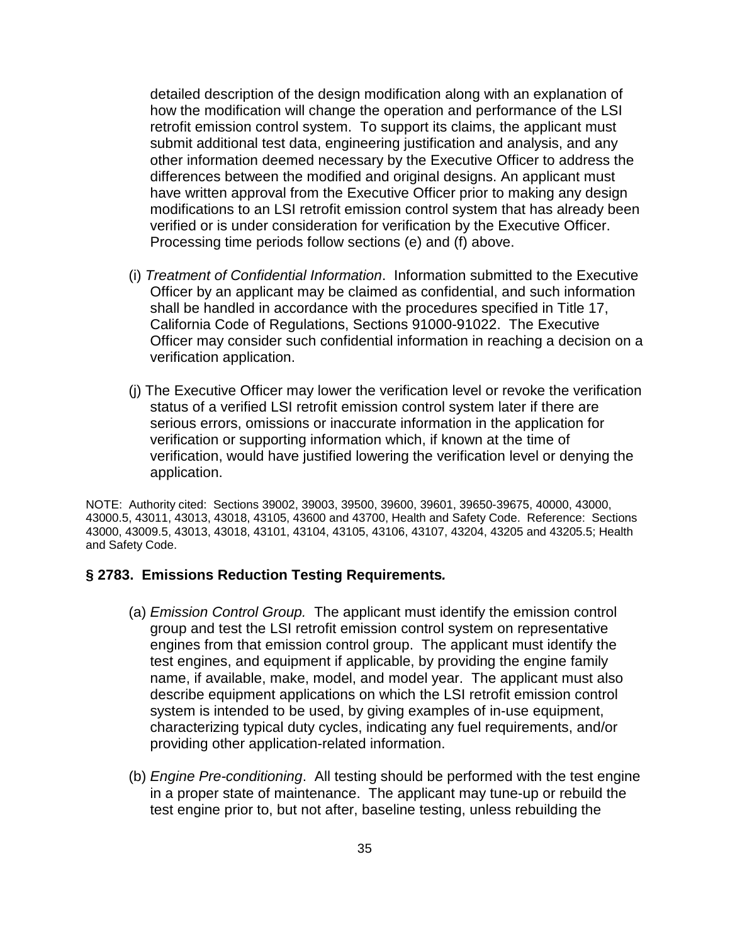detailed description of the design modification along with an explanation of how the modification will change the operation and performance of the LSI retrofit emission control system. To support its claims, the applicant must submit additional test data, engineering justification and analysis, and any other information deemed necessary by the Executive Officer to address the differences between the modified and original designs. An applicant must have written approval from the Executive Officer prior to making any design modifications to an LSI retrofit emission control system that has already been verified or is under consideration for verification by the Executive Officer. Processing time periods follow sections (e) and (f) above.

- (i) Treatment of Confidential Information. Information submitted to the Executive Officer by an applicant may be claimed as confidential, and such information shall be handled in accordance with the procedures specified in Title 17, California Code of Regulations, Sections 91000-91022. The Executive Officer may consider such confidential information in reaching a decision on a verification application.
- (j) The Executive Officer may lower the verification level or revoke the verification status of a verified LSI retrofit emission control system later if there are serious errors, omissions or inaccurate information in the application for verification or supporting information which, if known at the time of verification, would have justified lowering the verification level or denying the application.

NOTE: Authority cited: Sections 39002, 39003, 39500, 39600, 39601, 39650-39675, 40000, 43000, 43000.5, 43011, 43013, 43018, 43105, 43600 and 43700, Health and Safety Code. Reference: Sections 43000, 43009.5, 43013, 43018, 43101, 43104, 43105, 43106, 43107, 43204, 43205 and 43205.5; Health and Safety Code.

#### **§ 2783. Emissions Reduction Testing Requirements.**

- (a) Emission Control Group. The applicant must identify the emission control group and test the LSI retrofit emission control system on representative engines from that emission control group. The applicant must identify the test engines, and equipment if applicable, by providing the engine family name, if available, make, model, and model year. The applicant must also describe equipment applications on which the LSI retrofit emission control system is intended to be used, by giving examples of in-use equipment, characterizing typical duty cycles, indicating any fuel requirements, and/or providing other application-related information.
- (b) Engine Pre-conditioning. All testing should be performed with the test engine in a proper state of maintenance. The applicant may tune-up or rebuild the test engine prior to, but not after, baseline testing, unless rebuilding the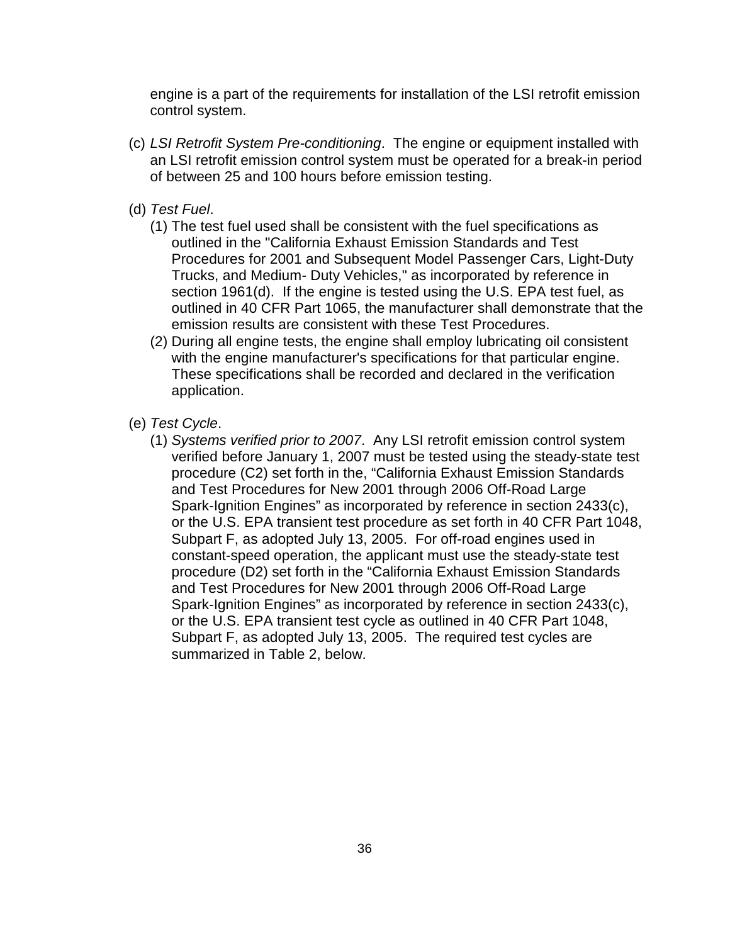engine is a part of the requirements for installation of the LSI retrofit emission control system.

- (c) LSI Retrofit System Pre-conditioning. The engine or equipment installed with an LSI retrofit emission control system must be operated for a break-in period of between 25 and 100 hours before emission testing.
- (d) Test Fuel.
	- (1) The test fuel used shall be consistent with the fuel specifications as outlined in the "California Exhaust Emission Standards and Test Procedures for 2001 and Subsequent Model Passenger Cars, Light-Duty Trucks, and Medium- Duty Vehicles," as incorporated by reference in section 1961(d). If the engine is tested using the U.S. EPA test fuel, as outlined in 40 CFR Part 1065, the manufacturer shall demonstrate that the emission results are consistent with these Test Procedures.
	- (2) During all engine tests, the engine shall employ lubricating oil consistent with the engine manufacturer's specifications for that particular engine. These specifications shall be recorded and declared in the verification application.
- (e) Test Cycle.
	- (1) Systems verified prior to 2007. Any LSI retrofit emission control system verified before January 1, 2007 must be tested using the steady-state test procedure (C2) set forth in the, "California Exhaust Emission Standards and Test Procedures for New 2001 through 2006 Off-Road Large Spark-Ignition Engines" as incorporated by reference in section 2433(c), or the U.S. EPA transient test procedure as set forth in 40 CFR Part 1048, Subpart F, as adopted July 13, 2005. For off-road engines used in constant-speed operation, the applicant must use the steady-state test procedure (D2) set forth in the "California Exhaust Emission Standards and Test Procedures for New 2001 through 2006 Off-Road Large Spark-Ignition Engines" as incorporated by reference in section 2433(c), or the U.S. EPA transient test cycle as outlined in 40 CFR Part 1048, Subpart F, as adopted July 13, 2005. The required test cycles are summarized in Table 2, below.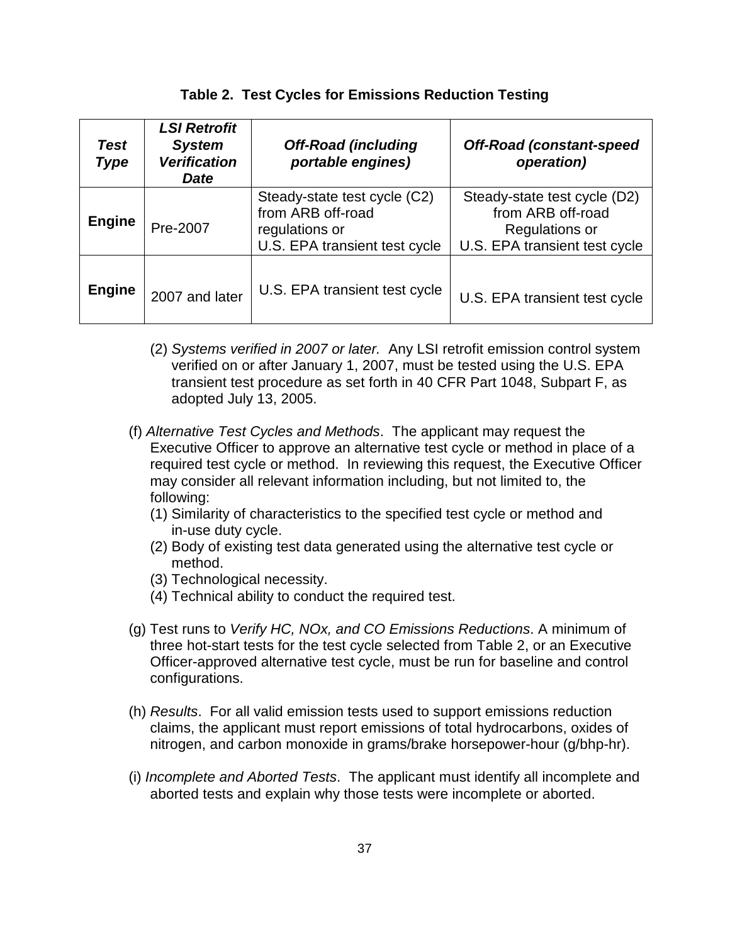| <b>Test</b><br><b>Type</b> | <b>LSI Retrofit</b><br><b>System</b><br><b>Verification</b><br><b>Date</b> | <b>Off-Road (including</b><br>portable engines)                                                      | <b>Off-Road (constant-speed</b><br>operation)                                                        |
|----------------------------|----------------------------------------------------------------------------|------------------------------------------------------------------------------------------------------|------------------------------------------------------------------------------------------------------|
| <b>Engine</b>              | Pre-2007                                                                   | Steady-state test cycle (C2)<br>from ARB off-road<br>regulations or<br>U.S. EPA transient test cycle | Steady-state test cycle (D2)<br>from ARB off-road<br>Regulations or<br>U.S. EPA transient test cycle |
| <b>Engine</b>              | 2007 and later                                                             | U.S. EPA transient test cycle                                                                        | U.S. EPA transient test cycle                                                                        |

#### **Table 2. Test Cycles for Emissions Reduction Testing**

- (2) Systems verified in 2007 or later. Any LSI retrofit emission control system verified on or after January 1, 2007, must be tested using the U.S. EPA transient test procedure as set forth in 40 CFR Part 1048, Subpart F, as adopted July 13, 2005.
- (f) Alternative Test Cycles and Methods. The applicant may request the Executive Officer to approve an alternative test cycle or method in place of a required test cycle or method. In reviewing this request, the Executive Officer may consider all relevant information including, but not limited to, the following:
	- (1) Similarity of characteristics to the specified test cycle or method and in-use duty cycle.
	- (2) Body of existing test data generated using the alternative test cycle or method.
	- (3) Technological necessity.
	- (4) Technical ability to conduct the required test.
- (g) Test runs to Verify HC, NOx, and CO Emissions Reductions. A minimum of three hot-start tests for the test cycle selected from Table 2, or an Executive Officer-approved alternative test cycle, must be run for baseline and control configurations.
- (h) Results. For all valid emission tests used to support emissions reduction claims, the applicant must report emissions of total hydrocarbons, oxides of nitrogen, and carbon monoxide in grams/brake horsepower-hour (g/bhp-hr).
- (i) Incomplete and Aborted Tests. The applicant must identify all incomplete and aborted tests and explain why those tests were incomplete or aborted.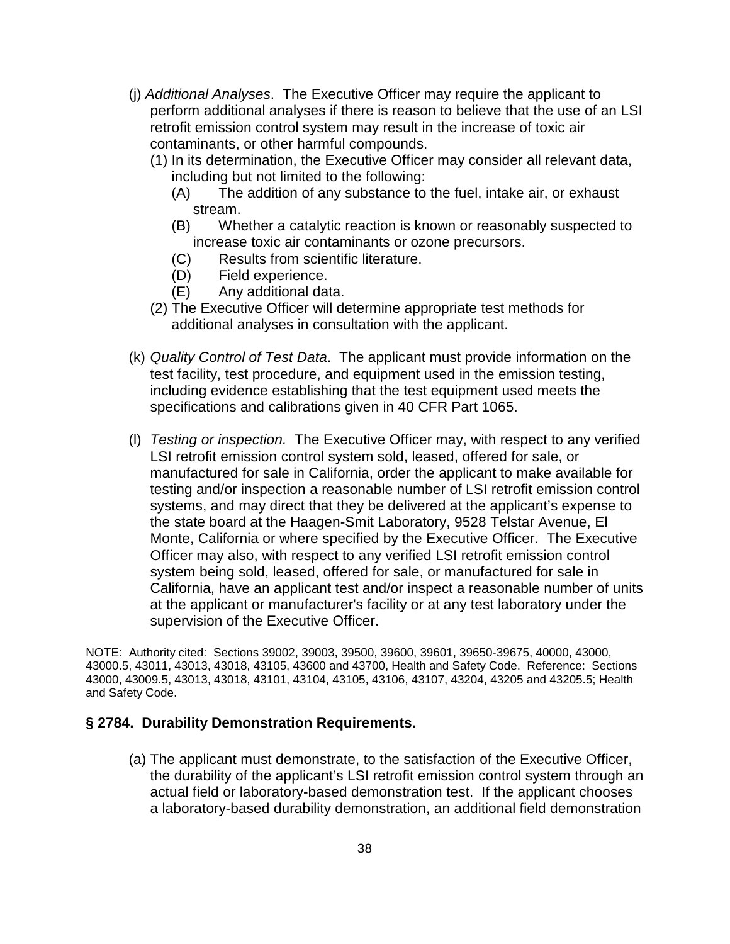- (j) Additional Analyses. The Executive Officer may require the applicant to perform additional analyses if there is reason to believe that the use of an LSI retrofit emission control system may result in the increase of toxic air contaminants, or other harmful compounds.
	- (1) In its determination, the Executive Officer may consider all relevant data, including but not limited to the following:
		- (A) The addition of any substance to the fuel, intake air, or exhaust stream.
		- (B) Whether a catalytic reaction is known or reasonably suspected to increase toxic air contaminants or ozone precursors.
		- (C) Results from scientific literature.
		- (D) Field experience.
		- (E) Any additional data.
	- (2) The Executive Officer will determine appropriate test methods for additional analyses in consultation with the applicant.
- (k) Quality Control of Test Data. The applicant must provide information on the test facility, test procedure, and equipment used in the emission testing, including evidence establishing that the test equipment used meets the specifications and calibrations given in 40 CFR Part 1065.
- (l) Testing or inspection. The Executive Officer may, with respect to any verified LSI retrofit emission control system sold, leased, offered for sale, or manufactured for sale in California, order the applicant to make available for testing and/or inspection a reasonable number of LSI retrofit emission control systems, and may direct that they be delivered at the applicant's expense to the state board at the Haagen-Smit Laboratory, 9528 Telstar Avenue, El Monte, California or where specified by the Executive Officer. The Executive Officer may also, with respect to any verified LSI retrofit emission control system being sold, leased, offered for sale, or manufactured for sale in California, have an applicant test and/or inspect a reasonable number of units at the applicant or manufacturer's facility or at any test laboratory under the supervision of the Executive Officer.

NOTE: Authority cited: Sections 39002, 39003, 39500, 39600, 39601, 39650-39675, 40000, 43000, 43000.5, 43011, 43013, 43018, 43105, 43600 and 43700, Health and Safety Code. Reference: Sections 43000, 43009.5, 43013, 43018, 43101, 43104, 43105, 43106, 43107, 43204, 43205 and 43205.5; Health and Safety Code.

### **§ 2784. Durability Demonstration Requirements.**

(a) The applicant must demonstrate, to the satisfaction of the Executive Officer, the durability of the applicant's LSI retrofit emission control system through an actual field or laboratory-based demonstration test.If the applicant chooses a laboratory-based durability demonstration, an additional field demonstration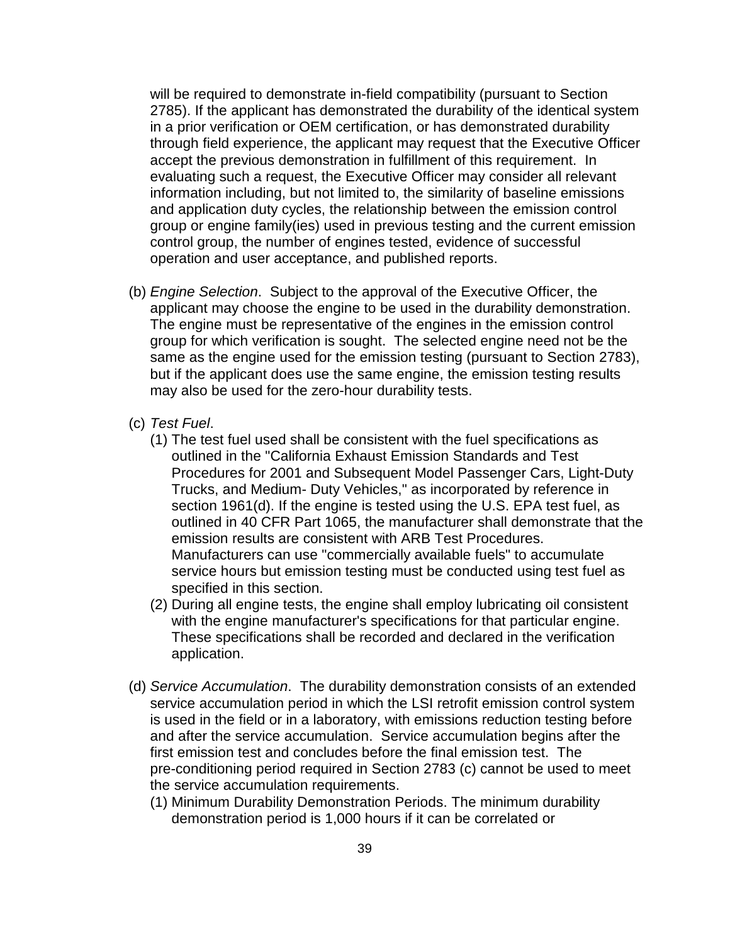will be required to demonstrate in-field compatibility (pursuant to Section 2785). If the applicant has demonstrated the durability of the identical system in a prior verification or OEM certification, or has demonstrated durability through field experience, the applicant may request that the Executive Officer accept the previous demonstration in fulfillment of this requirement. In evaluating such a request, the Executive Officer may consider all relevant information including, but not limited to, the similarity of baseline emissions and application duty cycles, the relationship between the emission control group or engine family(ies) used in previous testing and the current emission control group, the number of engines tested, evidence of successful operation and user acceptance, and published reports.

- (b) Engine Selection. Subject to the approval of the Executive Officer, the applicant may choose the engine to be used in the durability demonstration. The engine must be representative of the engines in the emission control group for which verification is sought. The selected engine need not be the same as the engine used for the emission testing (pursuant to Section 2783), but if the applicant does use the same engine, the emission testing results may also be used for the zero-hour durability tests.
- (c) Test Fuel.
	- (1) The test fuel used shall be consistent with the fuel specifications as outlined in the "California Exhaust Emission Standards and Test Procedures for 2001 and Subsequent Model Passenger Cars, Light-Duty Trucks, and Medium- Duty Vehicles," as incorporated by reference in section 1961(d). If the engine is tested using the U.S. EPA test fuel, as outlined in 40 CFR Part 1065, the manufacturer shall demonstrate that the emission results are consistent with ARB Test Procedures. Manufacturers can use "commercially available fuels" to accumulate service hours but emission testing must be conducted using test fuel as specified in this section.
	- (2) During all engine tests, the engine shall employ lubricating oil consistent with the engine manufacturer's specifications for that particular engine. These specifications shall be recorded and declared in the verification application.
- (d) Service Accumulation. The durability demonstration consists of an extended service accumulation period in which the LSI retrofit emission control system is used in the field or in a laboratory, with emissions reduction testing before and after the service accumulation. Service accumulation begins after the first emission test and concludes before the final emission test. The pre-conditioning period required in Section 2783 (c) cannot be used to meet the service accumulation requirements.
	- (1) Minimum Durability Demonstration Periods. The minimum durability demonstration period is 1,000 hours if it can be correlated or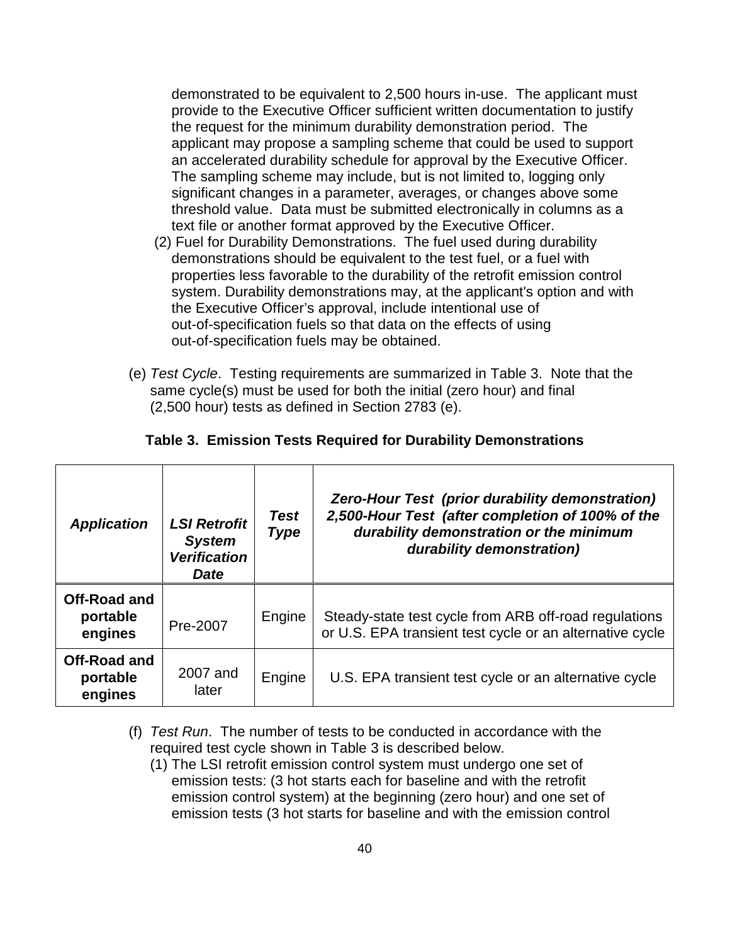demonstrated to be equivalent to 2,500 hours in-use. The applicant must provide to the Executive Officer sufficient written documentation to justify the request for the minimum durability demonstration period. The applicant may propose a sampling scheme that could be used to support an accelerated durability schedule for approval by the Executive Officer. The sampling scheme may include, but is not limited to, logging only significant changes in a parameter, averages, or changes above some threshold value. Data must be submitted electronically in columns as a text file or another format approved by the Executive Officer.

- (2) Fuel for Durability Demonstrations. The fuel used during durability demonstrations should be equivalent to the test fuel, or a fuel with properties less favorable to the durability of the retrofit emission control system. Durability demonstrations may, at the applicant's option and with the Executive Officer's approval, include intentional use of out-of-specification fuels so that data on the effects of using out-of-specification fuels may be obtained.
- (e) Test Cycle. Testing requirements are summarized in Table 3. Note that the same cycle(s) must be used for both the initial (zero hour) and final (2,500 hour) tests as defined in Section 2783 (e).

| <b>Application</b>                         | <b>LSI Retrofit</b><br><b>System</b><br><b>Verification</b><br><b>Date</b> | <b>Test</b><br><b>Type</b> | Zero-Hour Test (prior durability demonstration)<br>2,500-Hour Test (after completion of 100% of the<br>durability demonstration or the minimum<br>durability demonstration) |
|--------------------------------------------|----------------------------------------------------------------------------|----------------------------|-----------------------------------------------------------------------------------------------------------------------------------------------------------------------------|
| <b>Off-Road and</b><br>portable<br>engines | Pre-2007                                                                   | Engine                     | Steady-state test cycle from ARB off-road regulations<br>or U.S. EPA transient test cycle or an alternative cycle                                                           |
| <b>Off-Road and</b><br>portable<br>engines | 2007 and<br>later                                                          | Engine                     | U.S. EPA transient test cycle or an alternative cycle                                                                                                                       |

#### **Table 3. Emission Tests Required for Durability Demonstrations**

- (f) Test Run. The number of tests to be conducted in accordance with the required test cycle shown in Table 3 is described below.
	- (1) The LSI retrofit emission control system must undergo one set of emission tests: (3 hot starts each for baseline and with the retrofit emission control system) at the beginning (zero hour) and one set of emission tests (3 hot starts for baseline and with the emission control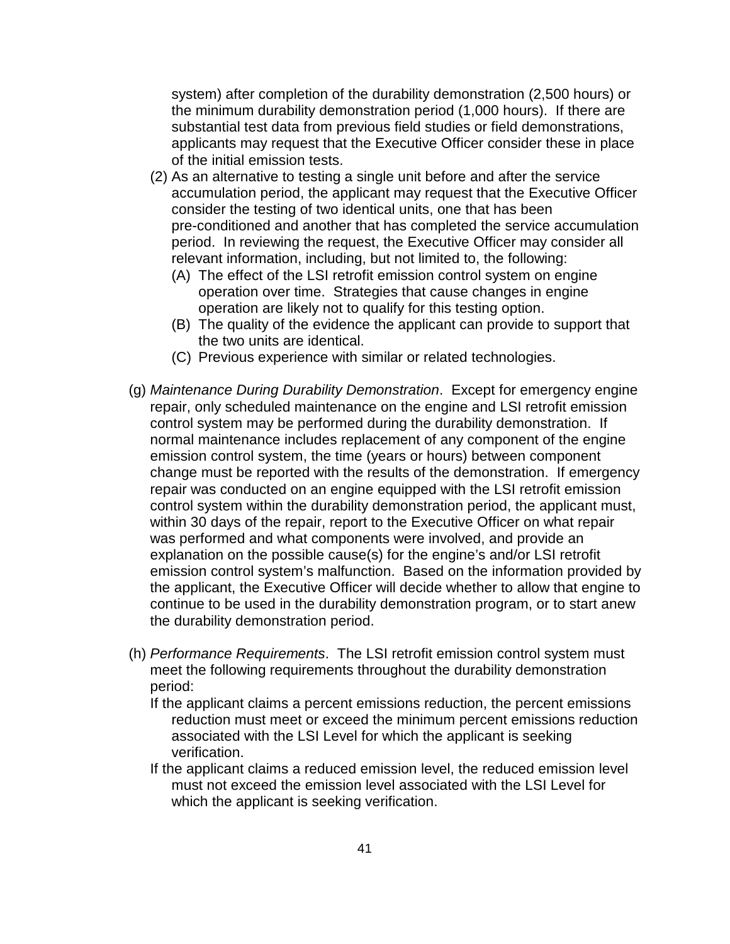system) after completion of the durability demonstration (2,500 hours) or the minimum durability demonstration period (1,000 hours). If there are substantial test data from previous field studies or field demonstrations, applicants may request that the Executive Officer consider these in place of the initial emission tests.

- (2) As an alternative to testing a single unit before and after the service accumulation period, the applicant may request that the Executive Officer consider the testing of two identical units, one that has been pre-conditioned and another that has completed the service accumulation period. In reviewing the request, the Executive Officer may consider all relevant information, including, but not limited to, the following:
	- (A) The effect of the LSI retrofit emission control system on engine operation over time. Strategies that cause changes in engine operation are likely not to qualify for this testing option.
	- (B) The quality of the evidence the applicant can provide to support that the two units are identical.
	- (C) Previous experience with similar or related technologies.
- (g) Maintenance During Durability Demonstration. Except for emergency engine repair, only scheduled maintenance on the engine and LSI retrofit emission control system may be performed during the durability demonstration. If normal maintenance includes replacement of any component of the engine emission control system, the time (years or hours) between component change must be reported with the results of the demonstration. If emergency repair was conducted on an engine equipped with the LSI retrofit emission control system within the durability demonstration period, the applicant must, within 30 days of the repair, report to the Executive Officer on what repair was performed and what components were involved, and provide an explanation on the possible cause(s) for the engine's and/or LSI retrofit emission control system's malfunction. Based on the information provided by the applicant, the Executive Officer will decide whether to allow that engine to continue to be used in the durability demonstration program, or to start anew the durability demonstration period.
- (h) Performance Requirements. The LSI retrofit emission control system must meet the following requirements throughout the durability demonstration period:
	- If the applicant claims a percent emissions reduction, the percent emissions reduction must meet or exceed the minimum percent emissions reduction associated with the LSI Level for which the applicant is seeking verification.
	- If the applicant claims a reduced emission level, the reduced emission level must not exceed the emission level associated with the LSI Level for which the applicant is seeking verification.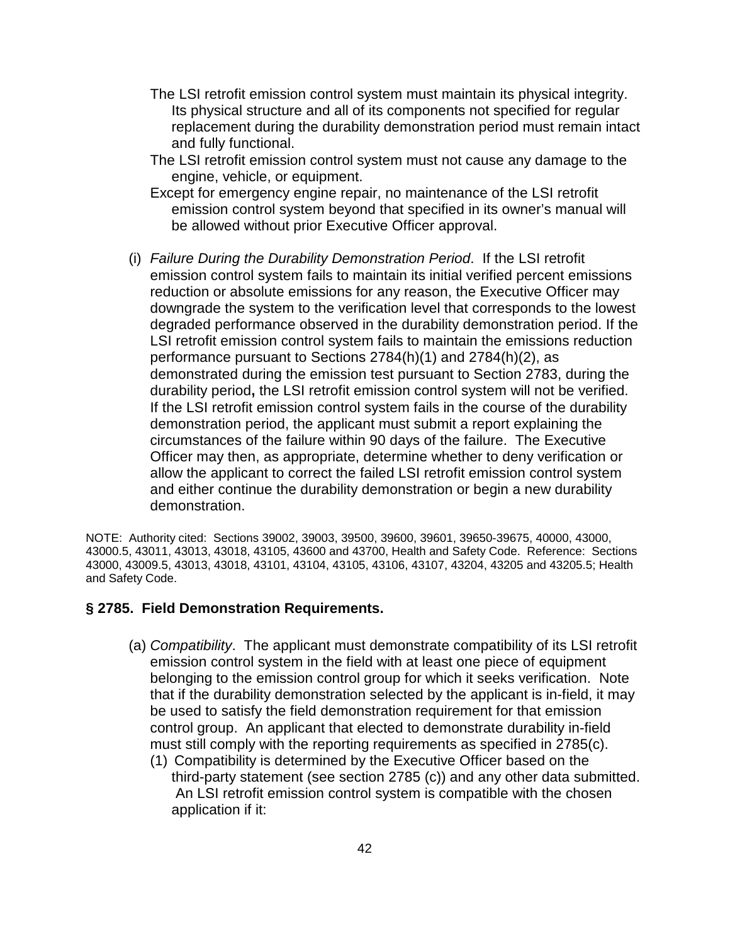- The LSI retrofit emission control system must maintain its physical integrity. Its physical structure and all of its components not specified for regular replacement during the durability demonstration period must remain intact and fully functional.
- The LSI retrofit emission control system must not cause any damage to the engine, vehicle, or equipment.
- Except for emergency engine repair, no maintenance of the LSI retrofit emission control system beyond that specified in its owner's manual will be allowed without prior Executive Officer approval.
- (i) Failure During the Durability Demonstration Period. If the LSI retrofit emission control system fails to maintain its initial verified percent emissions reduction or absolute emissions for any reason, the Executive Officer may downgrade the system to the verification level that corresponds to the lowest degraded performance observed in the durability demonstration period. If the LSI retrofit emission control system fails to maintain the emissions reduction performance pursuant to Sections 2784(h)(1) and 2784(h)(2), as demonstrated during the emission test pursuant to Section 2783, during the durability period**,** the LSI retrofit emission control system will not be verified. If the LSI retrofit emission control system fails in the course of the durability demonstration period, the applicant must submit a report explaining the circumstances of the failure within 90 days of the failure. The Executive Officer may then, as appropriate, determine whether to deny verification or allow the applicant to correct the failed LSI retrofit emission control system and either continue the durability demonstration or begin a new durability demonstration.

NOTE: Authority cited: Sections 39002, 39003, 39500, 39600, 39601, 39650-39675, 40000, 43000, 43000.5, 43011, 43013, 43018, 43105, 43600 and 43700, Health and Safety Code. Reference: Sections 43000, 43009.5, 43013, 43018, 43101, 43104, 43105, 43106, 43107, 43204, 43205 and 43205.5; Health and Safety Code.

#### **§ 2785. Field Demonstration Requirements.**

- (a) Compatibility. The applicant must demonstrate compatibility of its LSI retrofit emission control system in the field with at least one piece of equipment belonging to the emission control group for which it seeks verification. Note that if the durability demonstration selected by the applicant is in-field, it may be used to satisfy the field demonstration requirement for that emission control group. An applicant that elected to demonstrate durability in-field must still comply with the reporting requirements as specified in 2785(c).
	- (1) Compatibility is determined by the Executive Officer based on the third-party statement (see section 2785 (c)) and any other data submitted. An LSI retrofit emission control system is compatible with the chosen application if it: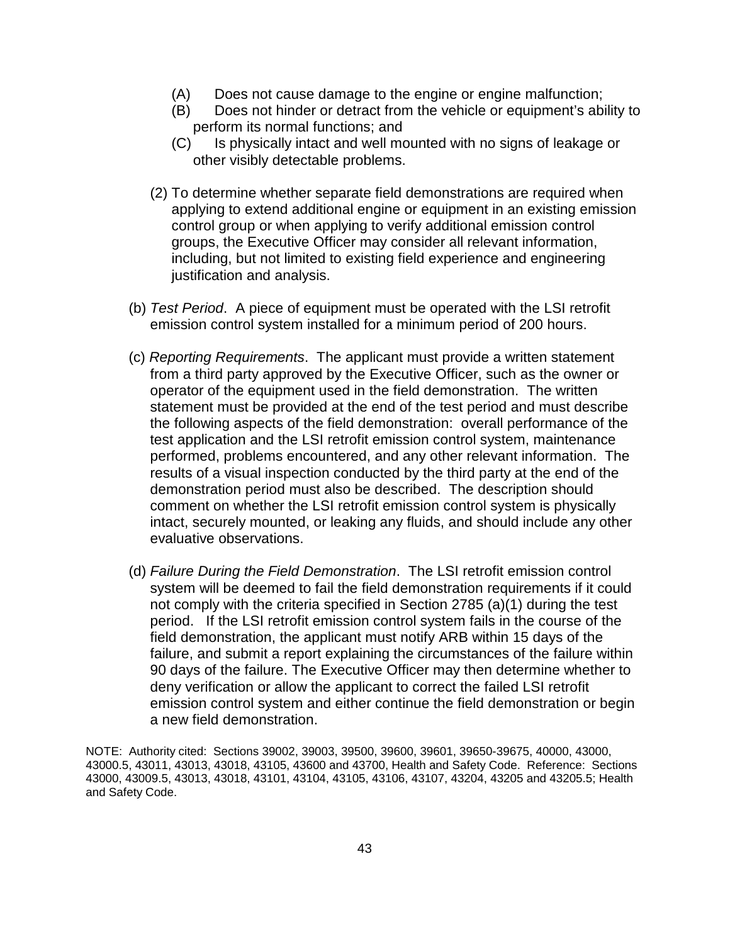- (A) Does not cause damage to the engine or engine malfunction;
- (B) Does not hinder or detract from the vehicle or equipment's ability to perform its normal functions; and
- (C) Is physically intact and well mounted with no signs of leakage or other visibly detectable problems.
- (2) To determine whether separate field demonstrations are required when applying to extend additional engine or equipment in an existing emission control group or when applying to verify additional emission control groups, the Executive Officer may consider all relevant information, including, but not limited to existing field experience and engineering justification and analysis.
- (b) Test Period. A piece of equipment must be operated with the LSI retrofit emission control system installed for a minimum period of 200 hours.
- (c) Reporting Requirements. The applicant must provide a written statement from a third party approved by the Executive Officer, such as the owner or operator of the equipment used in the field demonstration. The written statement must be provided at the end of the test period and must describe the following aspects of the field demonstration: overall performance of the test application and the LSI retrofit emission control system, maintenance performed, problems encountered, and any other relevant information. The results of a visual inspection conducted by the third party at the end of the demonstration period must also be described. The description should comment on whether the LSI retrofit emission control system is physically intact, securely mounted, or leaking any fluids, and should include any other evaluative observations.
- (d) Failure During the Field Demonstration. The LSI retrofit emission control system will be deemed to fail the field demonstration requirements if it could not comply with the criteria specified in Section 2785 (a)(1) during the test period. If the LSI retrofit emission control system fails in the course of the field demonstration, the applicant must notify ARB within 15 days of the failure, and submit a report explaining the circumstances of the failure within 90 days of the failure. The Executive Officer may then determine whether to deny verification or allow the applicant to correct the failed LSI retrofit emission control system and either continue the field demonstration or begin a new field demonstration.

NOTE: Authority cited: Sections 39002, 39003, 39500, 39600, 39601, 39650-39675, 40000, 43000, 43000.5, 43011, 43013, 43018, 43105, 43600 and 43700, Health and Safety Code. Reference: Sections 43000, 43009.5, 43013, 43018, 43101, 43104, 43105, 43106, 43107, 43204, 43205 and 43205.5; Health and Safety Code.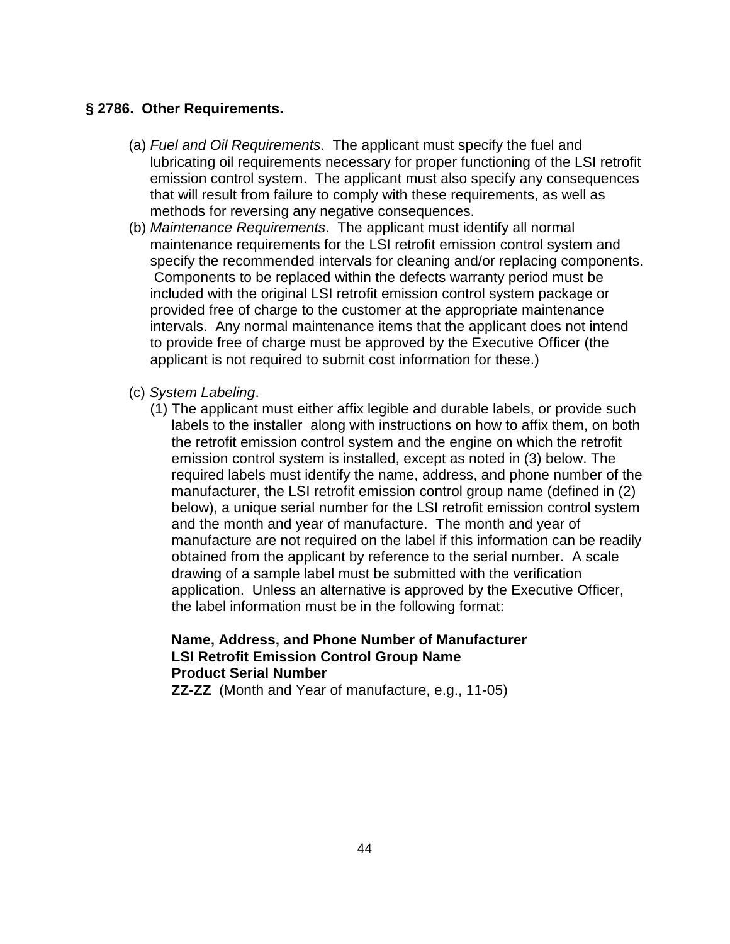### **§ 2786. Other Requirements.**

- (a) Fuel and Oil Requirements. The applicant must specify the fuel and lubricating oil requirements necessary for proper functioning of the LSI retrofit emission control system. The applicant must also specify any consequences that will result from failure to comply with these requirements, as well as methods for reversing any negative consequences.
- (b) Maintenance Requirements. The applicant must identify all normal maintenance requirements for the LSI retrofit emission control system and specify the recommended intervals for cleaning and/or replacing components. Components to be replaced within the defects warranty period must be included with the original LSI retrofit emission control system package or provided free of charge to the customer at the appropriate maintenance intervals. Any normal maintenance items that the applicant does not intend to provide free of charge must be approved by the Executive Officer (the applicant is not required to submit cost information for these.)
- (c) System Labeling.
	- (1) The applicant must either affix legible and durable labels, or provide such labels to the installer along with instructions on how to affix them, on both the retrofit emission control system and the engine on which the retrofit emission control system is installed, except as noted in (3) below. The required labels must identify the name, address, and phone number of the manufacturer, the LSI retrofit emission control group name (defined in (2) below), a unique serial number for the LSI retrofit emission control system and the month and year of manufacture. The month and year of manufacture are not required on the label if this information can be readily obtained from the applicant by reference to the serial number. A scale drawing of a sample label must be submitted with the verification application. Unless an alternative is approved by the Executive Officer, the label information must be in the following format:

# **Name, Address, and Phone Number of Manufacturer LSI Retrofit Emission Control Group Name Product Serial Number**

**ZZ-ZZ** (Month and Year of manufacture, e.g., 11-05)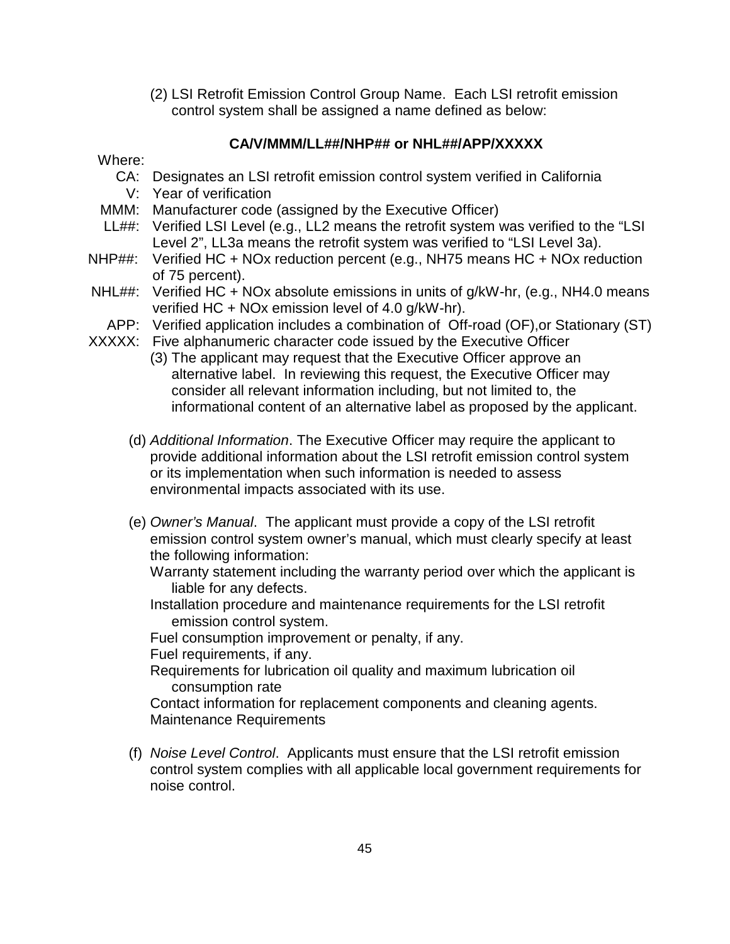(2) LSI Retrofit Emission Control Group Name. Each LSI retrofit emission control system shall be assigned a name defined as below:

# **CA/V/MMM/LL##/NHP## or NHL##/APP/XXXXX**

#### Where:

- CA: Designates an LSI retrofit emission control system verified in California
- V: Year of verification
- MMM: Manufacturer code (assigned by the Executive Officer)
- LL##: Verified LSI Level (e.g., LL2 means the retrofit system was verified to the "LSI Level 2", LL3a means the retrofit system was verified to "LSI Level 3a).
- NHP##: Verified HC + NOx reduction percent (e.g., NH75 means HC + NOx reduction of 75 percent).
- NHL##: Verified HC + NOx absolute emissions in units of g/kW-hr, (e.g., NH4.0 means verified HC + NOx emission level of 4.0 g/kW-hr).
- APP: Verified application includes a combination of Off-road (OF),or Stationary (ST)
- XXXXX: Five alphanumeric character code issued by the Executive Officer
	- (3) The applicant may request that the Executive Officer approve an alternative label. In reviewing this request, the Executive Officer may consider all relevant information including, but not limited to, the informational content of an alternative label as proposed by the applicant.
	- (d) Additional Information. The Executive Officer may require the applicant to provide additional information about the LSI retrofit emission control system or its implementation when such information is needed to assess environmental impacts associated with its use.
	- (e) Owner's Manual. The applicant must provide a copy of the LSI retrofit emission control system owner's manual, which must clearly specify at least the following information:

Warranty statement including the warranty period over which the applicant is liable for any defects.

Installation procedure and maintenance requirements for the LSI retrofit emission control system.

Fuel consumption improvement or penalty, if any.

Fuel requirements, if any.

Requirements for lubrication oil quality and maximum lubrication oil consumption rate

Contact information for replacement components and cleaning agents. Maintenance Requirements

(f) Noise Level Control. Applicants must ensure that the LSI retrofit emission control system complies with all applicable local government requirements for noise control.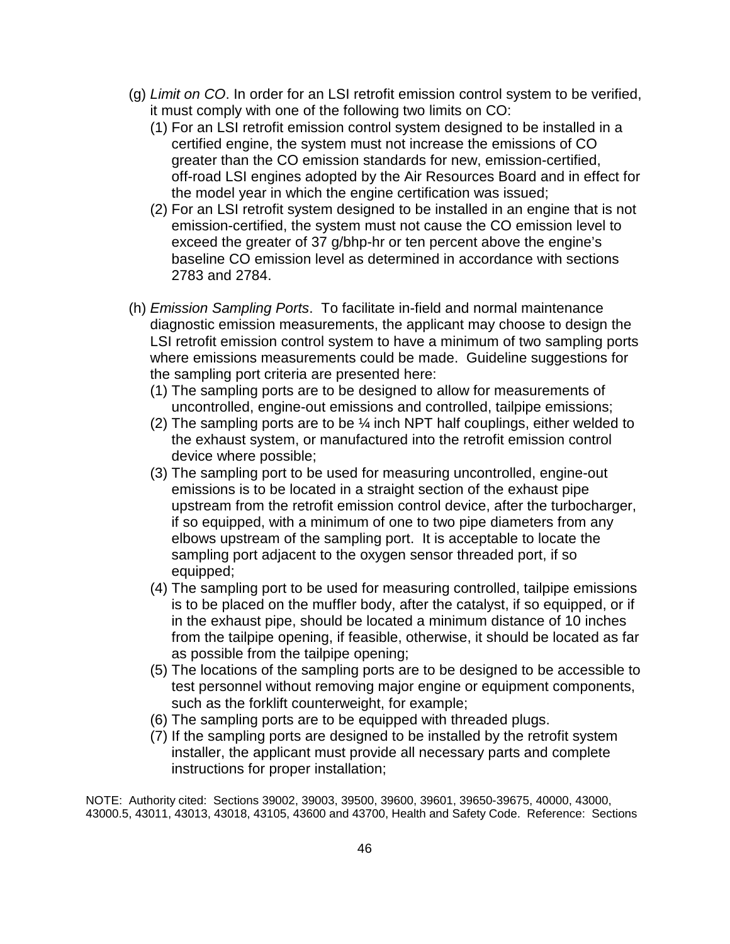- (g) Limit on CO. In order for an LSI retrofit emission control system to be verified, it must comply with one of the following two limits on CO:
	- (1) For an LSI retrofit emission control system designed to be installed in a certified engine, the system must not increase the emissions of CO greater than the CO emission standards for new, emission-certified, off-road LSI engines adopted by the Air Resources Board and in effect for the model year in which the engine certification was issued;
	- (2) For an LSI retrofit system designed to be installed in an engine that is not emission-certified, the system must not cause the CO emission level to exceed the greater of 37 g/bhp-hr or ten percent above the engine's baseline CO emission level as determined in accordance with sections 2783 and 2784.
- (h) Emission Sampling Ports. To facilitate in-field and normal maintenance diagnostic emission measurements, the applicant may choose to design the LSI retrofit emission control system to have a minimum of two sampling ports where emissions measurements could be made. Guideline suggestions for the sampling port criteria are presented here:
	- (1) The sampling ports are to be designed to allow for measurements of uncontrolled, engine-out emissions and controlled, tailpipe emissions;
	- (2) The sampling ports are to be ¼ inch NPT half couplings, either welded to the exhaust system, or manufactured into the retrofit emission control device where possible;
	- (3) The sampling port to be used for measuring uncontrolled, engine-out emissions is to be located in a straight section of the exhaust pipe upstream from the retrofit emission control device, after the turbocharger, if so equipped, with a minimum of one to two pipe diameters from any elbows upstream of the sampling port. It is acceptable to locate the sampling port adjacent to the oxygen sensor threaded port, if so equipped;
	- (4) The sampling port to be used for measuring controlled, tailpipe emissions is to be placed on the muffler body, after the catalyst, if so equipped, or if in the exhaust pipe, should be located a minimum distance of 10 inches from the tailpipe opening, if feasible, otherwise, it should be located as far as possible from the tailpipe opening;
	- (5) The locations of the sampling ports are to be designed to be accessible to test personnel without removing major engine or equipment components, such as the forklift counterweight, for example;
	- (6) The sampling ports are to be equipped with threaded plugs.
	- (7) If the sampling ports are designed to be installed by the retrofit system installer, the applicant must provide all necessary parts and complete instructions for proper installation;

NOTE: Authority cited: Sections 39002, 39003, 39500, 39600, 39601, 39650-39675, 40000, 43000, 43000.5, 43011, 43013, 43018, 43105, 43600 and 43700, Health and Safety Code. Reference: Sections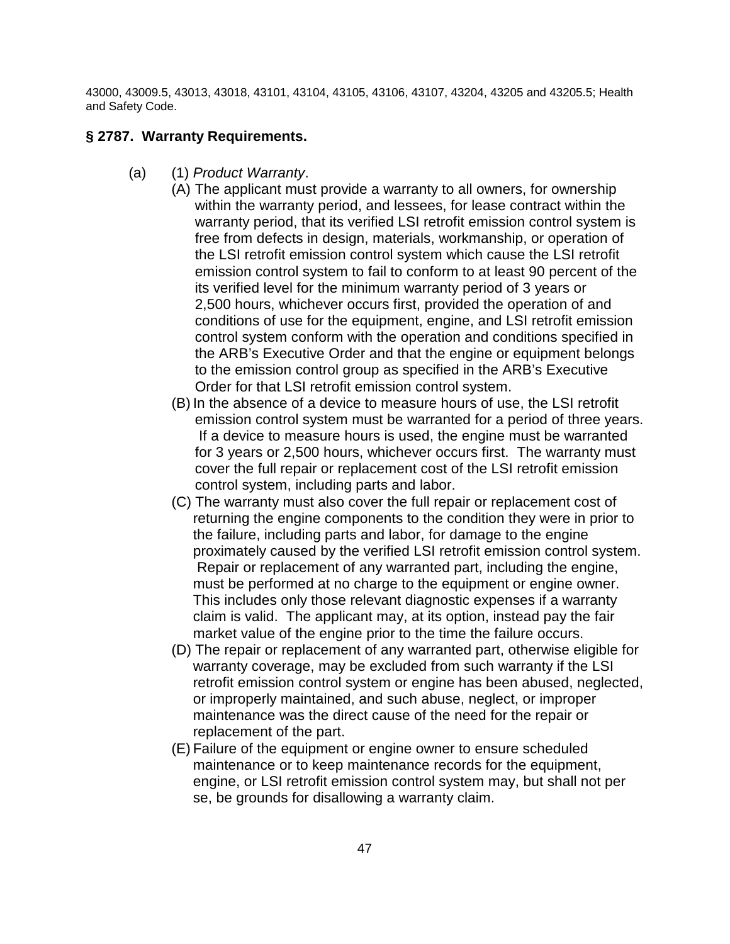43000, 43009.5, 43013, 43018, 43101, 43104, 43105, 43106, 43107, 43204, 43205 and 43205.5; Health and Safety Code.

## **§ 2787. Warranty Requirements.**

- (a) (1) Product Warranty.
	- (A) The applicant must provide a warranty to all owners, for ownership within the warranty period, and lessees, for lease contract within the warranty period, that its verified LSI retrofit emission control system is free from defects in design, materials, workmanship, or operation of the LSI retrofit emission control system which cause the LSI retrofit emission control system to fail to conform to at least 90 percent of the its verified level for the minimum warranty period of 3 years or 2,500 hours, whichever occurs first, provided the operation of and conditions of use for the equipment, engine, and LSI retrofit emission control system conform with the operation and conditions specified in the ARB's Executive Order and that the engine or equipment belongs to the emission control group as specified in the ARB's Executive Order for that LSI retrofit emission control system.
		- (B) In the absence of a device to measure hours of use, the LSI retrofit emission control system must be warranted for a period of three years. If a device to measure hours is used, the engine must be warranted for 3 years or 2,500 hours, whichever occurs first. The warranty must cover the full repair or replacement cost of the LSI retrofit emission control system, including parts and labor.
		- (C) The warranty must also cover the full repair or replacement cost of returning the engine components to the condition they were in prior to the failure, including parts and labor, for damage to the engine proximately caused by the verified LSI retrofit emission control system. Repair or replacement of any warranted part, including the engine, must be performed at no charge to the equipment or engine owner. This includes only those relevant diagnostic expenses if a warranty claim is valid. The applicant may, at its option, instead pay the fair market value of the engine prior to the time the failure occurs.
		- (D) The repair or replacement of any warranted part, otherwise eligible for warranty coverage, may be excluded from such warranty if the LSI retrofit emission control system or engine has been abused, neglected, or improperly maintained, and such abuse, neglect, or improper maintenance was the direct cause of the need for the repair or replacement of the part.
		- (E) Failure of the equipment or engine owner to ensure scheduled maintenance or to keep maintenance records for the equipment, engine, or LSI retrofit emission control system may, but shall not per se, be grounds for disallowing a warranty claim.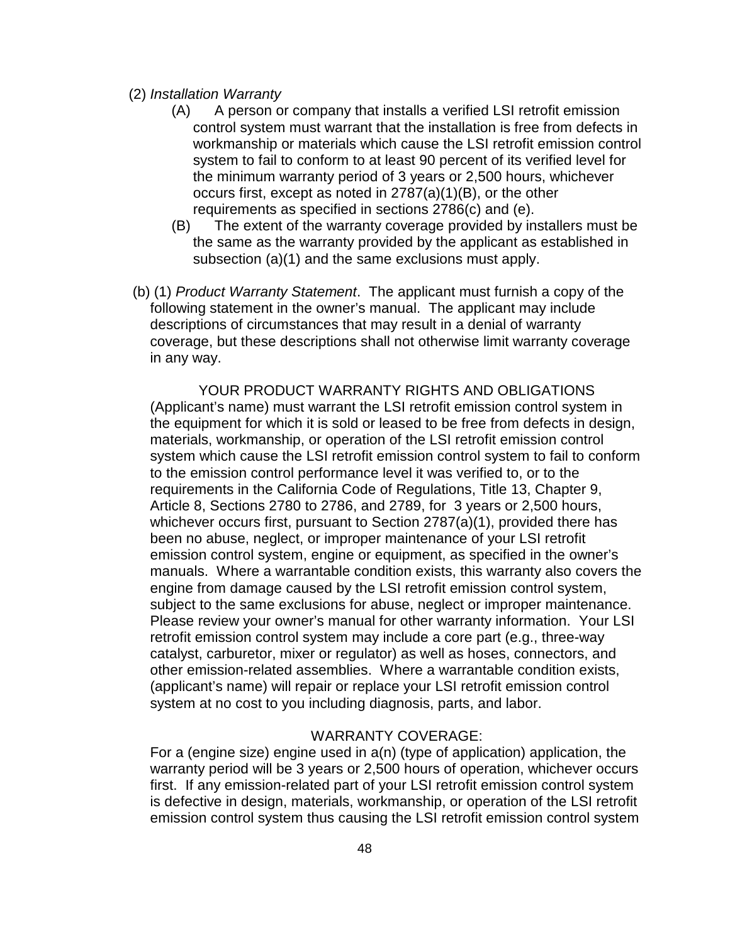### (2) Installation Warranty

- (A) A person or company that installs a verified LSI retrofit emission control system must warrant that the installation is free from defects in workmanship or materials which cause the LSI retrofit emission control system to fail to conform to at least 90 percent of its verified level for the minimum warranty period of 3 years or 2,500 hours, whichever occurs first, except as noted in 2787(a)(1)(B), or the other requirements as specified in sections 2786(c) and (e).
- (B) The extent of the warranty coverage provided by installers must be the same as the warranty provided by the applicant as established in subsection (a)(1) and the same exclusions must apply.
- (b) (1) Product Warranty Statement. The applicant must furnish a copy of the following statement in the owner's manual. The applicant may include descriptions of circumstances that may result in a denial of warranty coverage, but these descriptions shall not otherwise limit warranty coverage in any way.

YOUR PRODUCT WARRANTY RIGHTS AND OBLIGATIONS (Applicant's name) must warrant the LSI retrofit emission control system in the equipment for which it is sold or leased to be free from defects in design, materials, workmanship, or operation of the LSI retrofit emission control system which cause the LSI retrofit emission control system to fail to conform to the emission control performance level it was verified to, or to the requirements in the California Code of Regulations, Title 13, Chapter 9, Article 8, Sections 2780 to 2786, and 2789, for 3 years or 2,500 hours, whichever occurs first, pursuant to Section 2787(a)(1), provided there has been no abuse, neglect, or improper maintenance of your LSI retrofit emission control system, engine or equipment, as specified in the owner's manuals. Where a warrantable condition exists, this warranty also covers the engine from damage caused by the LSI retrofit emission control system, subject to the same exclusions for abuse, neglect or improper maintenance. Please review your owner's manual for other warranty information. Your LSI retrofit emission control system may include a core part (e.g., three-way catalyst, carburetor, mixer or regulator) as well as hoses, connectors, and other emission-related assemblies. Where a warrantable condition exists, (applicant's name) will repair or replace your LSI retrofit emission control system at no cost to you including diagnosis, parts, and labor.

### WARRANTY COVERAGE:

For a (engine size) engine used in a(n) (type of application) application, the warranty period will be 3 years or 2,500 hours of operation, whichever occurs first. If any emission-related part of your LSI retrofit emission control system is defective in design, materials, workmanship, or operation of the LSI retrofit emission control system thus causing the LSI retrofit emission control system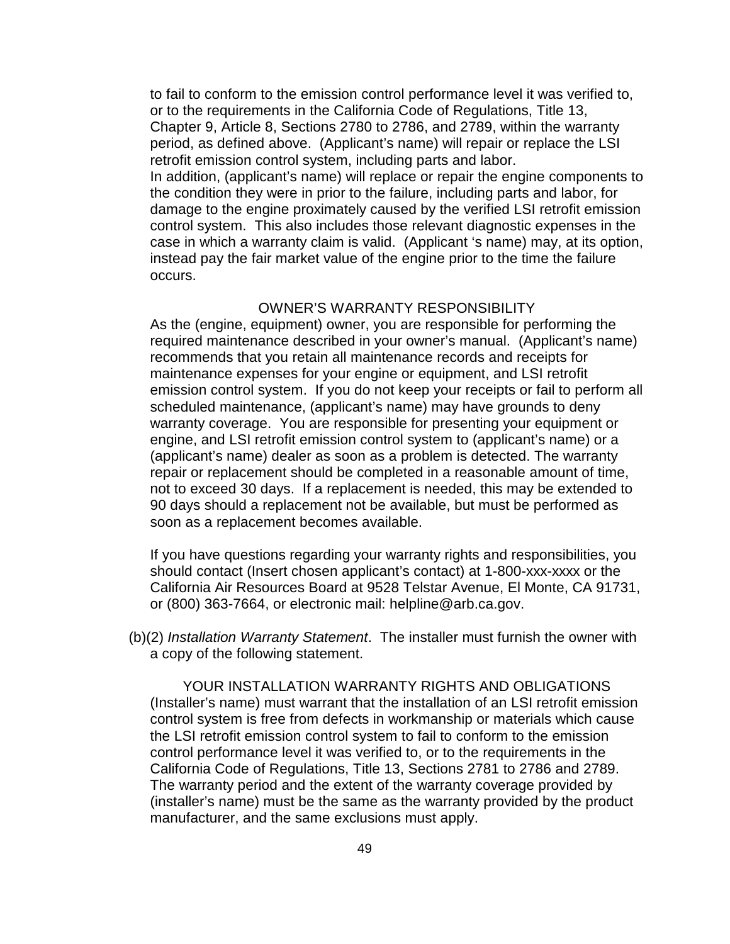to fail to conform to the emission control performance level it was verified to, or to the requirements in the California Code of Regulations, Title 13, Chapter 9, Article 8, Sections 2780 to 2786, and 2789, within the warranty period, as defined above. (Applicant's name) will repair or replace the LSI retrofit emission control system, including parts and labor. In addition, (applicant's name) will replace or repair the engine components to the condition they were in prior to the failure, including parts and labor, for damage to the engine proximately caused by the verified LSI retrofit emission control system. This also includes those relevant diagnostic expenses in the case in which a warranty claim is valid. (Applicant 's name) may, at its option, instead pay the fair market value of the engine prior to the time the failure occurs.

#### OWNER'S WARRANTY RESPONSIBILITY

As the (engine, equipment) owner, you are responsible for performing the required maintenance described in your owner's manual. (Applicant's name) recommends that you retain all maintenance records and receipts for maintenance expenses for your engine or equipment, and LSI retrofit emission control system. If you do not keep your receipts or fail to perform all scheduled maintenance, (applicant's name) may have grounds to deny warranty coverage. You are responsible for presenting your equipment or engine, and LSI retrofit emission control system to (applicant's name) or a (applicant's name) dealer as soon as a problem is detected. The warranty repair or replacement should be completed in a reasonable amount of time, not to exceed 30 days. If a replacement is needed, this may be extended to 90 days should a replacement not be available, but must be performed as soon as a replacement becomes available.

If you have questions regarding your warranty rights and responsibilities, you should contact (Insert chosen applicant's contact) at 1-800-xxx-xxxx or the California Air Resources Board at 9528 Telstar Avenue, El Monte, CA 91731, or (800) 363-7664, or electronic mail: helpline@arb.ca.gov.

(b)(2) Installation Warranty Statement. The installer must furnish the owner with a copy of the following statement.

YOUR INSTALLATION WARRANTY RIGHTS AND OBLIGATIONS (Installer's name) must warrant that the installation of an LSI retrofit emission control system is free from defects in workmanship or materials which cause the LSI retrofit emission control system to fail to conform to the emission control performance level it was verified to, or to the requirements in the California Code of Regulations, Title 13, Sections 2781 to 2786 and 2789. The warranty period and the extent of the warranty coverage provided by (installer's name) must be the same as the warranty provided by the product manufacturer, and the same exclusions must apply.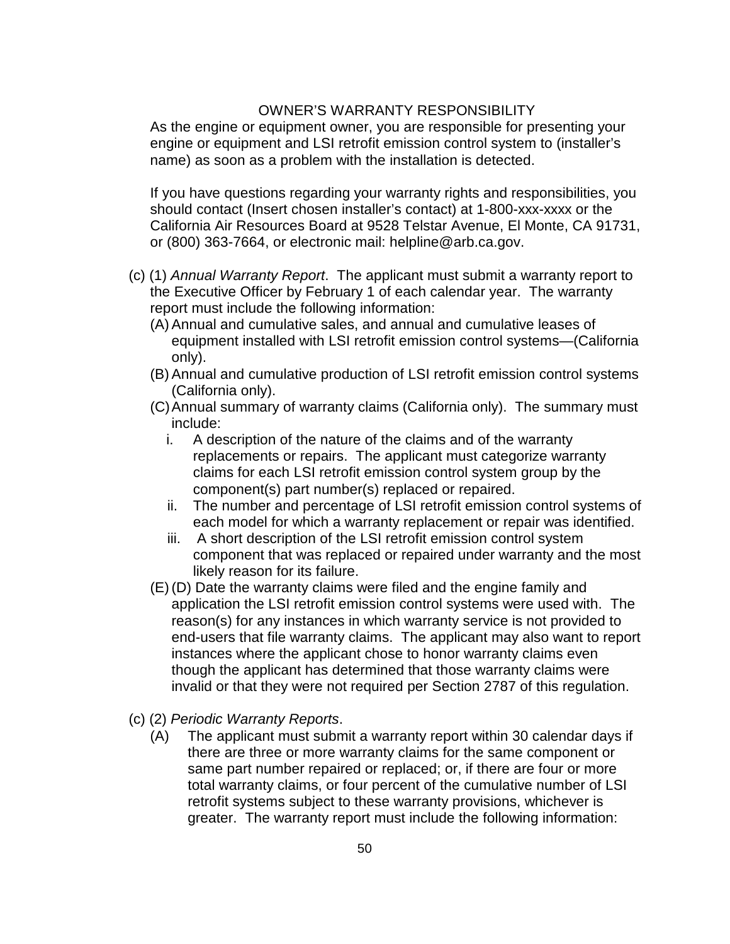### OWNER'S WARRANTY RESPONSIBILITY

As the engine or equipment owner, you are responsible for presenting your engine or equipment and LSI retrofit emission control system to (installer's name) as soon as a problem with the installation is detected.

If you have questions regarding your warranty rights and responsibilities, you should contact (Insert chosen installer's contact) at 1-800-xxx-xxxx or the California Air Resources Board at 9528 Telstar Avenue, El Monte, CA 91731, or (800) 363-7664, or electronic mail: helpline@arb.ca.gov.

- (c) (1) Annual Warranty Report. The applicant must submit a warranty report to the Executive Officer by February 1 of each calendar year. The warranty report must include the following information:
	- (A) Annual and cumulative sales, and annual and cumulative leases of equipment installed with LSI retrofit emission control systems—(California only).
	- (B) Annual and cumulative production of LSI retrofit emission control systems (California only).
	- (C) Annual summary of warranty claims (California only). The summary must include:
		- i. A description of the nature of the claims and of the warranty replacements or repairs. The applicant must categorize warranty claims for each LSI retrofit emission control system group by the component(s) part number(s) replaced or repaired.
		- ii. The number and percentage of LSI retrofit emission control systems of each model for which a warranty replacement or repair was identified.
		- iii. A short description of the LSI retrofit emission control system component that was replaced or repaired under warranty and the most likely reason for its failure.
	- (E) (D) Date the warranty claims were filed and the engine family and application the LSI retrofit emission control systems were used with. The reason(s) for any instances in which warranty service is not provided to end-users that file warranty claims. The applicant may also want to report instances where the applicant chose to honor warranty claims even though the applicant has determined that those warranty claims were invalid or that they were not required per Section 2787 of this regulation.
- (c) (2) Periodic Warranty Reports.
	- (A) The applicant must submit a warranty report within 30 calendar days if there are three or more warranty claims for the same component or same part number repaired or replaced; or, if there are four or more total warranty claims, or four percent of the cumulative number of LSI retrofit systems subject to these warranty provisions, whichever is greater. The warranty report must include the following information: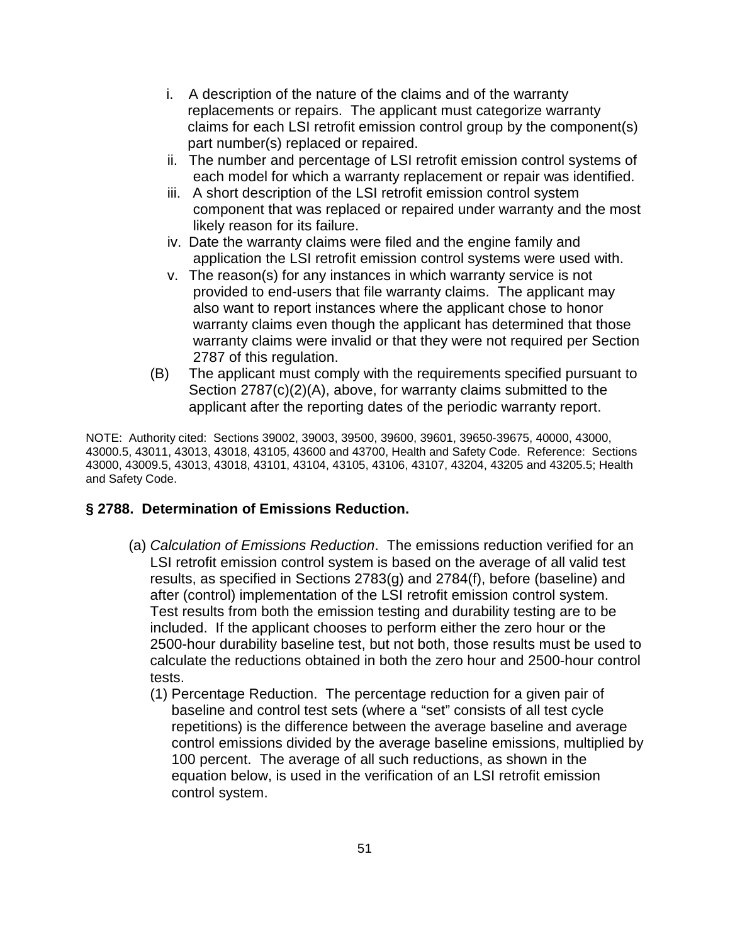- i. A description of the nature of the claims and of the warranty replacements or repairs. The applicant must categorize warranty claims for each LSI retrofit emission control group by the component(s) part number(s) replaced or repaired.
- ii. The number and percentage of LSI retrofit emission control systems of each model for which a warranty replacement or repair was identified.
- iii. A short description of the LSI retrofit emission control system component that was replaced or repaired under warranty and the most likely reason for its failure.
- iv. Date the warranty claims were filed and the engine family and application the LSI retrofit emission control systems were used with.
- v. The reason(s) for any instances in which warranty service is not provided to end-users that file warranty claims. The applicant may also want to report instances where the applicant chose to honor warranty claims even though the applicant has determined that those warranty claims were invalid or that they were not required per Section 2787 of this regulation.
- (B) The applicant must comply with the requirements specified pursuant to Section 2787(c)(2)(A), above, for warranty claims submitted to the applicant after the reporting dates of the periodic warranty report.

NOTE: Authority cited: Sections 39002, 39003, 39500, 39600, 39601, 39650-39675, 40000, 43000, 43000.5, 43011, 43013, 43018, 43105, 43600 and 43700, Health and Safety Code. Reference: Sections 43000, 43009.5, 43013, 43018, 43101, 43104, 43105, 43106, 43107, 43204, 43205 and 43205.5; Health and Safety Code.

#### **§ 2788. Determination of Emissions Reduction.**

- (a) Calculation of Emissions Reduction. The emissions reduction verified for an LSI retrofit emission control system is based on the average of all valid test results, as specified in Sections 2783(g) and 2784(f), before (baseline) and after (control) implementation of the LSI retrofit emission control system. Test results from both the emission testing and durability testing are to be included. If the applicant chooses to perform either the zero hour or the 2500-hour durability baseline test, but not both, those results must be used to calculate the reductions obtained in both the zero hour and 2500-hour control tests.
	- (1) Percentage Reduction. The percentage reduction for a given pair of baseline and control test sets (where a "set" consists of all test cycle repetitions) is the difference between the average baseline and average control emissions divided by the average baseline emissions, multiplied by 100 percent. The average of all such reductions, as shown in the equation below, is used in the verification of an LSI retrofit emission control system.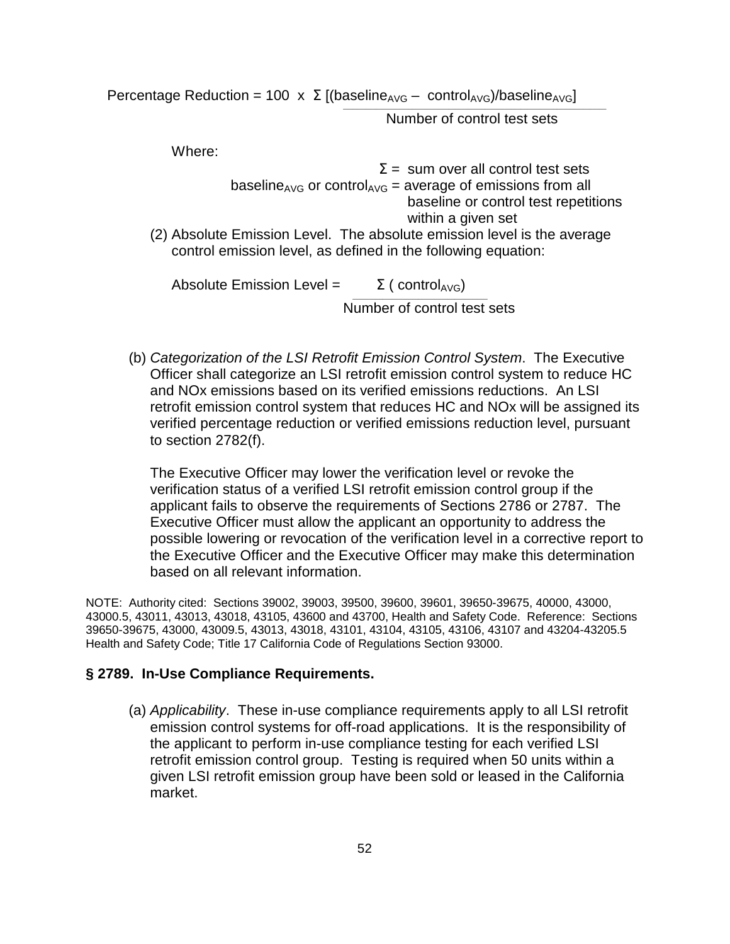Percentage Reduction = 100  $\times$   $\Sigma$  [(baseline<sub>AVG</sub> – control<sub>AVG</sub>)/baseline<sub>AVG</sub>]

 $\overline{\phantom{a}}$  , and the contract of the contract of the contract of the contract of the contract of the contract of the contract of the contract of the contract of the contract of the contract of the contract of the contrac

Number of control test sets

Where:

| $\Sigma$ = sum over all control test sets                                                                                                |
|------------------------------------------------------------------------------------------------------------------------------------------|
| baseline <sub>AVG</sub> or control <sub>AVG</sub> = average of emissions from all                                                        |
| baseline or control test repetitions                                                                                                     |
| within a given set                                                                                                                       |
| (2) Absolute Emission Level. The absolute emission level is the average<br>control emission level, as defined in the following equation: |
| Absolute Emission Level =<br>$\Sigma$ (control <sub>AVG</sub> )                                                                          |

Number of control test sets

(b) Categorization of the LSI Retrofit Emission Control System. The Executive Officer shall categorize an LSI retrofit emission control system to reduce HC and NOx emissions based on its verified emissions reductions. An LSI retrofit emission control system that reduces HC and NOx will be assigned its verified percentage reduction or verified emissions reduction level, pursuant to section 2782(f).

The Executive Officer may lower the verification level or revoke the verification status of a verified LSI retrofit emission control group if the applicant fails to observe the requirements of Sections 2786 or 2787. The Executive Officer must allow the applicant an opportunity to address the possible lowering or revocation of the verification level in a corrective report to the Executive Officer and the Executive Officer may make this determination based on all relevant information.

NOTE: Authority cited: Sections 39002, 39003, 39500, 39600, 39601, 39650-39675, 40000, 43000, 43000.5, 43011, 43013, 43018, 43105, 43600 and 43700, Health and Safety Code. Reference: Sections 39650-39675, 43000, 43009.5, 43013, 43018, 43101, 43104, 43105, 43106, 43107 and 43204-43205.5 Health and Safety Code; Title 17 California Code of Regulations Section 93000.

#### **§ 2789. In-Use Compliance Requirements.**

(a) Applicability. These in-use compliance requirements apply to all LSI retrofit emission control systems for off-road applications. It is the responsibility of the applicant to perform in-use compliance testing for each verified LSI retrofit emission control group. Testing is required when 50 units within a given LSI retrofit emission group have been sold or leased in the California market.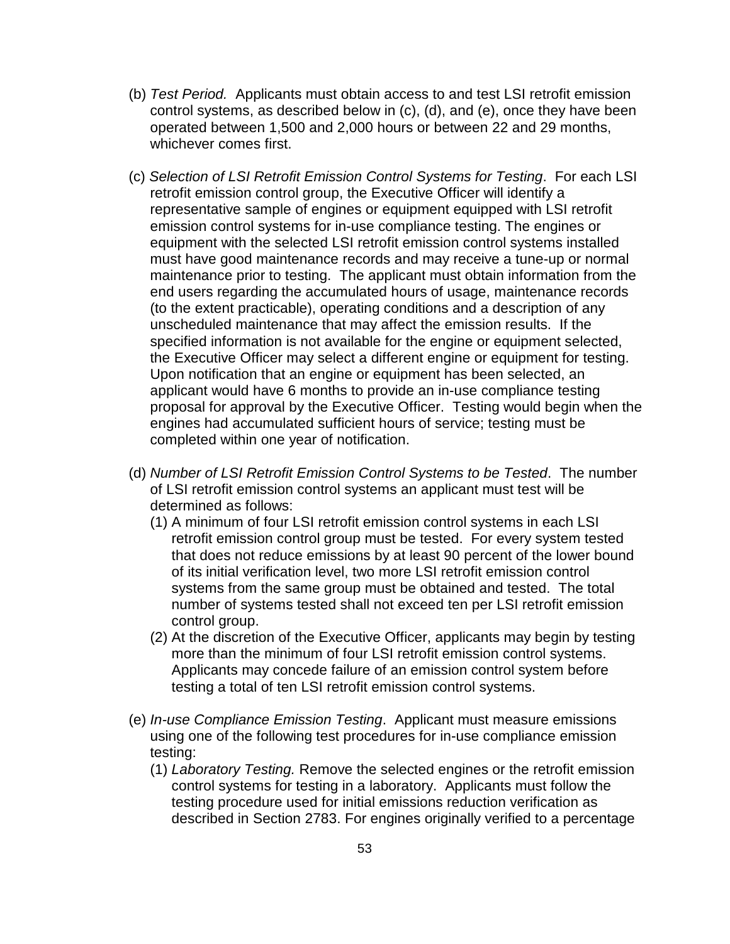- (b) Test Period. Applicants must obtain access to and test LSI retrofit emission control systems, as described below in (c), (d), and (e), once they have been operated between 1,500 and 2,000 hours or between 22 and 29 months, whichever comes first.
- (c) Selection of LSI Retrofit Emission Control Systems for Testing. For each LSI retrofit emission control group, the Executive Officer will identify a representative sample of engines or equipment equipped with LSI retrofit emission control systems for in-use compliance testing. The engines or equipment with the selected LSI retrofit emission control systems installed must have good maintenance records and may receive a tune-up or normal maintenance prior to testing. The applicant must obtain information from the end users regarding the accumulated hours of usage, maintenance records (to the extent practicable), operating conditions and a description of any unscheduled maintenance that may affect the emission results. If the specified information is not available for the engine or equipment selected, the Executive Officer may select a different engine or equipment for testing. Upon notification that an engine or equipment has been selected, an applicant would have 6 months to provide an in-use compliance testing proposal for approval by the Executive Officer. Testing would begin when the engines had accumulated sufficient hours of service; testing must be completed within one year of notification.
- (d) Number of LSI Retrofit Emission Control Systems to be Tested. The number of LSI retrofit emission control systems an applicant must test will be determined as follows:
	- (1) A minimum of four LSI retrofit emission control systems in each LSI retrofit emission control group must be tested. For every system tested that does not reduce emissions by at least 90 percent of the lower bound of its initial verification level, two more LSI retrofit emission control systems from the same group must be obtained and tested. The total number of systems tested shall not exceed ten per LSI retrofit emission control group.
	- (2) At the discretion of the Executive Officer, applicants may begin by testing more than the minimum of four LSI retrofit emission control systems. Applicants may concede failure of an emission control system before testing a total of ten LSI retrofit emission control systems.
- (e) In-use Compliance Emission Testing. Applicant must measure emissions using one of the following test procedures for in-use compliance emission testing:
	- (1) Laboratory Testing. Remove the selected engines or the retrofit emission control systems for testing in a laboratory. Applicants must follow the testing procedure used for initial emissions reduction verification as described in Section 2783. For engines originally verified to a percentage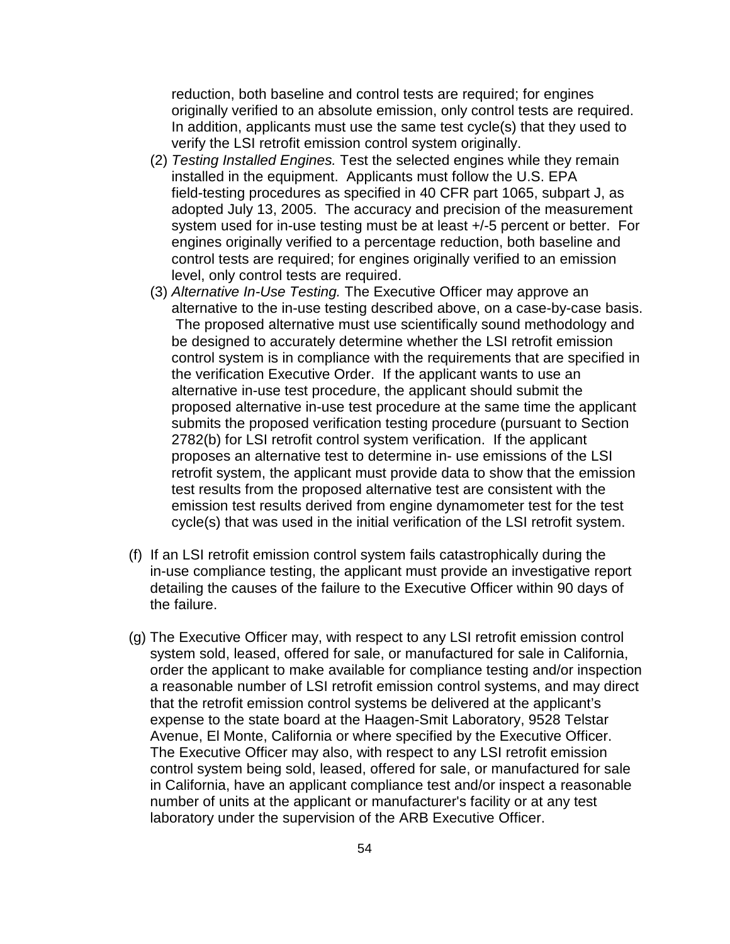reduction, both baseline and control tests are required; for engines originally verified to an absolute emission, only control tests are required. In addition, applicants must use the same test cycle(s) that they used to verify the LSI retrofit emission control system originally.

- (2) Testing Installed Engines. Test the selected engines while they remain installed in the equipment. Applicants must follow the U.S. EPA field-testing procedures as specified in 40 CFR part 1065, subpart J, as adopted July 13, 2005. The accuracy and precision of the measurement system used for in-use testing must be at least +/-5 percent or better. For engines originally verified to a percentage reduction, both baseline and control tests are required; for engines originally verified to an emission level, only control tests are required.
- (3) Alternative In-Use Testing. The Executive Officer may approve an alternative to the in-use testing described above, on a case-by-case basis. The proposed alternative must use scientifically sound methodology and be designed to accurately determine whether the LSI retrofit emission control system is in compliance with the requirements that are specified in the verification Executive Order. If the applicant wants to use an alternative in-use test procedure, the applicant should submit the proposed alternative in-use test procedure at the same time the applicant submits the proposed verification testing procedure (pursuant to Section 2782(b) for LSI retrofit control system verification. If the applicant proposes an alternative test to determine in- use emissions of the LSI retrofit system, the applicant must provide data to show that the emission test results from the proposed alternative test are consistent with the emission test results derived from engine dynamometer test for the test cycle(s) that was used in the initial verification of the LSI retrofit system.
- (f) If an LSI retrofit emission control system fails catastrophically during the in-use compliance testing, the applicant must provide an investigative report detailing the causes of the failure to the Executive Officer within 90 days of the failure.
- (g) The Executive Officer may, with respect to any LSI retrofit emission control system sold, leased, offered for sale, or manufactured for sale in California, order the applicant to make available for compliance testing and/or inspection a reasonable number of LSI retrofit emission control systems, and may direct that the retrofit emission control systems be delivered at the applicant's expense to the state board at the Haagen-Smit Laboratory, 9528 Telstar Avenue, El Monte, California or where specified by the Executive Officer. The Executive Officer may also, with respect to any LSI retrofit emission control system being sold, leased, offered for sale, or manufactured for sale in California, have an applicant compliance test and/or inspect a reasonable number of units at the applicant or manufacturer's facility or at any test laboratory under the supervision of the ARB Executive Officer.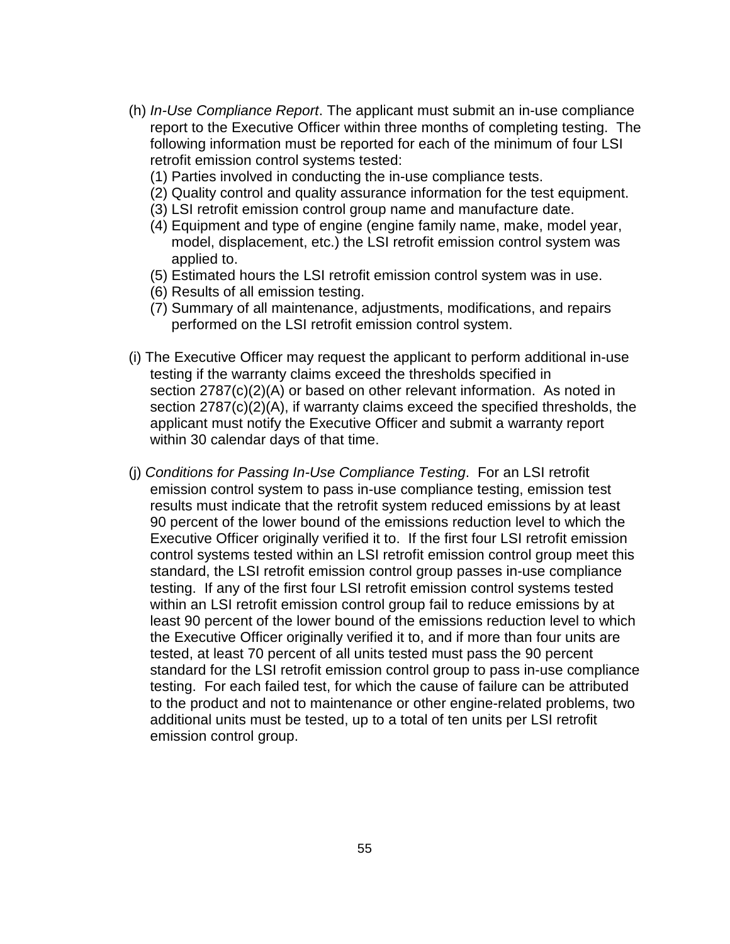- (h) In-Use Compliance Report. The applicant must submit an in-use compliance report to the Executive Officer within three months of completing testing. The following information must be reported for each of the minimum of four LSI retrofit emission control systems tested:
	- (1) Parties involved in conducting the in-use compliance tests.
	- (2) Quality control and quality assurance information for the test equipment.
	- (3) LSI retrofit emission control group name and manufacture date.
	- (4) Equipment and type of engine (engine family name, make, model year, model, displacement, etc.) the LSI retrofit emission control system was applied to.
	- (5) Estimated hours the LSI retrofit emission control system was in use.
	- (6) Results of all emission testing.
	- (7) Summary of all maintenance, adjustments, modifications, and repairs performed on the LSI retrofit emission control system.
- (i) The Executive Officer may request the applicant to perform additional in-use testing if the warranty claims exceed the thresholds specified in section 2787(c)(2)(A) or based on other relevant information. As noted in section 2787(c)(2)(A), if warranty claims exceed the specified thresholds, the applicant must notify the Executive Officer and submit a warranty report within 30 calendar days of that time.
- (j) Conditions for Passing In-Use Compliance Testing. For an LSI retrofit emission control system to pass in-use compliance testing, emission test results must indicate that the retrofit system reduced emissions by at least 90 percent of the lower bound of the emissions reduction level to which the Executive Officer originally verified it to. If the first four LSI retrofit emission control systems tested within an LSI retrofit emission control group meet this standard, the LSI retrofit emission control group passes in-use compliance testing. If any of the first four LSI retrofit emission control systems tested within an LSI retrofit emission control group fail to reduce emissions by at least 90 percent of the lower bound of the emissions reduction level to which the Executive Officer originally verified it to, and if more than four units are tested, at least 70 percent of all units tested must pass the 90 percent standard for the LSI retrofit emission control group to pass in-use compliance testing. For each failed test, for which the cause of failure can be attributed to the product and not to maintenance or other engine-related problems, two additional units must be tested, up to a total of ten units per LSI retrofit emission control group.